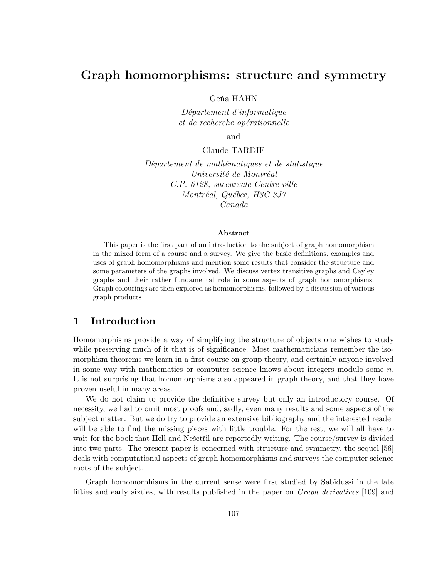# Graph homomorphisms: structure and symmetry

Geňa HAHN

D´epartement d'informatique et de recherche opérationnelle

and

### Claude TARDIF

Département de mathématiques et de statistique Université de Montréal C.P. 6128, succursale Centre-ville Montréal, Québec, H3C 3J7 Canada

#### Abstract

This paper is the first part of an introduction to the subject of graph homomorphism in the mixed form of a course and a survey. We give the basic definitions, examples and uses of graph homomorphisms and mention some results that consider the structure and some parameters of the graphs involved. We discuss vertex transitive graphs and Cayley graphs and their rather fundamental role in some aspects of graph homomorphisms. Graph colourings are then explored as homomorphisms, followed by a discussion of various graph products.

# 1 Introduction

Homomorphisms provide a way of simplifying the structure of objects one wishes to study while preserving much of it that is of significance. Most mathematicians remember the isomorphism theorems we learn in a first course on group theory, and certainly anyone involved in some way with mathematics or computer science knows about integers modulo some  $n$ . It is not surprising that homomorphisms also appeared in graph theory, and that they have proven useful in many areas.

We do not claim to provide the definitive survey but only an introductory course. Of necessity, we had to omit most proofs and, sadly, even many results and some aspects of the subject matter. But we do try to provide an extensive bibliography and the interested reader will be able to find the missing pieces with little trouble. For the rest, we will all have to wait for the book that Hell and Ne $\check{\rm set}$  are reportedly writing. The course/survey is divided into two parts. The present paper is concerned with structure and symmetry, the sequel [56] deals with computational aspects of graph homomorphisms and surveys the computer science roots of the subject.

Graph homomorphisms in the current sense were first studied by Sabidussi in the late fifties and early sixties, with results published in the paper on Graph derivatives [109] and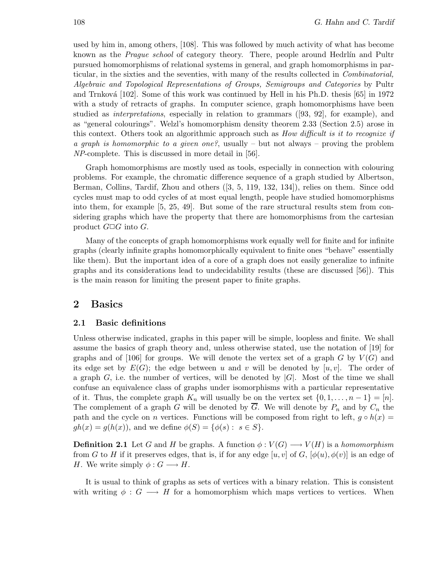used by him in, among others, [108]. This was followed by much activity of what has become known as the *Prague school* of category theory. There, people around Hedrlín and Pultr pursued homomorphisms of relational systems in general, and graph homomorphisms in particular, in the sixties and the seventies, with many of the results collected in Combinatorial, Algebraic and Topological Representations of Groups, Semigroups and Categories by Pultr and Trnková [102]. Some of this work was continued by Hell in his Ph.D. thesis  $[65]$  in 1972 with a study of retracts of graphs. In computer science, graph homomorphisms have been studied as interpretations, especially in relation to grammars ([93, 92], for example), and as "general colourings". Welzl's homomorphism density theorem 2.33 (Section 2.5) arose in this context. Others took an algorithmic approach such as How difficult is it to recognize if a graph is homomorphic to a given one?, usually – but not always – proving the problem NP-complete. This is discussed in more detail in [56].

Graph homomorphisms are mostly used as tools, especially in connection with colouring problems. For example, the chromatic difference sequence of a graph studied by Albertson, Berman, Collins, Tardif, Zhou and others ([3, 5, 119, 132, 134]), relies on them. Since odd cycles must map to odd cycles of at most equal length, people have studied homomorphisms into them, for example [5, 25, 49]. But some of the rare structural results stem from considering graphs which have the property that there are homomorphisms from the cartesian product  $G \square G$  into G.

Many of the concepts of graph homomorphisms work equally well for finite and for infinite graphs (clearly infinite graphs homomorphically equivalent to finite ones "behave" essentially like them). But the important idea of a core of a graph does not easily generalize to infinite graphs and its considerations lead to undecidability results (these are discussed [56]). This is the main reason for limiting the present paper to finite graphs.

# 2 Basics

### 2.1 Basic definitions

Unless otherwise indicated, graphs in this paper will be simple, loopless and finite. We shall assume the basics of graph theory and, unless otherwise stated, use the notation of [19] for graphs and of [106] for groups. We will denote the vertex set of a graph G by  $V(G)$  and its edge set by  $E(G)$ ; the edge between u and v will be denoted by  $[u, v]$ . The order of a graph G, i.e. the number of vertices, will be denoted by  $|G|$ . Most of the time we shall confuse an equivalence class of graphs under isomorphisms with a particular representative of it. Thus, the complete graph  $K_n$  will usually be on the vertex set  $\{0, 1, \ldots, n-1\} = [n].$ The complement of a graph G will be denoted by  $\overline{G}$ . We will denote by  $P_n$  and by  $C_n$  the path and the cycle on n vertices. Functions will be composed from right to left,  $g \circ h(x) =$  $gh(x) = g(h(x))$ , and we define  $\phi(S) = {\phi(s) : s \in S}$ .

**Definition 2.1** Let G and H be graphs. A function  $\phi: V(G) \longrightarrow V(H)$  is a homomorphism from G to H if it preserves edges, that is, if for any edge  $[u, v]$  of G,  $[\phi(u), \phi(v)]$  is an edge of H. We write simply  $\phi: G \longrightarrow H$ .

It is usual to think of graphs as sets of vertices with a binary relation. This is consistent with writing  $\phi : G \longrightarrow H$  for a homomorphism which maps vertices to vertices. When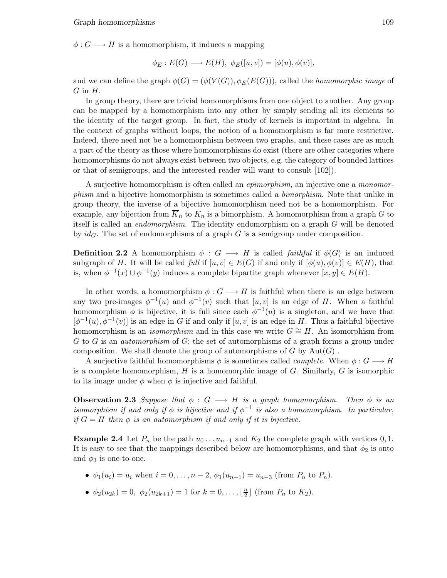$\phi: G \longrightarrow H$  is a homomorphism, it induces a mapping

$$
\phi_E : E(G) \longrightarrow E(H), \ \phi_E([u, v]) = [\phi(u), \phi(v)],
$$

and we can define the graph  $\phi(G) = (\phi(V(G)), \phi_E(E(G)))$ , called the *homomorphic image* of  $G$  in  $H$ .

In group theory, there are trivial homomorphisms from one object to another. Any group can be mapped by a homomorphism into any other by simply sending all its elements to the identity of the target group. In fact, the study of kernels is important in algebra. In the context of graphs without loops, the notion of a homomorphism is far more restrictive. Indeed, there need not be a homomorphism between two graphs, and these cases are as much a part of the theory as those where homomorphisms do exist (there are other categories where homomorphisms do not always exist between two objects, e.g. the category of bounded lattices or that of semigroups, and the interested reader will want to consult [102]).

A surjective homomorphism is often called an epimorphism, an injective one a monomorphism and a bijective homomorphism is sometimes called a bimorphism. Note that unlike in group theory, the inverse of a bijective homomorphism need not be a homomorphism. For example, any bijection from  $\overline{K}_n$  to  $K_n$  is a bimorphism. A homomorphism from a graph G to itself is called an endomorphism. The identity endomorphism on a graph G will be denoted by  $id_G$ . The set of endomorphisms of a graph G is a semigroup under composition.

**Definition 2.2** A homomorphism  $\phi : G \longrightarrow H$  is called *faithful* if  $\phi(G)$  is an induced subgraph of H. It will be called full if  $[u,v] \in E(G)$  if and only if  $[\phi(u), \phi(v)] \in E(H)$ , that is, when  $\phi^{-1}(x) \cup \phi^{-1}(y)$  induces a complete bipartite graph whenever  $[x, y] \in E(H)$ .

In other words, a homomorphism  $\phi: G \longrightarrow H$  is faithful when there is an edge between any two pre-images  $\phi^{-1}(u)$  and  $\phi^{-1}(v)$  such that  $[u, v]$  is an edge of H. When a faithful homomorphism  $\phi$  is bijective, it is full since each  $\phi^{-1}(u)$  is a singleton, and we have that  $[\phi^{-1}(u), \phi^{-1}(v)]$  is an edge in G if and only if  $[u, v]$  is an edge in H. Thus a faithful bijective homomorphism is an *isomorphism* and in this case we write  $G \cong H$ . An isomorphism from  $G$  to  $G$  is an *automorphism* of  $G$ ; the set of automorphisms of a graph forms a group under composition. We shall denote the group of automorphisms of  $G$  by  $Aut(G)$ .

A surjective faithful homomorphisms  $\phi$  is sometimes called *complete*. When  $\phi: G \longrightarrow H$ is a complete homomorphism,  $H$  is a homomorphic image of  $G$ . Similarly,  $G$  is isomorphic to its image under  $\phi$  when  $\phi$  is injective and faithful.

**Observation 2.3** Suppose that  $\phi : G \longrightarrow H$  is a graph homomorphism. Then  $\phi$  is an isomorphism if and only if  $\phi$  is bijective and if  $\phi^{-1}$  is also a homomorphism. In particular, if  $G = H$  then  $\phi$  is an automorphism if and only if it is bijective.

**Example 2.4** Let  $P_n$  be the path  $u_0 \dots u_{n-1}$  and  $K_2$  the complete graph with vertices 0, 1. It is easy to see that the mappings described below are homomorphisms, and that  $\phi_2$  is onto and  $\phi_3$  is one-to-one.

- $\phi_1(u_i) = u_i$  when  $i = 0, \ldots, n-2, \phi_1(u_{n-1}) = u_{n-3}$  (from  $P_n$  to  $P_n$ ).
- $\phi_2(u_{2k}) = 0$ ,  $\phi_2(u_{2k+1}) = 1$  for  $k = 0, \ldots, \lfloor \frac{n}{2} \rfloor$  $\frac{n}{2}$  (from  $P_n$  to  $K_2$ ).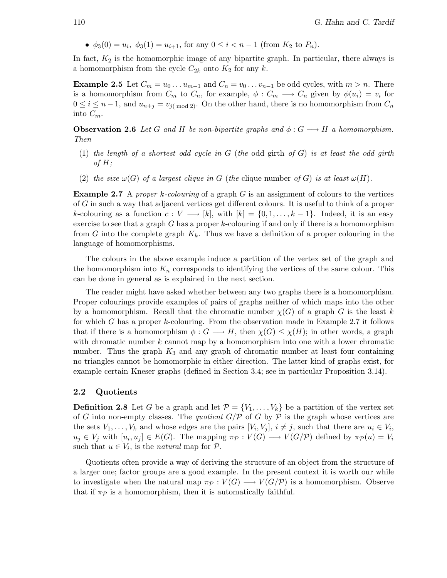•  $\phi_3(0) = u_i, \ \phi_3(1) = u_{i+1}, \text{ for any } 0 \leq i < n-1 \text{ (from } K_2 \text{ to } P_n).$ 

In fact,  $K_2$  is the homomorphic image of any bipartite graph. In particular, there always is a homomorphism from the cycle  $C_{2k}$  onto  $K_2$  for any k.

**Example 2.5** Let  $C_m = u_0 \dots u_{m-1}$  and  $C_n = v_0 \dots v_{n-1}$  be odd cycles, with  $m > n$ . There is a homomorphism from  $C_m$  to  $C_n$ , for example,  $\phi: C_m \longrightarrow C_n$  given by  $\phi(u_i) = v_i$  for  $0 \le i \le n-1$ , and  $u_{n+j} = v_{i \pmod{2}}$ . On the other hand, there is no homomorphism from  $C_n$ into  $C_m$ .

**Observation 2.6** Let G and H be non-bipartite graphs and  $\phi : G \longrightarrow H$  a homomorphism. Then

- (1) the length of a shortest odd cycle in  $G$  (the odd girth of  $G$ ) is at least the odd girth of  $H$ ;
- (2) the size  $\omega(G)$  of a largest clique in G (the clique number of G) is at least  $\omega(H)$ .

**Example 2.7** A proper k-colouring of a graph G is an assignment of colours to the vertices of G in such a way that adjacent vertices get different colours. It is useful to think of a proper k-colouring as a function  $c: V \longrightarrow [k]$ , with  $[k] = \{0, 1, \ldots, k-1\}$ . Indeed, it is an easy exercise to see that a graph  $G$  has a proper  $k$ -colouring if and only if there is a homomorphism from G into the complete graph  $K_k$ . Thus we have a definition of a proper colouring in the language of homomorphisms.

The colours in the above example induce a partition of the vertex set of the graph and the homomorphism into  $K_n$  corresponds to identifying the vertices of the same colour. This can be done in general as is explained in the next section.

The reader might have asked whether between any two graphs there is a homomorphism. Proper colourings provide examples of pairs of graphs neither of which maps into the other by a homomorphism. Recall that the chromatic number  $\chi(G)$  of a graph G is the least k for which G has a proper k-colouring. From the observation made in Example 2.7 it follows that if there is a homomorphism  $\phi: G \longrightarrow H$ , then  $\chi(G) \leq \chi(H)$ ; in other words, a graph with chromatic number  $k$  cannot map by a homomorphism into one with a lower chromatic number. Thus the graph  $K_3$  and any graph of chromatic number at least four containing no triangles cannot be homomorphic in either direction. The latter kind of graphs exist, for example certain Kneser graphs (defined in Section 3.4; see in particular Proposition 3.14).

#### 2.2 Quotients

**Definition 2.8** Let G be a graph and let  $\mathcal{P} = \{V_1, \ldots, V_k\}$  be a partition of the vertex set of G into non-empty classes. The quotient  $G/P$  of G by P is the graph whose vertices are the sets  $V_1, \ldots, V_k$  and whose edges are the pairs  $[V_i, V_j], i \neq j$ , such that there are  $u_i \in V_i$ ,  $u_j \in V_j$  with  $[u_i, u_j] \in E(G)$ . The mapping  $\pi_{\mathcal{P}} : V(G) \longrightarrow V(G/\mathcal{P})$  defined by  $\pi_{\mathcal{P}}(u) = V_i$ such that  $u \in V_i$ , is the *natural* map for  $\mathcal{P}$ .

Quotients often provide a way of deriving the structure of an object from the structure of a larger one; factor groups are a good example. In the present context it is worth our while to investigate when the natural map  $\pi_P : V(G) \longrightarrow V(G/\mathcal{P})$  is a homomorphism. Observe that if  $\pi_{\mathcal{P}}$  is a homomorphism, then it is automatically faithful.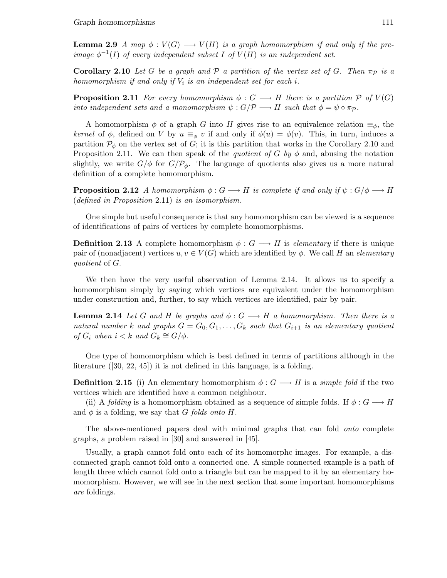**Lemma 2.9** A map  $\phi: V(G) \longrightarrow V(H)$  is a graph homomorphism if and only if the preimage  $\phi^{-1}(I)$  of every independent subset I of  $V(H)$  is an independent set.

**Corollary 2.10** Let G be a graph and P a partition of the vertex set of G. Then  $\pi_{\mathcal{P}}$  is a homomorphism if and only if  $V_i$  is an independent set for each i.

**Proposition 2.11** For every homomorphism  $\phi: G \longrightarrow H$  there is a partition P of  $V(G)$ into independent sets and a monomorphism  $\psi : G/\mathcal{P} \longrightarrow H$  such that  $\phi = \psi \circ \pi_{\mathcal{P}}$ .

A homomorphism  $\phi$  of a graph G into H gives rise to an equivalence relation  $\equiv_{\phi}$ , the kernel of  $\phi$ , defined on V by  $u \equiv_{\phi} v$  if and only if  $\phi(u) = \phi(v)$ . This, in turn, induces a partition  $\mathcal{P}_{\phi}$  on the vertex set of G; it is this partition that works in the Corollary 2.10 and Proposition 2.11. We can then speak of the *quotient of G by*  $\phi$  and, abusing the notation slightly, we write  $G/\phi$  for  $G/\mathcal{P}_{\phi}$ . The language of quotients also gives us a more natural definition of a complete homomorphism.

**Proposition 2.12** A homomorphism  $\phi: G \longrightarrow H$  is complete if and only if  $\psi: G/\phi \longrightarrow H$ (defined in Proposition 2.11) is an isomorphism.

One simple but useful consequence is that any homomorphism can be viewed is a sequence of identifications of pairs of vertices by complete homomorphisms.

**Definition 2.13** A complete homomorphism  $\phi : G \longrightarrow H$  is *elementary* if there is unique pair of (nonadjacent) vertices  $u, v \in V(G)$  which are identified by  $\phi$ . We call H an *elementary* quotient of G.

We then have the very useful observation of Lemma 2.14. It allows us to specify a homomorphism simply by saying which vertices are equivalent under the homomorphism under construction and, further, to say which vertices are identified, pair by pair.

**Lemma 2.14** Let G and H be graphs and  $\phi: G \longrightarrow H$  a homomorphism. Then there is a natural number k and graphs  $G = G_0, G_1, \ldots, G_k$  such that  $G_{i+1}$  is an elementary quotient of  $G_i$  when  $i < k$  and  $G_k \cong G/\phi$ .

One type of homomorphism which is best defined in terms of partitions although in the literature ([30, 22, 45]) it is not defined in this language, is a folding.

**Definition 2.15** (i) An elementary homomorphism  $\phi: G \longrightarrow H$  is a *simple fold* if the two vertices which are identified have a common neighbour.

(ii) A folding is a homomorphism obtained as a sequence of simple folds. If  $\phi: G \longrightarrow H$ and  $\phi$  is a folding, we say that G folds onto H.

The above-mentioned papers deal with minimal graphs that can fold onto complete graphs, a problem raised in [30] and answered in [45].

Usually, a graph cannot fold onto each of its homomorphc images. For example, a disconnected graph cannot fold onto a connected one. A simple connected example is a path of length three which cannot fold onto a triangle but can be mapped to it by an elementary homomorphism. However, we will see in the next section that some important homomorphisms are foldings.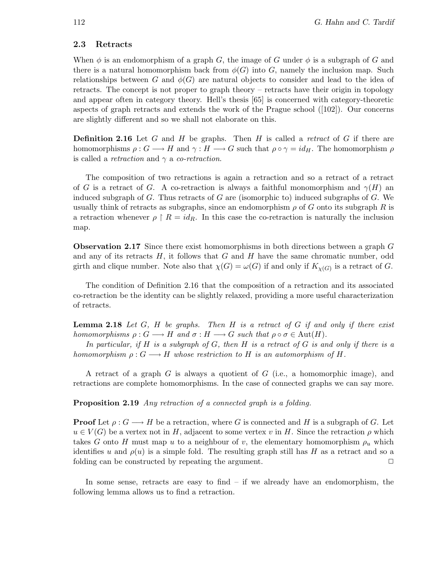### 2.3 Retracts

When  $\phi$  is an endomorphism of a graph G, the image of G under  $\phi$  is a subgraph of G and there is a natural homomorphism back from  $\phi(G)$  into G, namely the inclusion map. Such relationships between G and  $\phi(G)$  are natural objects to consider and lead to the idea of retracts. The concept is not proper to graph theory – retracts have their origin in topology and appear often in category theory. Hell's thesis [65] is concerned with category-theoretic aspects of graph retracts and extends the work of the Prague school  $(102)$ . Our concerns are slightly different and so we shall not elaborate on this.

**Definition 2.16** Let G and H be graphs. Then H is called a retract of G if there are homomorphisms  $\rho: G \longrightarrow H$  and  $\gamma: H \longrightarrow G$  such that  $\rho \circ \gamma = id_H$ . The homomorphism  $\rho$ is called a *retraction* and  $\gamma$  a *co-retraction*.

The composition of two retractions is again a retraction and so a retract of a retract of G is a retract of G. A co-retraction is always a faithful monomorphism and  $\gamma(H)$  and induced subgraph of  $G$ . Thus retracts of  $G$  are (isomorphic to) induced subgraphs of  $G$ . We usually think of retracts as subgraphs, since an endomorphism  $\rho$  of G onto its subgraph R is a retraction whenever  $\rho \upharpoonright R = id_R$ . In this case the co-retraction is naturally the inclusion map.

Observation 2.17 Since there exist homomorphisms in both directions between a graph G and any of its retracts  $H$ , it follows that  $G$  and  $H$  have the same chromatic number, odd girth and clique number. Note also that  $\chi(G) = \omega(G)$  if and only if  $K_{\chi(G)}$  is a retract of G.

The condition of Definition 2.16 that the composition of a retraction and its associated co-retraction be the identity can be slightly relaxed, providing a more useful characterization of retracts.

**Lemma 2.18** Let  $G$ ,  $H$  be graphs. Then  $H$  is a retract of  $G$  if and only if there exist homomorphisms  $\rho: G \longrightarrow H$  and  $\sigma: H \longrightarrow G$  such that  $\rho \circ \sigma \in \text{Aut}(H)$ .

In particular, if H is a subgraph of G, then H is a retract of G is and only if there is a homomorphism  $\rho: G \longrightarrow H$  whose restriction to H is an automorphism of H.

A retract of a graph  $G$  is always a quotient of  $G$  (i.e., a homomorphic image), and retractions are complete homomorphisms. In the case of connected graphs we can say more.

Proposition 2.19 Any retraction of a connected graph is a folding.

**Proof** Let  $\rho: G \longrightarrow H$  be a retraction, where G is connected and H is a subgraph of G. Let  $u \in V(G)$  be a vertex not in H, adjacent to some vertex v in H. Since the retraction  $\rho$  which takes G onto H must map u to a neighbour of v, the elementary homomorphism  $\rho_u$  which identifies u and  $\rho(u)$  is a simple fold. The resulting graph still has H as a retract and so a folding can be constructed by repeating the argument.  $\Box$ 

In some sense, retracts are easy to find  $-$  if we already have an endomorphism, the following lemma allows us to find a retraction.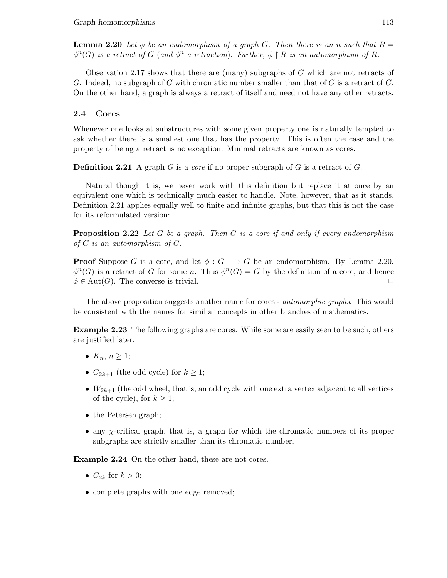**Lemma 2.20** Let  $\phi$  be an endomorphism of a graph G. Then there is an n such that  $R =$  $\phi^n(G)$  is a retract of G (and  $\phi^n$  a retraction). Further,  $\phi \restriction R$  is an automorphism of R.

Observation 2.17 shows that there are (many) subgraphs of G which are not retracts of G. Indeed, no subgraph of G with chromatic number smaller than that of G is a retract of G. On the other hand, a graph is always a retract of itself and need not have any other retracts.

# 2.4 Cores

Whenever one looks at substructures with some given property one is naturally tempted to ask whether there is a smallest one that has the property. This is often the case and the property of being a retract is no exception. Minimal retracts are known as cores.

**Definition 2.21** A graph G is a *core* if no proper subgraph of G is a retract of G.

Natural though it is, we never work with this definition but replace it at once by an equivalent one which is technically much easier to handle. Note, however, that as it stands, Definition 2.21 applies equally well to finite and infinite graphs, but that this is not the case for its reformulated version:

**Proposition 2.22** Let G be a graph. Then G is a core if and only if every endomorphism of  $G$  is an automorphism of  $G$ .

**Proof** Suppose G is a core, and let  $\phi: G \longrightarrow G$  be an endomorphism. By Lemma 2.20,  $\phi^{n}(G)$  is a retract of G for some n. Thus  $\phi^{n}(G) = G$  by the definition of a core, and hence  $\phi \in \text{Aut}(G)$ . The converse is trivial.

The above proposition suggests another name for cores - *automorphic graphs*. This would be consistent with the names for similiar concepts in other branches of mathematics.

Example 2.23 The following graphs are cores. While some are easily seen to be such, others are justified later.

- $K_n, n \geq 1$ ;
- $C_{2k+1}$  (the odd cycle) for  $k \geq 1$ ;
- $W_{2k+1}$  (the odd wheel, that is, an odd cycle with one extra vertex adjacent to all vertices of the cycle), for  $k \geq 1$ ;
- the Petersen graph;
- $\bullet$  any  $\gamma$ -critical graph, that is, a graph for which the chromatic numbers of its proper subgraphs are strictly smaller than its chromatic number.

Example 2.24 On the other hand, these are not cores.

- $C_{2k}$  for  $k > 0$ ;
- complete graphs with one edge removed;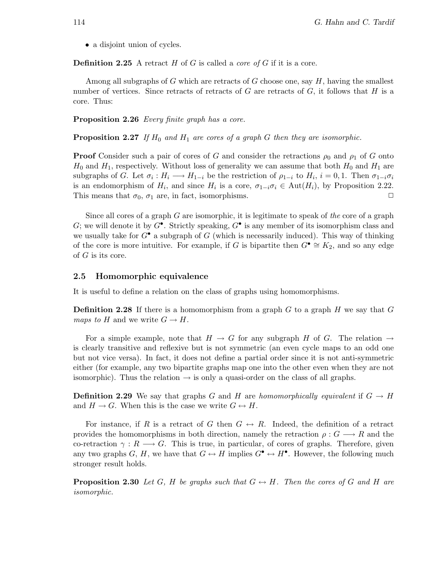• a disjoint union of cycles.

**Definition 2.25** A retract H of G is called a *core of G* if it is a core.

Among all subgraphs of G which are retracts of G choose one, say  $H$ , having the smallest number of vertices. Since retracts of retracts of  $G$  are retracts of  $G$ , it follows that  $H$  is a core. Thus:

Proposition 2.26 Every finite graph has a core.

**Proposition 2.27** If  $H_0$  and  $H_1$  are cores of a graph G then they are isomorphic.

**Proof** Consider such a pair of cores of G and consider the retractions  $\rho_0$  and  $\rho_1$  of G onto  $H_0$  and  $H_1$ , respectively. Without loss of generality we can assume that both  $H_0$  and  $H_1$  are subgraphs of G. Let  $\sigma_i: H_i \longrightarrow H_{1-i}$  be the restriction of  $\rho_{1-i}$  to  $H_i$ ,  $i=0,1$ . Then  $\sigma_{1-i}\sigma_i$ is an endomorphism of  $H_i$ , and since  $H_i$  is a core,  $\sigma_{1-i}\sigma_i \in \text{Aut}(H_i)$ , by Proposition 2.22. This means that  $\sigma_0$ ,  $\sigma_1$  are, in fact, isomorphisms.  $\Box$ 

Since all cores of a graph  $G$  are isomorphic, it is legitimate to speak of the core of a graph G; we will denote it by  $G^{\bullet}$ . Strictly speaking,  $G^{\bullet}$  is any member of its isomorphism class and we usually take for  $G^{\bullet}$  a subgraph of G (which is necessarily induced). This way of thinking of the core is more intuitive. For example, if G is bipartite then  $G^{\bullet} \cong K_2$ , and so any edge of G is its core.

### 2.5 Homomorphic equivalence

It is useful to define a relation on the class of graphs using homomorphisms.

**Definition 2.28** If there is a homomorphism from a graph G to a graph H we say that G maps to H and we write  $G \to H$ .

For a simple example, note that  $H \to G$  for any subgraph H of G. The relation  $\to$ is clearly transitive and reflexive but is not symmetric (an even cycle maps to an odd one but not vice versa). In fact, it does not define a partial order since it is not anti-symmetric either (for example, any two bipartite graphs map one into the other even when they are not isomorphic). Thus the relation  $\rightarrow$  is only a quasi-order on the class of all graphs.

**Definition 2.29** We say that graphs G and H are homomorphically equivalent if  $G \rightarrow H$ and  $H \to G$ . When this is the case we write  $G \leftrightarrow H$ .

For instance, if R is a retract of G then  $G \leftrightarrow R$ . Indeed, the definition of a retract provides the homomorphisms in both direction, namely the retraction  $\rho: G \longrightarrow R$  and the co-retraction  $\gamma: R \longrightarrow G$ . This is true, in particular, of cores of graphs. Therefore, given any two graphs G, H, we have that  $G \leftrightarrow H$  implies  $G^{\bullet} \leftrightarrow H^{\bullet}$ . However, the following much stronger result holds.

**Proposition 2.30** Let G, H be graphs such that  $G \leftrightarrow H$ . Then the cores of G and H are isomorphic.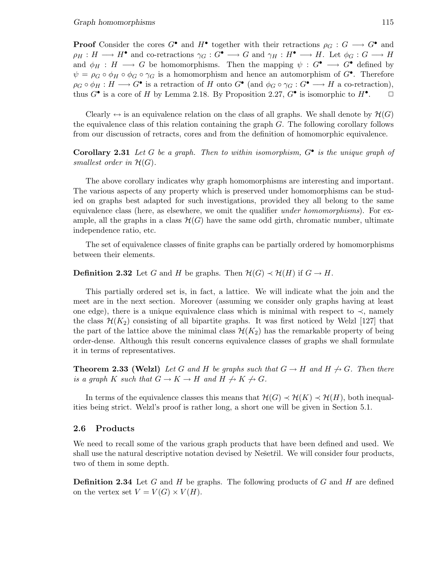**Proof** Consider the cores  $G^{\bullet}$  and  $H^{\bullet}$  together with their retractions  $\rho_G : G \longrightarrow G^{\bullet}$  and  $\rho_H : H \longrightarrow H^{\bullet}$  and co-retractions  $\gamma_G : G^{\bullet} \longrightarrow G$  and  $\gamma_H : H^{\bullet} \longrightarrow H$ . Let  $\phi_G : G \longrightarrow H$ and  $\phi_H : H \longrightarrow G$  be homomorphisms. Then the mapping  $\psi : G^{\bullet} \longrightarrow G^{\bullet}$  defined by  $\psi = \rho_G \circ \phi_H \circ \phi_G \circ \gamma_G$  is a homomorphism and hence an automorphism of  $G^{\bullet}$ . Therefore  $\rho_G \circ \phi_H : H \longrightarrow G^{\bullet}$  is a retraction of H onto  $G^{\bullet}$  (and  $\phi_G \circ \gamma_G : G^{\bullet} \longrightarrow H$  a co-retraction), thus  $G^{\bullet}$  is a core of H by Lemma 2.18. By Proposition 2.27,  $G^{\bullet}$  is isomorphic to  $H^{\bullet}$  $\Box$ 

Clearly  $\leftrightarrow$  is an equivalence relation on the class of all graphs. We shall denote by  $\mathcal{H}(G)$ the equivalence class of this relation containing the graph  $G$ . The following corollary follows from our discussion of retracts, cores and from the definition of homomorphic equivalence.

**Corollary 2.31** Let G be a graph. Then to within isomorphism,  $G^{\bullet}$  is the unique graph of smallest order in  $H(G)$ .

The above corollary indicates why graph homomorphisms are interesting and important. The various aspects of any property which is preserved under homomorphisms can be studied on graphs best adapted for such investigations, provided they all belong to the same equivalence class (here, as elsewhere, we omit the qualifier under homomorphisms). For example, all the graphs in a class  $\mathcal{H}(G)$  have the same odd girth, chromatic number, ultimate independence ratio, etc.

The set of equivalence classes of finite graphs can be partially ordered by homomorphisms between their elements.

**Definition 2.32** Let G and H be graphs. Then  $\mathcal{H}(G) \prec \mathcal{H}(H)$  if  $G \rightarrow H$ .

This partially ordered set is, in fact, a lattice. We will indicate what the join and the meet are in the next section. Moreover (assuming we consider only graphs having at least one edge), there is a unique equivalence class which is minimal with respect to  $\prec$ , namely the class  $\mathcal{H}(K_2)$  consisting of all bipartite graphs. It was first noticed by Welzl [127] that the part of the lattice above the minimal class  $\mathcal{H}(K_2)$  has the remarkable property of being order-dense. Although this result concerns equivalence classes of graphs we shall formulate it in terms of representatives.

**Theorem 2.33 (Welzl)** Let G and H be graphs such that  $G \rightarrow H$  and  $H \not\rightarrow G$ . Then there is a graph K such that  $G \to K \to H$  and  $H \not\to K \not\to G$ .

In terms of the equivalence classes this means that  $\mathcal{H}(G) \prec \mathcal{H}(K) \prec \mathcal{H}(H)$ , both inequalities being strict. Welzl's proof is rather long, a short one will be given in Section 5.1.

### 2.6 Products

We need to recall some of the various graph products that have been defined and used. We shall use the natural descriptive notation devised by Nešetřil. We will consider four products, two of them in some depth.

**Definition 2.34** Let G and H be graphs. The following products of G and H are defined on the vertex set  $V = V(G) \times V(H)$ .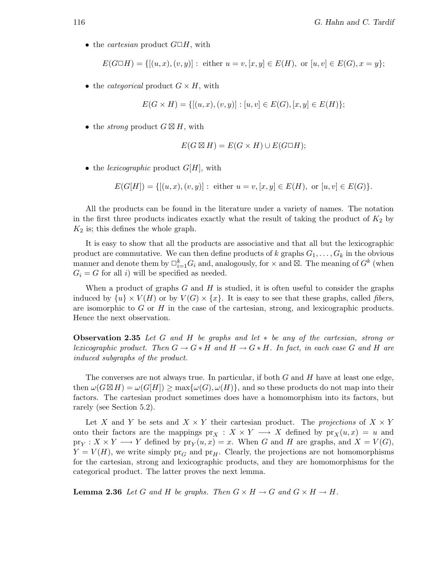• the *cartesian* product  $G \square H$ , with

$$
E(G \Box H) = \{ [(u, x), (v, y)] : \text{ either } u = v, [x, y] \in E(H), \text{ or } [u, v] \in E(G), x = y \};
$$

• the *categorical* product  $G \times H$ , with

$$
E(G \times H) = \{ [(u, x), (v, y)] : [u, v] \in E(G), [x, y] \in E(H) \};
$$

• the *strong* product  $G \boxtimes H$ , with

$$
E(G \boxtimes H) = E(G \times H) \cup E(G \square H);
$$

• the lexicographic product  $G[H]$ , with

$$
E(G[H]) = \{ [(u, x), (v, y)] : \text{ either } u = v, [x, y] \in E(H), \text{ or } [u, v] \in E(G) \}.
$$

All the products can be found in the literature under a variety of names. The notation in the first three products indicates exactly what the result of taking the product of  $K_2$  by  $K_2$  is; this defines the whole graph.

It is easy to show that all the products are associative and that all but the lexicographic product are commutative. We can then define products of k graphs  $G_1, \ldots, G_k$  in the obvious manner and denote them by  $\Box_{i=1}^k G_i$  and, analogously, for  $\times$  and  $\boxtimes$ . The meaning of  $G^k$  (when  $G_i = G$  for all i) will be specified as needed.

When a product of graphs  $G$  and  $H$  is studied, it is often useful to consider the graphs induced by  $\{u\}\times V(H)$  or by  $V(G)\times \{x\}$ . It is easy to see that these graphs, called *fibers*. are isomorphic to  $G$  or  $H$  in the case of the cartesian, strong, and lexicographic products. Hence the next observation.

**Observation 2.35** Let G and H be graphs and let  $*$  be any of the cartesian, strong or lexicographic product. Then  $G \to G * H$  and  $H \to G * H$ . In fact, in each case G and H are induced subgraphs of the product.

The converses are not always true. In particular, if both  $G$  and  $H$  have at least one edge, then  $\omega(G \boxtimes H) = \omega(G|H|) \ge \max{\{\omega(G), \omega(H)\}}$ , and so these products do not map into their factors. The cartesian product sometimes does have a homomorphism into its factors, but rarely (see Section 5.2).

Let X and Y be sets and  $X \times Y$  their cartesian product. The projections of  $X \times Y$ onto their factors are the mappings  $\text{pr}_X : X \times Y \longrightarrow X$  defined by  $\text{pr}_X(u,x) = u$  and  $\text{pr}_Y : X \times Y \longrightarrow Y$  defined by  $\text{pr}_Y(u, x) = x$ . When G and H are graphs, and  $X = V(G)$ ,  $Y = V(H)$ , we write simply  $pr_G$  and  $pr_H$ . Clearly, the projections are not homomorphisms for the cartesian, strong and lexicographic products, and they are homomorphisms for the categorical product. The latter proves the next lemma.

**Lemma 2.36** Let G and H be graphs. Then  $G \times H \to G$  and  $G \times H \to H$ .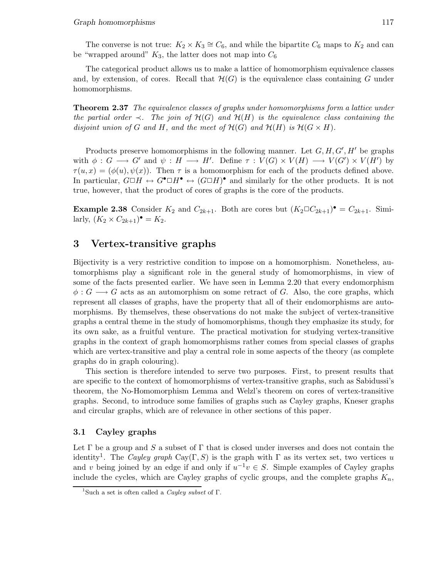The converse is not true:  $K_2 \times K_3 \cong C_6$ , and while the bipartite  $C_6$  maps to  $K_2$  and can be "wrapped around"  $K_3$ , the latter does not map into  $C_6$ 

The categorical product allows us to make a lattice of homomorphism equivalence classes and, by extension, of cores. Recall that  $\mathcal{H}(G)$  is the equivalence class containing G under homomorphisms.

**Theorem 2.37** The equivalence classes of graphs under homomorphisms form a lattice under the partial order  $\prec$ . The join of  $\mathcal{H}(G)$  and  $\mathcal{H}(H)$  is the equivalence class containing the disjoint union of G and H, and the meet of  $\mathcal{H}(G)$  and  $\mathcal{H}(H)$  is  $\mathcal{H}(G \times H)$ .

Products preserve homomorphisms in the following manner. Let  $G, H, G', H'$  be graphs with  $\phi: G \longrightarrow G'$  and  $\psi: H \longrightarrow H'$ . Define  $\tau: V(G) \times V(H) \longrightarrow V(G') \times V(H')$  by  $\tau(u,x) = (\phi(u), \psi(x))$ . Then  $\tau$  is a homomorphism for each of the products defined above. In particular,  $G \Box H \leftrightarrow G^{\bullet} \Box H^{\bullet} \leftrightarrow (G \Box H)^{\bullet}$  and similarly for the other products. It is not true, however, that the product of cores of graphs is the core of the products.

**Example 2.38** Consider  $K_2$  and  $C_{2k+1}$ . Both are cores but  $(K_2 \square C_{2k+1})^{\bullet} = C_{2k+1}$ . Similarly,  $(K_2 \times C_{2k+1})^{\bullet} = K_2$ .

# 3 Vertex-transitive graphs

Bijectivity is a very restrictive condition to impose on a homomorphism. Nonetheless, automorphisms play a significant role in the general study of homomorphisms, in view of some of the facts presented earlier. We have seen in Lemma 2.20 that every endomorphism  $\phi: G \longrightarrow G$  acts as an automorphism on some retract of G. Also, the core graphs, which represent all classes of graphs, have the property that all of their endomorphisms are automorphisms. By themselves, these observations do not make the subject of vertex-transitive graphs a central theme in the study of homomorphisms, though they emphasize its study, for its own sake, as a fruitful venture. The practical motivation for studying vertex-transitive graphs in the context of graph homomorphisms rather comes from special classes of graphs which are vertex-transitive and play a central role in some aspects of the theory (as complete graphs do in graph colouring).

This section is therefore intended to serve two purposes. First, to present results that are specific to the context of homomorphisms of vertex-transitive graphs, such as Sabidussi's theorem, the No-Homomorphism Lemma and Welzl's theorem on cores of vertex-transitive graphs. Second, to introduce some families of graphs such as Cayley graphs, Kneser graphs and circular graphs, which are of relevance in other sections of this paper.

### 3.1 Cayley graphs

Let  $\Gamma$  be a group and S a subset of  $\Gamma$  that is closed under inverses and does not contain the identity<sup>1</sup>. The Cayley graph Cay( $\Gamma, S$ ) is the graph with  $\Gamma$  as its vertex set, two vertices u and v being joined by an edge if and only if  $u^{-1}v \in S$ . Simple examples of Cayley graphs include the cycles, which are Cayley graphs of cyclic groups, and the complete graphs  $K_n$ ,

<sup>&</sup>lt;sup>1</sup>Such a set is often called a *Cayley subset* of Γ.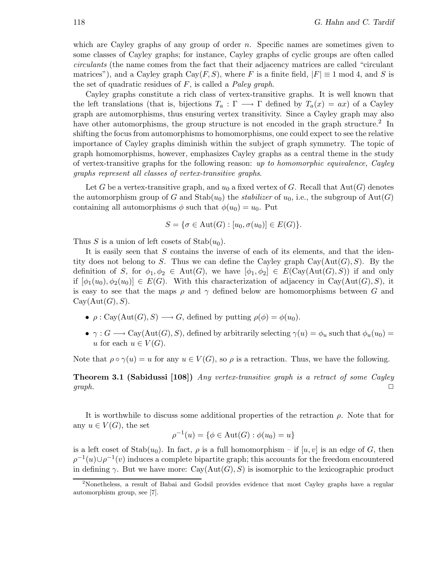which are Cayley graphs of any group of order  $n$ . Specific names are sometimes given to some classes of Cayley graphs; for instance, Cayley graphs of cyclic groups are often called circulants (the name comes from the fact that their adjacency matrices are called "circulant matrices"), and a Cayley graph Cay(F, S), where F is a finite field,  $|F| \equiv 1 \mod 4$ , and S is the set of quadratic residues of  $F$ , is called a *Paley graph*.

Cayley graphs constitute a rich class of vertex-transitive graphs. It is well known that the left translations (that is, bijections  $T_a: \Gamma \longrightarrow \Gamma$  defined by  $T_a(x) = ax$ ) of a Cayley graph are automorphisms, thus ensuring vertex transitivity. Since a Cayley graph may also have other automorphisms, the group structure is not encoded in the graph structure.<sup>2</sup> In shifting the focus from automorphisms to homomorphisms, one could expect to see the relative importance of Cayley graphs diminish within the subject of graph symmetry. The topic of graph homomorphisms, however, emphasizes Cayley graphs as a central theme in the study of vertex-transitive graphs for the following reason: up to homomorphic equivalence, Cayley graphs represent all classes of vertex-transitive graphs.

Let G be a vertex-transitive graph, and  $u_0$  a fixed vertex of G. Recall that  $Aut(G)$  denotes the automorphism group of G and Stab $(u_0)$  the stabilizer of  $u_0$ , i.e., the subgroup of Aut $(G)$ containing all automorphisms  $\phi$  such that  $\phi(u_0) = u_0$ . Put

$$
S = \{ \sigma \in \text{Aut}(G) : [u_0, \sigma(u_0)] \in E(G) \}.
$$

Thus S is a union of left cosets of  $\text{Stab}(u_0)$ .

It is easily seen that S contains the inverse of each of its elements, and that the identity does not belong to S. Thus we can define the Cayley graph  $Cay(Aut(G),S)$ . By the definition of S, for  $\phi_1, \phi_2 \in \text{Aut}(G)$ , we have  $[\phi_1, \phi_2] \in E(\text{Cay}(\text{Aut}(G), S))$  if and only if  $[\phi_1(u_0), \phi_2(u_0)] \in E(G)$ . With this characterization of adjacency in Cay(Aut(G), S), it is easy to see that the maps  $\rho$  and  $\gamma$  defined below are homomorphisms between G and  $Cay(Aut(G),S).$ 

- $\rho : \text{Cay}(\text{Aut}(G), S) \longrightarrow G$ , defined by putting  $\rho(\phi) = \phi(u_0)$ .
- $\gamma: G \longrightarrow \text{Cay}(\text{Aut}(G), S)$ , defined by arbitrarily selecting  $\gamma(u) = \phi_u$  such that  $\phi_u(u_0) =$ u for each  $u \in V(G)$ .

Note that  $\rho \circ \gamma(u) = u$  for any  $u \in V(G)$ , so  $\rho$  is a retraction. Thus, we have the following.

**Theorem 3.1 (Sabidussi [108])** Any vertex-transitive graph is a retract of some Cayley  $graph.$ 

It is worthwhile to discuss some additional properties of the retraction  $\rho$ . Note that for any  $u \in V(G)$ , the set

$$
\rho^{-1}(u) = \{ \phi \in \text{Aut}(G) : \phi(u_0) = u \}
$$

is a left coset of  $\text{Stab}(u_0)$ . In fact,  $\rho$  is a full homomorphism – if  $[u, v]$  is an edge of G, then  $\rho^{-1}(u) \cup \rho^{-1}(v)$  induces a complete bipartite graph; this accounts for the freedom encountered in defining  $\gamma$ . But we have more: Cay(Aut(G), S) is isomorphic to the lexicographic product

<sup>2</sup>Nonetheless, a result of Babai and Godsil provides evidence that most Cayley graphs have a regular automorphism group, see [7].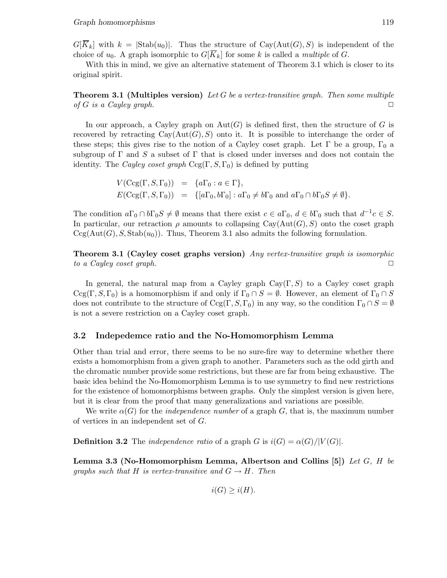$G[\overline{K}_k]$  with  $k = |\text{Stab}(u_0)|$ . Thus the structure of Cay(Aut(G), S) is independent of the choice of  $u_0$ . A graph isomorphic to  $G[\overline{K}_k]$  for some k is called a *multiple* of G.

With this in mind, we give an alternative statement of Theorem 3.1 which is closer to its original spirit.

### **Theorem 3.1 (Multiples version)** Let G be a vertex-transitive graph. Then some multiple of G is a Cayley graph.  $\square$

In our approach, a Cayley graph on  $Aut(G)$  is defined first, then the structure of G is recovered by retracting  $Cay(Aut(G),S)$  onto it. It is possible to interchange the order of these steps; this gives rise to the notion of a Cayley coset graph. Let  $\Gamma$  be a group,  $\Gamma_0$  a subgroup of  $\Gamma$  and S a subset of  $\Gamma$  that is closed under inverses and does not contain the identity. The *Cayley coset graph*  $Ccg(\Gamma, S, \Gamma_0)$  is defined by putting

> $V(\text{Ccg}(\Gamma, S, \Gamma_0)) = \{a\Gamma_0 : a \in \Gamma\},\$  $E(\text{Ccg}(\Gamma,S,\Gamma_0)) = \{ [a\Gamma_0,b\Gamma_0] : a\Gamma_0 \neq b\Gamma_0 \text{ and } a\Gamma_0 \cap b\Gamma_0 S \neq \emptyset \}.$

The condition  $a\Gamma_0 \cap b\Gamma_0 S \neq \emptyset$  means that there exist  $c \in a\Gamma_0$ ,  $d \in b\Gamma_0$  such that  $d^{-1}c \in S$ . In particular, our retraction  $\rho$  amounts to collapsing Cay( $Aut(G), S$ ) onto the coset graph  $Ccg(Aut(G), S, Stab(u_0))$ . Thus, Theorem 3.1 also admits the following formulation.

Theorem 3.1 (Cayley coset graphs version) Any vertex-transitive graph is isomorphic to a Cayley coset graph.  $\Box$ 

In general, the natural map from a Cayley graph  $Cay(\Gamma, S)$  to a Cayley coset graph  $Ccg(\Gamma, S, \Gamma_0)$  is a homomorphism if and only if  $\Gamma_0 \cap S = \emptyset$ . However, an element of  $\Gamma_0 \cap S$ does not contribute to the structure of Ccg(Γ, S, Γ<sub>0</sub>) in any way, so the condition  $\Gamma_0 \cap S = \emptyset$ is not a severe restriction on a Cayley coset graph.

#### 3.2 Indepedemce ratio and the No-Homomorphism Lemma

Other than trial and error, there seems to be no sure-fire way to determine whether there exists a homomorphism from a given graph to another. Parameters such as the odd girth and the chromatic number provide some restrictions, but these are far from being exhaustive. The basic idea behind the No-Homomorphism Lemma is to use symmetry to find new restrictions for the existence of homomorphisms between graphs. Only the simplest version is given here, but it is clear from the proof that many generalizations and variations are possible.

We write  $\alpha(G)$  for the *independence number* of a graph G, that is, the maximum number of vertices in an independent set of G.

**Definition 3.2** The independence ratio of a graph G is  $i(G) = \alpha(G)/|V(G)|$ .

Lemma 3.3 (No-Homomorphism Lemma, Albertson and Collins [5]) Let G, H be graphs such that H is vertex-transitive and  $G \to H$ . Then

 $i(G) \geq i(H)$ .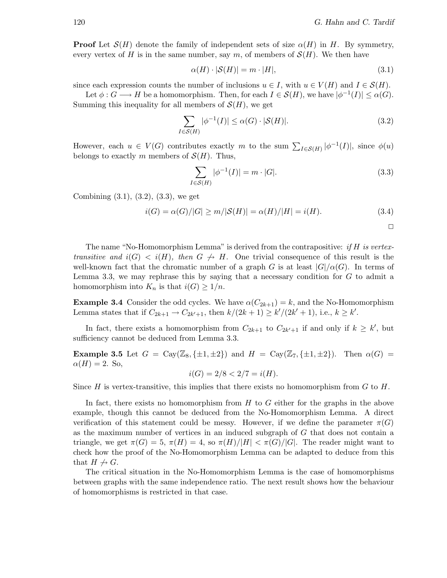**Proof** Let  $\mathcal{S}(H)$  denote the family of independent sets of size  $\alpha(H)$  in H. By symmetry, every vertex of H is in the same number, say m, of members of  $\mathcal{S}(H)$ . We then have

$$
\alpha(H) \cdot |\mathcal{S}(H)| = m \cdot |H|,\tag{3.1}
$$

since each expression counts the number of inclusions  $u \in I$ , with  $u \in V(H)$  and  $I \in \mathcal{S}(H)$ .

Let  $\phi: G \longrightarrow H$  be a homomorphism. Then, for each  $I \in \mathcal{S}(H)$ , we have  $|\phi^{-1}(I)| \leq \alpha(G)$ . Summing this inequality for all members of  $\mathcal{S}(H)$ , we get

$$
\sum_{I \in \mathcal{S}(H)} |\phi^{-1}(I)| \le \alpha(G) \cdot |\mathcal{S}(H)|. \tag{3.2}
$$

However, each  $u \in V(G)$  contributes exactly m to the sum  $\sum_{I \in \mathcal{S}(H)} |\phi^{-1}(I)|$ , since  $\phi(u)$ belongs to exactly m members of  $\mathcal{S}(H)$ . Thus,

$$
\sum_{I \in \mathcal{S}(H)} |\phi^{-1}(I)| = m \cdot |G|.
$$
\n(3.3)

Combining (3.1), (3.2), (3.3), we get

$$
i(G) = \alpha(G)/|G| \ge m/|S(H)| = \alpha(H)/|H| = i(H). \tag{3.4}
$$

 $\Box$ 

The name "No-Homomorphism Lemma" is derived from the contrapositive: if  $H$  is vertextransitive and  $i(G) < i(H)$ , then  $G \nrightarrow H$ . One trivial consequence of this result is the well-known fact that the chromatic number of a graph G is at least  $|G|/\alpha(G)$ . In terms of Lemma 3.3, we may rephrase this by saying that a necessary condition for  $G$  to admit a homomorphism into  $K_n$  is that  $i(G) \geq 1/n$ .

**Example 3.4** Consider the odd cycles. We have  $\alpha(C_{2k+1}) = k$ , and the No-Homomorphism Lemma states that if  $C_{2k+1} \to C_{2k'+1}$ , then  $k/(2k+1) \ge k'/(2k'+1)$ , i.e.,  $k \ge k'$ .

In fact, there exists a homomorphism from  $C_{2k+1}$  to  $C_{2k'+1}$  if and only if  $k \geq k'$ , but sufficiency cannot be deduced from Lemma 3.3.

**Example 3.5** Let  $G = \text{Cay}(\mathbb{Z}_8, \{\pm 1, \pm 2\})$  and  $H = \text{Cay}(\mathbb{Z}_7, \{\pm 1, \pm 2\})$ . Then  $\alpha(G)$  $\alpha(H) = 2$ . So,

$$
i(G) = 2/8 < 2/7 = i(H).
$$

Since H is vertex-transitive, this implies that there exists no homomorphism from  $G$  to  $H$ .

In fact, there exists no homomorphism from  $H$  to  $G$  either for the graphs in the above example, though this cannot be deduced from the No-Homomorphism Lemma. A direct verification of this statement could be messy. However, if we define the parameter  $\pi(G)$ as the maximum number of vertices in an induced subgraph of G that does not contain a triangle, we get  $\pi(G) = 5$ ,  $\pi(H) = 4$ , so  $\pi(H)/|H| < \pi(G)/|G|$ . The reader might want to check how the proof of the No-Homomorphism Lemma can be adapted to deduce from this that  $H \nrightarrow G$ .

The critical situation in the No-Homomorphism Lemma is the case of homomorphisms between graphs with the same independence ratio. The next result shows how the behaviour of homomorphisms is restricted in that case.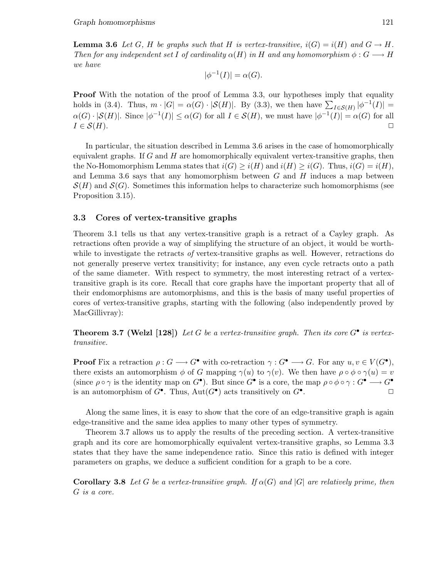**Lemma 3.6** Let G, H be graphs such that H is vertex-transitive,  $i(G) = i(H)$  and  $G \rightarrow H$ . Then for any independent set I of cardinality  $\alpha(H)$  in H and any homomorphism  $\phi: G \longrightarrow H$ we have

$$
|\phi^{-1}(I)| = \alpha(G).
$$

**Proof** With the notation of the proof of Lemma 3.3, our hypotheses imply that equality holds in (3.4). Thus,  $m \cdot |G| = \alpha(G) \cdot |\mathcal{S}(H)|$ . By (3.3), we then have  $\sum_{I \in \mathcal{S}(H)} |\phi^{-1}(I)| =$  $\alpha(G) \cdot |\mathcal{S}(H)|$ . Since  $|\phi^{-1}(I)| \leq \alpha(G)$  for all  $I \in \mathcal{S}(H)$ , we must have  $|\phi^{-1}(I)| = \alpha(G)$  for all  $I \in \mathcal{S}(H)$ .

In particular, the situation described in Lemma 3.6 arises in the case of homomorphically equivalent graphs. If  $G$  and  $H$  are homomorphically equivalent vertex-transitive graphs, then the No-Homomorphism Lemma states that  $i(G) \geq i(H)$  and  $i(H) \geq i(G)$ . Thus,  $i(G) = i(H)$ , and Lemma 3.6 says that any homomorphism between  $G$  and  $H$  induces a map between  $\mathcal{S}(H)$  and  $\mathcal{S}(G)$ . Sometimes this information helps to characterize such homomorphisms (see Proposition 3.15).

### 3.3 Cores of vertex-transitive graphs

Theorem 3.1 tells us that any vertex-transitive graph is a retract of a Cayley graph. As retractions often provide a way of simplifying the structure of an object, it would be worthwhile to investigate the retracts of vertex-transitive graphs as well. However, retractions do not generally preserve vertex transitivity; for instance, any even cycle retracts onto a path of the same diameter. With respect to symmetry, the most interesting retract of a vertextransitive graph is its core. Recall that core graphs have the important property that all of their endomorphisms are automorphisms, and this is the basis of many useful properties of cores of vertex-transitive graphs, starting with the following (also independently proved by MacGillivray):

**Theorem 3.7 (Welzl [128])** Let G be a vertex-transitive graph. Then its core  $G^{\bullet}$  is vertextransitive.

**Proof** Fix a retraction  $\rho: G \longrightarrow G^{\bullet}$  with co-retraction  $\gamma: G^{\bullet} \longrightarrow G$ . For any  $u, v \in V(G^{\bullet})$ , there exists an automorphism  $\phi$  of G mapping  $\gamma(u)$  to  $\gamma(v)$ . We then have  $\rho \circ \phi \circ \gamma(u) = v$ (since  $\rho \circ \gamma$  is the identity map on  $G^{\bullet}$ ). But since  $G^{\bullet}$  is a core, the map  $\rho \circ \phi \circ \gamma : G^{\bullet} \longrightarrow G^{\bullet}$ is an automorphism of  $G^{\bullet}$ . Thus,  $Aut(G^{\bullet})$  acts transitively on  $G^{\bullet}$ .  $\Box$ 

Along the same lines, it is easy to show that the core of an edge-transitive graph is again edge-transitive and the same idea applies to many other types of symmetry.

Theorem 3.7 allows us to apply the results of the preceding section. A vertex-transitive graph and its core are homomorphically equivalent vertex-transitive graphs, so Lemma 3.3 states that they have the same independence ratio. Since this ratio is defined with integer parameters on graphs, we deduce a sufficient condition for a graph to be a core.

**Corollary 3.8** Let G be a vertex-transitive graph. If  $\alpha(G)$  and  $|G|$  are relatively prime, then G is a core.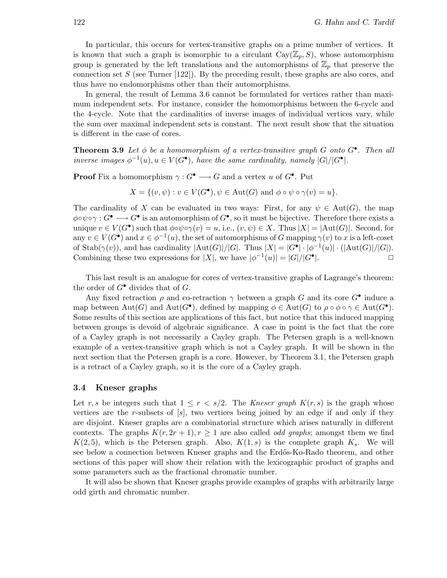In particular, this occurs for vertex-transitive graphs on a prime number of vertices. It is known that such a graph is isomorphic to a circulant  $Cay(\mathbb{Z}_p,S)$ , whose automorphism group is generated by the left translations and the automorphisms of  $\mathbb{Z}_p$  that preserve the connection set  $S$  (see Turner [122]). By the preceding result, these graphs are also cores, and thus have no endomorphisms other than their automorphisms.

In general, the result of Lemma 3.6 cannot be formulated for vertices rather than maximum independent sets. For instance, consider the homomorphisms between the 6-cycle and the 4-cycle. Note that the cardinalities of inverse images of individual vertices vary, while the sum over maximal independent sets is constant. The next result show that the situation is different in the case of cores.

**Theorem 3.9** Let  $\phi$  be a homomorphism of a vertex-transitive graph G onto  $G^{\bullet}$ . Then all inverse images  $\phi^{-1}(u), u \in V(G^{\bullet}),$  have the same cardinality, namely  $|G|/|G^{\bullet}|$ .

**Proof** Fix a homomorphism  $\gamma: G^{\bullet} \longrightarrow G$  and a vertex u of  $G^{\bullet}$ . Put

$$
X = \{ (v, \psi) : v \in V(G^{\bullet}), \psi \in \text{Aut}(G) \text{ and } \phi \circ \psi \circ \gamma(v) = u \}.
$$

The cardinality of X can be evaluated in two ways: First, for any  $\psi \in Aut(G)$ , the map  $\phi \circ \psi \circ \gamma : G^{\bullet} \longrightarrow G^{\bullet}$  is an automorphism of  $G^{\bullet}$ , so it must be bijective. Therefore there exists a unique  $v \in V(G^{\bullet})$  such that  $\phi \circ \phi \circ \gamma(v) = u$ , i.e.,  $(v, \psi) \in X$ . Thus  $|X| = |\text{Aut}(G)|$ . Second, for any  $v \in V(G^{\bullet})$  and  $x \in \phi^{-1}(u)$ , the set of automorphisms of G mapping  $\gamma(v)$  to x is a left-coset of Stab( $\gamma(v)$ ), and has cardinality  $|\text{Aut}(G)|/|G|$ . Thus  $|X| = |G^{\bullet}| \cdot |\phi^{-1}(u)| \cdot (|\text{Aut}(G)|/|G|)$ . Combining these two expressions for |X|, we have  $|\phi^{-1}(u)| = |G|/|G^{\bullet}|$ |. ✷

This last result is an analogue for cores of vertex-transitive graphs of Lagrange's theorem: the order of  $G^{\bullet}$  divides that of  $G$ .

Any fixed retraction  $\rho$  and co-retraction  $\gamma$  between a graph G and its core  $G^{\bullet}$  induce a map between  $\text{Aut}(G)$  and  $\text{Aut}(G^{\bullet})$ , defined by mapping  $\phi \in \text{Aut}(G)$  to  $\rho \circ \phi \circ \gamma \in \text{Aut}(G^{\bullet})$ . Some results of this section are applications of this fact, but notice that this induced mapping between groups is devoid of algebraic significance. A case in point is the fact that the core of a Cayley graph is not necessarily a Cayley graph. The Petersen graph is a well-known example of a vertex-transitive graph which is not a Cayley graph. It will be shown in the next section that the Petersen graph is a core. However, by Theorem 3.1, the Petersen graph is a retract of a Cayley graph, so it is the core of a Cayley graph.

### 3.4 Kneser graphs

Let r, s be integers such that  $1 \leq r < s/2$ . The Kneser graph  $K(r, s)$  is the graph whose vertices are the r-subsets of  $[s]$ , two vertices being joined by an edge if and only if they are disjoint. Kneser graphs are a combinatorial structure which arises naturally in different contexts. The graphs  $K(r, 2r + 1), r \ge 1$  are also called *odd graphs*; amongst them we find  $K(2, 5)$ , which is the Petersen graph. Also,  $K(1, s)$  is the complete graph  $K_s$ . We will see below a connection between Kneser graphs and the Erdős-Ko-Rado theorem, and other sections of this paper will show their relation with the lexicographic product of graphs and some parameters such as the fractional chromatic number.

It will also be shown that Kneser graphs provide examples of graphs with arbitrarily large odd girth and chromatic number.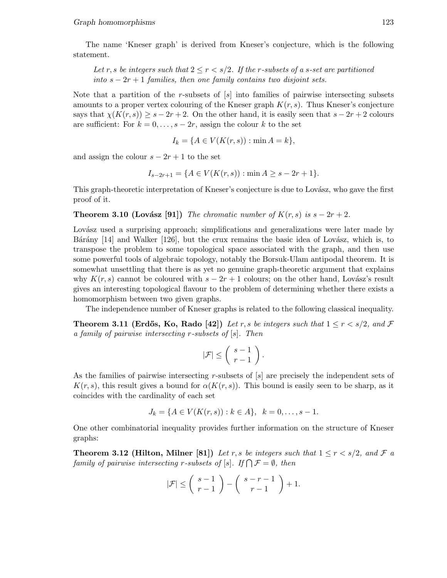The name 'Kneser graph' is derived from Kneser's conjecture, which is the following statement.

Let r, s be integers such that  $2 \le r \le s/2$ . If the r-subsets of a s-set are partitioned into  $s - 2r + 1$  families, then one family contains two disjoint sets.

Note that a partition of the r-subsets of  $[s]$  into families of pairwise intersecting subsets amounts to a proper vertex colouring of the Kneser graph  $K(r, s)$ . Thus Kneser's conjecture says that  $\chi(K(r,s)) \geq s - 2r + 2$ . On the other hand, it is easily seen that  $s - 2r + 2$  colours are sufficient: For  $k = 0, \ldots, s - 2r$ , assign the colour k to the set

$$
I_k = \{ A \in V(K(r, s)) : \min A = k \},\
$$

and assign the colour  $s - 2r + 1$  to the set

$$
I_{s-2r+1} = \{ A \in V(K(r,s)) : \min A \ge s - 2r + 1 \}.
$$

This graph-theoretic interpretation of Kneser's conjecture is due to Lovász, who gave the first proof of it.

**Theorem 3.10 (Lovász [91])** The chromatic number of  $K(r, s)$  is  $s - 2r + 2$ .

Lovász used a surprising approach; simplifications and generalizations were later made by Bárány  $[14]$  and Walker  $[126]$ , but the crux remains the basic idea of Lovász, which is, to transpose the problem to some topological space associated with the graph, and then use some powerful tools of algebraic topology, notably the Borsuk-Ulam antipodal theorem. It is somewhat unsettling that there is as yet no genuine graph-theoretic argument that explains why  $K(r, s)$  cannot be coloured with  $s - 2r + 1$  colours; on the other hand, Lovász's result gives an interesting topological flavour to the problem of determining whether there exists a homomorphism between two given graphs.

The independence number of Kneser graphs is related to the following classical inequality.

**Theorem 3.11 (Erdős, Ko, Rado [42])** Let r, s be integers such that  $1 \le r \le s/2$ , and F a family of pairwise intersecting r-subsets of [s]. Then

$$
|\mathcal{F}| \leq \left(\begin{array}{c} s-1\\ r-1 \end{array}\right).
$$

As the families of pairwise intersecting r-subsets of [s] are precisely the independent sets of  $K(r, s)$ , this result gives a bound for  $\alpha(K(r, s))$ . This bound is easily seen to be sharp, as it coincides with the cardinality of each set

$$
J_k = \{ A \in V(K(r, s)) : k \in A \}, \ \ k = 0, \dots, s - 1.
$$

One other combinatorial inequality provides further information on the structure of Kneser graphs:

**Theorem 3.12 (Hilton, Milner [81])** Let r, s be integers such that  $1 \le r \le s/2$ , and F a family of pairwise intersecting r-subsets of  $[s]$ . If  $\bigcap \mathcal{F} = \emptyset$ , then

$$
|\mathcal{F}| \le \left(\begin{array}{c} s-1 \\ r-1 \end{array}\right) - \left(\begin{array}{c} s-r-1 \\ r-1 \end{array}\right) + 1.
$$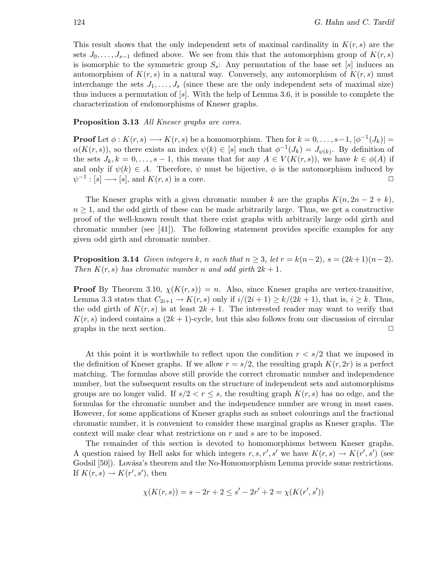This result shows that the only independent sets of maximal cardinality in  $K(r,s)$  are the sets  $J_0, \ldots, J_{s-1}$  defined above. We see from this that the automorphism group of  $K(r, s)$ is isomorphic to the symmetric group  $S_s$ : Any permutation of the base set [s] induces an automorphism of  $K(r, s)$  in a natural way. Conversely, any automorphism of  $K(r, s)$  must interchange the sets  $J_1, \ldots, J_s$  (since these are the only independent sets of maximal size) thus induces a permutation of  $[s]$ . With the help of Lemma 3.6, it is possible to complete the characterization of endomorphisms of Kneser graphs.

Proposition 3.13 All Kneser graphs are cores.

**Proof** Let  $\phi: K(r, s) \longrightarrow K(r, s)$  be a homomorphism. Then for  $k = 0, \ldots, s-1, |\phi^{-1}(J_k)| =$  $\alpha(K(r, s))$ , so there exists an index  $\psi(k) \in [s]$  such that  $\phi^{-1}(J_k) = J_{\psi(k)}$ . By definition of the sets  $J_k, k = 0, \ldots, s-1$ , this means that for any  $A \in V(K(r, s))$ , we have  $k \in \phi(A)$  if and only if  $\psi(k) \in A$ . Therefore,  $\psi$  must be bijective,  $\phi$  is the automorphism induced by  $\psi^{-1} : [s] \longrightarrow [s]$ , and  $K(r, s)$  is a core.

The Kneser graphs with a given chromatic number k are the graphs  $K(n, 2n-2+k)$ ,  $n \geq 1$ , and the odd girth of these can be made arbitrarily large. Thus, we get a constructive proof of the well-known result that there exist graphs with arbitrarily large odd girth and chromatic number (see [41]). The following statement provides specific examples for any given odd girth and chromatic number.

**Proposition 3.14** Given integers k, n such that  $n \geq 3$ , let  $r = k(n-2)$ ,  $s = (2k+1)(n-2)$ . Then  $K(r,s)$  has chromatic number n and odd girth  $2k+1$ .

**Proof** By Theorem 3.10,  $\chi(K(r, s)) = n$ . Also, since Kneser graphs are vertex-transitive, Lemma 3.3 states that  $C_{2i+1} \to K(r,s)$  only if  $i/(2i+1) \ge k/(2k+1)$ , that is,  $i \ge k$ . Thus, the odd girth of  $K(r, s)$  is at least  $2k + 1$ . The interested reader may want to verify that  $K(r, s)$  indeed contains a  $(2k+1)$ -cycle, but this also follows from our discussion of circular graphs in the next section.  $\Box$ 

At this point it is worthwhile to reflect upon the condition  $r < s/2$  that we imposed in the definition of Kneser graphs. If we allow  $r = s/2$ , the resulting graph  $K(r, 2r)$  is a perfect matching. The formulas above still provide the correct chromatic number and independence number, but the subsequent results on the structure of independent sets and automorphisms groups are no longer valid. If  $s/2 < r \leq s$ , the resulting graph  $K(r, s)$  has no edge, and the formulas for the chromatic number and the independence number are wrong in most cases. However, for some applications of Kneser graphs such as subset colourings and the fractional chromatic number, it is convenient to consider these marginal graphs as Kneser graphs. The context will make clear what restrictions on r and s are to be imposed.

The remainder of this section is devoted to homomorphisms between Kneser graphs. A question raised by Hell asks for which integers  $r, s, r', s'$  we have  $K(r, s) \to K(r', s')$  (see Godsil [50]). Lovász's theorem and the No-Homomorphism Lemma provide some restrictions. If  $K(r, s) \to K(r', s')$ , then

$$
\chi(K(r,s)) = s - 2r + 2 \le s' - 2r' + 2 = \chi(K(r',s'))
$$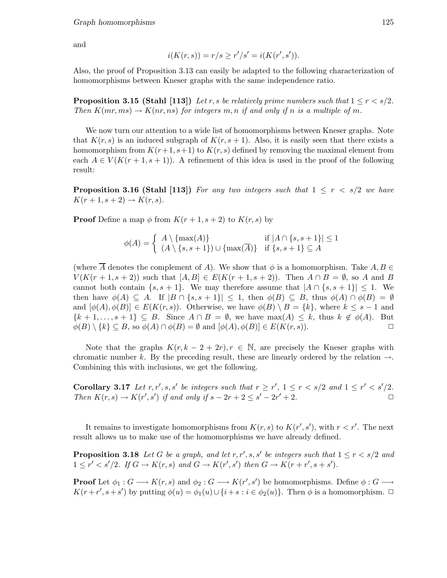and

$$
i(K(r, s)) = r/s \ge r'/s' = i(K(r', s')).
$$

Also, the proof of Proposition 3.13 can easily be adapted to the following characterization of homomorphisms between Kneser graphs with the same independence ratio.

**Proposition 3.15 (Stahl [113])** Let r, s be relatively prime numbers such that  $1 \leq r < s/2$ . Then  $K(mr,ms) \to K(nr,ns)$  for integers m, n if and only if n is a multiple of m.

We now turn our attention to a wide list of homomorphisms between Kneser graphs. Note that  $K(r, s)$  is an induced subgraph of  $K(r, s + 1)$ . Also, it is easily seen that there exists a homomorphism from  $K(r+1,s+1)$  to  $K(r,s)$  defined by removing the maximal element from each  $A \in V(K(r+1,s+1))$ . A refinement of this idea is used in the proof of the following result:

**Proposition 3.16 (Stahl [113])** For any two integers such that  $1 \leq r \leq s/2$  we have  $K(r+1,s+2) \rightarrow K(r,s).$ 

**Proof** Define a map  $\phi$  from  $K(r+1,s+2)$  to  $K(r,s)$  by

$$
\phi(A) = \begin{cases} A \setminus \{\max(A)\} & \text{if } |A \cap \{s, s+1\}| \le 1 \\ (A \setminus \{s, s+1\}) \cup \{\max(\overline{A})\} & \text{if } \{s, s+1\} \subseteq A \end{cases}
$$

(where A denotes the complement of A). We show that  $\phi$  is a homomorphism. Take  $A, B \in$  $V(K(r+1,s+2))$  such that  $[A,B] \in E(K(r+1,s+2))$ . Then  $A \cap B = \emptyset$ , so A and B cannot both contain  $\{s, s+1\}$ . We may therefore assume that  $|A \cap \{s, s+1\}| \leq 1$ . We then have  $\phi(A) \subseteq A$ . If  $|B \cap \{s, s+1\}| \leq 1$ , then  $\phi(B) \subseteq B$ , thus  $\phi(A) \cap \phi(B) = \emptyset$ and  $[\phi(A), \phi(B)] \in E(K(r, s))$ . Otherwise, we have  $\phi(B) \setminus B = \{k\}$ , where  $k \leq s - 1$  and  ${k+1,...,s+1} \subseteq B$ . Since  $A \cap B = \emptyset$ , we have  $max(A) \leq k$ , thus  $k \notin \phi(A)$ . But  $\phi(B) \setminus \{k\} \subseteq B$ , so  $\phi(A) \cap \phi(B) = \emptyset$  and  $[\phi(A), \phi(B)] \in E(K(r, s))$ .

Note that the graphs  $K(r, k-2+2r), r \in \mathbb{N}$ , are precisely the Kneser graphs with chromatic number k. By the preceding result, these are linearly ordered by the relation  $\rightarrow$ . Combining this with inclusions, we get the following.

Corollary 3.17 Let  $r, r', s, s'$  be integers such that  $r \ge r', 1 \le r < s/2$  and  $1 \le r' < s'/2$ . Then  $K(r, s) \to K(r', s')$  if and only if  $s - 2r + 2 \leq s' - 2r' + 2$ .

It remains to investigate homomorphisms from  $K(r, s)$  to  $K(r', s')$ , with  $r < r'$ . The next result allows us to make use of the homomorphisms we have already defined.

**Proposition 3.18** Let G be a graph, and let  $r, r', s, s'$  be integers such that  $1 \le r < s/2$  and  $1 \leq r' < s'/2$ . If  $G \to K(r, s)$  and  $G \to K(r', s')$  then  $G \to K(r + r', s + s')$ .

**Proof** Let  $\phi_1: G \longrightarrow K(r, s)$  and  $\phi_2: G \longrightarrow K(r', s')$  be homomorphisms. Define  $\phi: G \longrightarrow$  $K(r+r', s+s')$  by putting  $\phi(u) = \phi_1(u) \cup \{i+s : i \in \phi_2(u)\}\)$ . Then  $\phi$  is a homomorphism.  $\Box$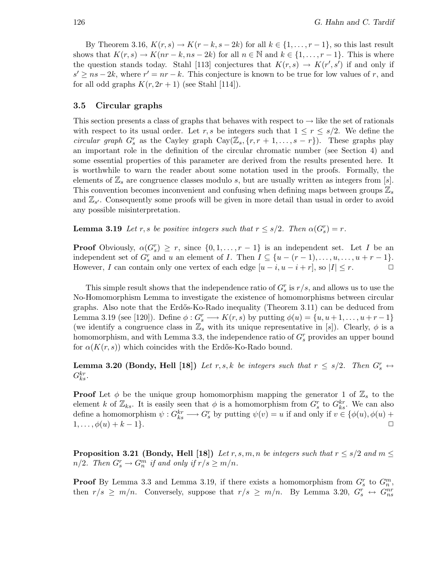By Theorem 3.16,  $K(r, s) \to K(r - k, s - 2k)$  for all  $k \in \{1, \ldots, r - 1\}$ , so this last result shows that  $K(r, s) \to K(nr - k, ns - 2k)$  for all  $n \in \mathbb{N}$  and  $k \in \{1, \ldots, r - 1\}$ . This is where the question stands today. Stahl [113] conjectures that  $K(r, s) \to K(r', s')$  if and only if  $s' \geq ns - 2k$ , where  $r' = nr - k$ . This conjecture is known to be true for low values of r, and for all odd graphs  $K(r, 2r + 1)$  (see Stahl [114]).

### 3.5 Circular graphs

This section presents a class of graphs that behaves with respect to  $\rightarrow$  like the set of rationals with respect to its usual order. Let r, s be integers such that  $1 \leq r \leq s/2$ . We define the circular graph  $G_s^r$  as the Cayley graph  $Cay(\mathbb{Z}_s, \{r, r+1, \ldots, s-r\})$ . These graphs play an important role in the definition of the circular chromatic number (see Section 4) and some essential properties of this parameter are derived from the results presented here. It is worthwhile to warn the reader about some notation used in the proofs. Formally, the elements of  $\mathbb{Z}_s$  are congruence classes modulo s, but are usually written as integers from [s]. This convention becomes inconvenient and confusing when defining maps between groups  $\mathbb{Z}_s$ and  $\mathbb{Z}_{s'}$ . Consequently some proofs will be given in more detail than usual in order to avoid any possible misinterpretation.

**Lemma 3.19** Let r, s be positive integers such that  $r \leq s/2$ . Then  $\alpha(G_s^r) = r$ .

**Proof** Obviously,  $\alpha(G_s^r) \geq r$ , since  $\{0, 1, \ldots, r-1\}$  is an independent set. Let I be an independent set of  $G_s^r$  and u an element of I. Then  $I \subseteq \{u - (r - 1), \ldots, u, \ldots, u + r - 1\}.$ However, I can contain only one vertex of each edge  $[u - i, u - i + r]$ , so  $|I| \leq r$ .

This simple result shows that the independence ratio of  $G_s^r$  is  $r/s$ , and allows us to use the No-Homomorphism Lemma to investigate the existence of homomorphisms between circular graphs. Also note that the Erd˝os-Ko-Rado inequality (Theorem 3.11) can be deduced from Lemma 3.19 (see [120]). Define  $\phi: G_s^r \longrightarrow K(r, s)$  by putting  $\phi(u) = \{u, u+1, \ldots, u+r-1\}$ (we identify a congruence class in  $\mathbb{Z}_s$  with its unique representative in [s]). Clearly,  $\phi$  is a homomorphism, and with Lemma 3.3, the independence ratio of  $G_s^r$  provides an upper bound for  $\alpha(K(r,s))$  which coincides with the Erdős-Ko-Rado bound.

**Lemma 3.20 (Bondy, Hell [18])** Let r, s, k be integers such that  $r \le s/2$ . Then  $G_s^r \leftrightarrow$  $G_{ks}^{kr}$ .

**Proof** Let  $\phi$  be the unique group homomorphism mapping the generator 1 of  $\mathbb{Z}_s$  to the element k of  $\mathbb{Z}_{ks}$ . It is easily seen that  $\phi$  is a homomorphism from  $G_s^r$  to  $G_{ks}^{kr}$ . We can also define a homomorphism  $\psi: G_{ks}^{kr} \longrightarrow G_s^r$  by putting  $\psi(v) = u$  if and only if  $v \in {\phi(u), \phi(u)} +$  $1,\ldots,\phi(u)+k-1\}$ .

**Proposition 3.21 (Bondy, Hell [18])** Let r, s, m, n be integers such that  $r \le s/2$  and  $m \le$  $n/2$ . Then  $G_s^r \to G_n^m$  if and only if  $r/s \ge m/n$ .

**Proof** By Lemma 3.3 and Lemma 3.19, if there exists a homomorphism from  $G_s^r$  to  $G_n^m$ , then  $r/s \geq m/n$ . Conversely, suppose that  $r/s \geq m/n$ . By Lemma 3.20,  $G_s^r \leftrightarrow G_{ns}^{nr}$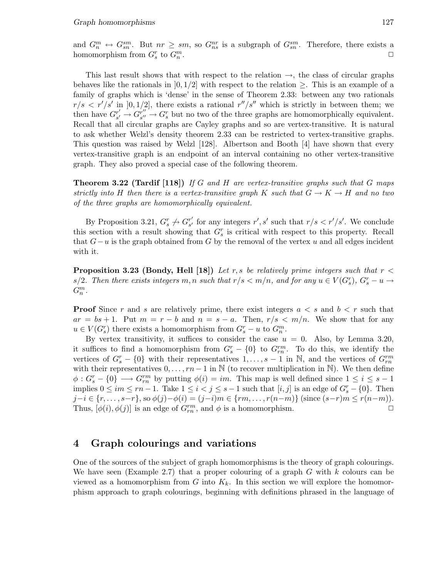and  $G_n^m \leftrightarrow G_{sn}^{sm}$ . But  $nr \geq sm$ , so  $G_{ns}^{nr}$  is a subgraph of  $G_{sn}^{sm}$ . Therefore, there exists a homomorphism from  $G_s^r$  to  $G_n^m$ . ✷

This last result shows that with respect to the relation  $\rightarrow$ , the class of circular graphs behaves like the rationals in  $[0, 1/2]$  with respect to the relation  $\geq$ . This is an example of a family of graphs which is 'dense' in the sense of Theorem 2.33: between any two rationals  $r/s < r'/s'$  in [0, 1/2], there exists a rational  $r''/s''$  which is strictly in between them; we then have  $G_{s'}^{r'}$  $s' \rightarrow G_{s''}^{r''}$  $s''_{s''} \to G_s^r$  but no two of the three graphs are homomorphically equivalent. Recall that all circular graphs are Cayley graphs and so are vertex-transitive. It is natural to ask whether Welzl's density theorem 2.33 can be restricted to vertex-transitive graphs. This question was raised by Welzl [128]. Albertson and Booth [4] have shown that every vertex-transitive graph is an endpoint of an interval containing no other vertex-transitive graph. They also proved a special case of the following theorem.

**Theorem 3.22 (Tardif [118])** If G and H are vertex-transitive graphs such that G maps strictly into H then there is a vertex-transitive graph K such that  $G \to K \to H$  and no two of the three graphs are homomorphically equivalent.

By Proposition 3.21,  $G_s^r \nightharpoondown G_{s'}^{r'}$  $r'_{s'}$  for any integers  $r', s'$  such that  $r/s < r'/s'$ . We conclude this section with a result showing that  $G_s^r$  is critical with respect to this property. Recall that  $G-u$  is the graph obtained from G by the removal of the vertex u and all edges incident with it.

**Proposition 3.23 (Bondy, Hell [18])** Let r, s be relatively prime integers such that  $r <$ s/2. Then there exists integers m, n such that  $r/s < m/n$ , and for any  $u \in V(G_s^r)$ ,  $G_s^r - u \rightarrow$  $G_n^m$ .

**Proof** Since r and s are relatively prime, there exist integers  $a < s$  and  $b < r$  such that  $ar = bs + 1$ . Put  $m = r - b$  and  $n = s - a$ . Then,  $r/s < m/n$ . We show that for any  $u \in V(G_s^r)$  there exists a homomorphism from  $G_s^r - u$  to  $G_n^m$ .

By vertex transitivity, it suffices to consider the case  $u = 0$ . Also, by Lemma 3.20, it suffices to find a homomorphism from  $G_s^r - \{0\}$  to  $G_{rn}^{rm}$ . To do this, we identify the vertices of  $G_s^r - \{0\}$  with their representatives  $1, \ldots, s-1$  in N, and the vertices of  $G_{rn}^{rm}$ with their representatives  $0, \ldots, rn-1$  in N (to recover multiplication in N). We then define  $\phi: G_s^r - \{0\} \longrightarrow G_{rn}^{rm}$  by putting  $\phi(i) = im$ . This map is well defined since  $1 \leq i \leq s-1$ implies  $0 \leq im \leq rn-1$ . Take  $1 \leq i < j \leq s-1$  such that  $[i, j]$  is an edge of  $G_s^r - \{0\}$ . Then  $j-i \in \{r, \ldots, s-r\}$ , so  $\phi(j)-\phi(i)=(j-i)m \in \{rm,\ldots, r(n-m)\}$  (since  $(s-r)m \le r(n-m)$ ). Thus,  $[\phi(i), \phi(j)]$  is an edge of  $G_{rn}^{rm}$ , and  $\phi$  is a homomorphism.

# 4 Graph colourings and variations

One of the sources of the subject of graph homomorphisms is the theory of graph colourings. We have seen (Example 2.7) that a proper colouring of a graph  $G$  with  $k$  colours can be viewed as a homomorphism from G into  $K_k$ . In this section we will explore the homomorphism approach to graph colourings, beginning with definitions phrased in the language of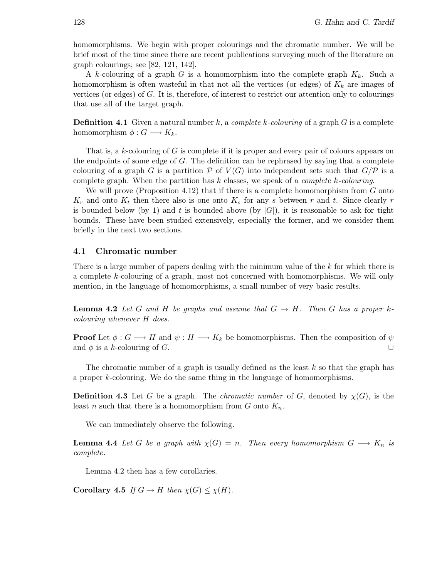homomorphisms. We begin with proper colourings and the chromatic number. We will be brief most of the time since there are recent publications surveying much of the literature on graph colourings; see [82, 121, 142].

A k-colouring of a graph G is a homomorphism into the complete graph  $K_k$ . Such a homomorphism is often wasteful in that not all the vertices (or edges) of  $K_k$  are images of vertices (or edges) of G. It is, therefore, of interest to restrict our attention only to colourings that use all of the target graph.

**Definition 4.1** Given a natural number k, a complete k-colouring of a graph  $G$  is a complete homomorphism  $\phi: G \longrightarrow K_k$ .

That is, a k-colouring of G is complete if it is proper and every pair of colours appears on the endpoints of some edge of  $G$ . The definition can be rephrased by saying that a complete colouring of a graph G is a partition P of  $V(G)$  into independent sets such that  $G/P$  is a complete graph. When the partition has  $k$  classes, we speak of a *complete k-colouring*.

We will prove (Proposition 4.12) that if there is a complete homomorphism from  $G$  onto  $K_r$  and onto  $K_t$  then there also is one onto  $K_s$  for any s between r and t. Since clearly r is bounded below (by 1) and t is bounded above (by  $|G|$ ), it is reasonable to ask for tight bounds. These have been studied extensively, especially the former, and we consider them briefly in the next two sections.

### 4.1 Chromatic number

There is a large number of papers dealing with the minimum value of the k for which there is a complete k-colouring of a graph, most not concerned with homomorphisms. We will only mention, in the language of homomorphisms, a small number of very basic results.

**Lemma 4.2** Let G and H be graphs and assume that  $G \rightarrow H$ . Then G has a proper kcolouring whenever H does.

**Proof** Let  $\phi: G \longrightarrow H$  and  $\psi: H \longrightarrow K_k$  be homomorphisms. Then the composition of  $\psi$ and  $\phi$  is a k-colouring of G.  $\Box$ 

The chromatic number of a graph is usually defined as the least  $k$  so that the graph has a proper k-colouring. We do the same thing in the language of homomorphisms.

**Definition 4.3** Let G be a graph. The *chromatic number* of G, denoted by  $\chi(G)$ , is the least n such that there is a homomorphism from  $G$  onto  $K_n$ .

We can immediately observe the following.

**Lemma 4.4** Let G be a graph with  $\chi(G) = n$ . Then every homomorphism  $G \longrightarrow K_n$  is complete.

Lemma 4.2 then has a few corollaries.

Corollary 4.5 If  $G \to H$  then  $\chi(G) \leq \chi(H)$ .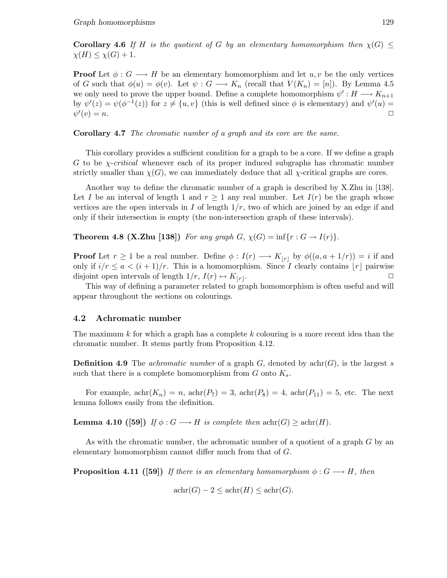Corollary 4.6 If H is the quotient of G by an elementary homomorphism then  $\chi(G)$  $\chi(H) \leq \chi(G) + 1.$ 

**Proof** Let  $\phi: G \longrightarrow H$  be an elementary homomorphism and let  $u, v$  be the only vertices of G such that  $\phi(u) = \phi(v)$ . Let  $\psi : G \longrightarrow K_n$  (recall that  $V(K_n) = [n]$ ). By Lemma 4.5 we only need to prove the upper bound. Define a complete homomorphism  $\psi' : H \longrightarrow K_{n+1}$ by  $\psi'(z) = \psi(\phi^{-1}(z))$  for  $z \neq \{u, v\}$  (this is well defined since  $\phi$  is elementary) and  $\psi'(u) =$  $\psi'$  $(v) = n.$ 

Corollary 4.7 The chromatic number of a graph and its core are the same.

This corollary provides a sufficient condition for a graph to be a core. If we define a graph G to be  $\chi$ -critical whenever each of its proper induced subgraphs has chromatic number strictly smaller than  $\chi(G)$ , we can immediately deduce that all  $\chi$ -critical graphs are cores.

Another way to define the chromatic number of a graph is described by X.Zhu in [138]. Let I be an interval of length 1 and  $r > 1$  any real number. Let  $I(r)$  be the graph whose vertices are the open intervals in I of length  $1/r$ , two of which are joined by an edge if and only if their intersection is empty (the non-intersection graph of these intervals).

**Theorem 4.8 (X.Zhu [138])** For any graph  $G$ ,  $\chi(G) = \inf\{r : G \to I(r)\}.$ 

**Proof** Let  $r \ge 1$  be a real number. Define  $\phi: I(r) \longrightarrow K_{|r|}$  by  $\phi((a, a + 1/r)) = i$  if and only if  $i/r \leq a < (i+1)/r$ . This is a homomorphism. Since I clearly contains |r| pairwise disjoint open intervals of length  $1/r$ ,  $I(r) \leftrightarrow K_{|r|}$ . .  $\Box$ 

This way of defining a parameter related to graph homomorphism is often useful and will appear throughout the sections on colourings.

### 4.2 Achromatic number

The maximum k for which a graph has a complete k colouring is a more recent idea than the chromatic number. It stems partly from Proposition 4.12.

**Definition 4.9** The *achromatic number* of a graph  $G$ , denoted by  $achr(G)$ , is the largest s such that there is a complete homomorphism from  $G$  onto  $K_s$ .

For example,  $achr(K_n) = n$ ,  $achr(P_7) = 3$ ,  $achr(P_8) = 4$ ,  $achr(P_{11}) = 5$ , etc. The next lemma follows easily from the definition.

**Lemma 4.10 ([59])** If  $\phi$ :  $G \longrightarrow H$  is complete then  $\text{achr}(G) \geq \text{achr}(H)$ .

As with the chromatic number, the achromatic number of a quotient of a graph G by an elementary homomorphism cannot differ much from that of G.

**Proposition 4.11** ([59]) If there is an elementary homomorphism  $\phi: G \longrightarrow H$ , then

$$
\operatorname{achr}(G) - 2 \le \operatorname{achr}(H) \le \operatorname{achr}(G).
$$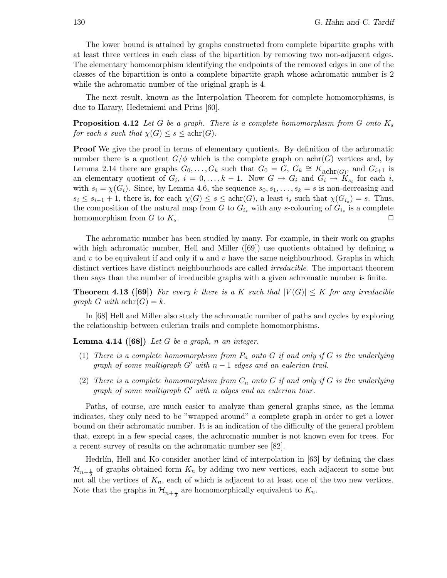The lower bound is attained by graphs constructed from complete bipartite graphs with at least three vertices in each class of the bipartition by removing two non-adjacent edges. The elementary homomorphism identifying the endpoints of the removed edges in one of the classes of the bipartition is onto a complete bipartite graph whose achromatic number is 2 while the achromatic number of the original graph is 4.

The next result, known as the Interpolation Theorem for complete homomorphisms, is due to Harary, Hedetniemi and Prins [60].

**Proposition 4.12** Let G be a graph. There is a complete homomorphism from G onto  $K_s$ for each s such that  $\chi(G) \leq s \leq \operatorname{achr}(G)$ .

**Proof** We give the proof in terms of elementary quotients. By definition of the achromatic number there is a quotient  $G/\phi$  which is the complete graph on achr(G) vertices and, by Lemma 2.14 there are graphs  $G_0, \ldots, G_k$  such that  $G_0 = G, G_k \cong K_{\text{achr}(G)}$ , and  $G_{i+1}$  is an elementary quotient of  $G_i$ ,  $i = 0, \ldots, k - 1$ . Now  $G \to G_i$  and  $G_i \to K_{s_i}$  for each i, with  $s_i = \chi(G_i)$ . Since, by Lemma 4.6, the sequence  $s_0, s_1, \ldots, s_k = s$  is non-decreasing and  $s_i \leq s_{i-1} + 1$ , there is, for each  $\chi(G) \leq s \leq \text{achr}(G)$ , a least  $i_s$  such that  $\chi(G_{i_s}) = s$ . Thus, the composition of the natural map from G to  $G_{i_s}$  with any s-colouring of  $G_{i_s}$  is a complete homomorphism from G to  $K_s$ .

The achromatic number has been studied by many. For example, in their work on graphs with high achromatic number, Hell and Miller  $(69)$ ) use quotients obtained by defining u and v to be equivalent if and only if u and v have the same neighbourhood. Graphs in which distinct vertices have distinct neighbourhoods are called *irreducible*. The important theorem then says than the number of irreducible graphs with a given achromatic number is finite.

**Theorem 4.13 ([69])** For every k there is a K such that  $|V(G)| \leq K$  for any irreducible qraph G with  $achr(G) = k$ .

In [68] Hell and Miller also study the achromatic number of paths and cycles by exploring the relationship between eulerian trails and complete homomorphisms.

**Lemma 4.14 ([68])** Let G be a graph, n an integer.

- (1) There is a complete homomorphism from  $P_n$  onto G if and only if G is the underlying graph of some multigraph  $G'$  with  $n-1$  edges and an eulerian trail.
- (2) There is a complete homomorphism from  $C_n$  onto G if and only if G is the underlying graph of some multigraph G′ with n edges and an eulerian tour.

Paths, of course, are much easier to analyze than general graphs since, as the lemma indicates, they only need to be "wrapped around" a complete graph in order to get a lower bound on their achromatic number. It is an indication of the difficulty of the general problem that, except in a few special cases, the achromatic number is not known even for trees. For a recent survey of results on the achromatic number see [82].

Hedrlín, Hell and Ko consider another kind of interpolation in  $[63]$  by defining the class  $\mathcal{H}_{n+\frac{1}{2}}$  of graphs obtained form  $K_n$  by adding two new vertices, each adjacent to some but not all the vertices of  $K_n$ , each of which is adjacent to at least one of the two new vertices. Note that the graphs in  $\mathcal{H}_{n+\frac{1}{2}}$  are homomorphically equivalent to  $K_n$ .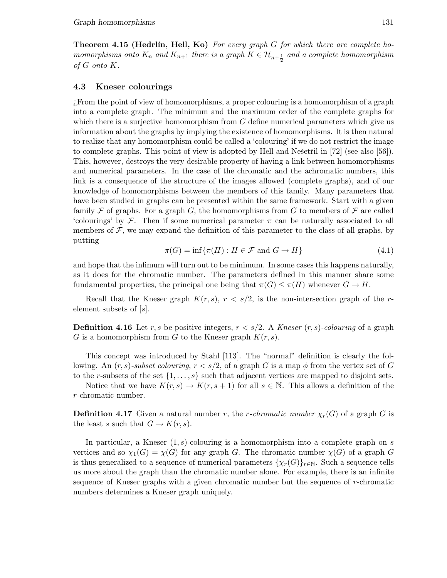**Theorem 4.15 (Hedrlín, Hell, Ko)** For every graph G for which there are complete homomorphisms onto  $K_n$  and  $K_{n+1}$  there is a graph  $K \in \mathcal{H}_{n+\frac{1}{2}}$  and a complete homomorphism of G onto K.

### 4.3 Kneser colourings

¿From the point of view of homomorphisms, a proper colouring is a homomorphism of a graph into a complete graph. The minimum and the maximum order of the complete graphs for which there is a surjective homomorphism from  $G$  define numerical parameters which give us information about the graphs by implying the existence of homomorphisms. It is then natural to realize that any homomorphism could be called a 'colouring' if we do not restrict the image to complete graphs. This point of view is adopted by Hell and Nešetřil in  $[72]$  (see also  $[56]$ ). This, however, destroys the very desirable property of having a link between homomorphisms and numerical parameters. In the case of the chromatic and the achromatic numbers, this link is a consequence of the structure of the images allowed (complete graphs), and of our knowledge of homomorphisms between the members of this family. Many parameters that have been studied in graphs can be presented within the same framework. Start with a given family F of graphs. For a graph G, the homomorphisms from G to members of F are called 'colourings' by F. Then if some numerical parameter  $\pi$  can be naturally associated to all members of  $\mathcal F$ , we may expand the definition of this parameter to the class of all graphs, by putting

$$
\pi(G) = \inf \{ \pi(H) : H \in \mathcal{F} \text{ and } G \to H \}
$$
\n
$$
(4.1)
$$

and hope that the infimum will turn out to be minimum. In some cases this happens naturally, as it does for the chromatic number. The parameters defined in this manner share some fundamental properties, the principal one being that  $\pi(G) \leq \pi(H)$  whenever  $G \to H$ .

Recall that the Kneser graph  $K(r, s), r < s/2$ , is the non-intersection graph of the relement subsets of [s].

**Definition 4.16** Let r, s be positive integers,  $r < s/2$ . A Kneser  $(r, s)$ -colouring of a graph G is a homomorphism from G to the Kneser graph  $K(r, s)$ .

This concept was introduced by Stahl [113]. The "normal" definition is clearly the following. An  $(r, s)$ -subset colouring,  $r < s/2$ , of a graph G is a map  $\phi$  from the vertex set of G to the r-subsets of the set  $\{1,\ldots,s\}$  such that adjacent vertices are mapped to disjoint sets.

Notice that we have  $K(r,s) \to K(r,s+1)$  for all  $s \in \mathbb{N}$ . This allows a definition of the r-chromatic number.

**Definition 4.17** Given a natural number r, the r-chromatic number  $\chi_r(G)$  of a graph G is the least s such that  $G \to K(r,s)$ .

In particular, a Kneser  $(1, s)$ -colouring is a homomorphism into a complete graph on s vertices and so  $\chi_1(G) = \chi(G)$  for any graph G. The chromatic number  $\chi(G)$  of a graph G is thus generalized to a sequence of numerical parameters  $\{\chi_r(G)\}_{r\in\mathbb{N}}$ . Such a sequence tells us more about the graph than the chromatic number alone. For example, there is an infinite sequence of Kneser graphs with a given chromatic number but the sequence of r-chromatic numbers determines a Kneser graph uniquely.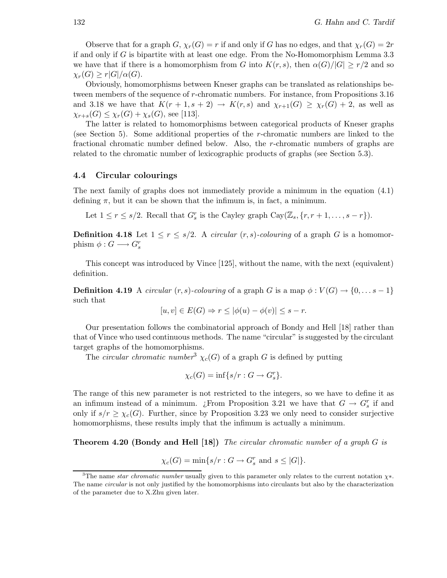Observe that for a graph  $G$ ,  $\chi_r(G) = r$  if and only if G has no edges, and that  $\chi_r(G) = 2r$ if and only if G is bipartite with at least one edge. From the No-Homomorphism Lemma 3.3 we have that if there is a homomorphism from G into  $K(r,s)$ , then  $\alpha(G)/|G| \geq r/2$  and so  $\chi_r(G) \geq r |G|/\alpha(G).$ 

Obviously, homomorphisms between Kneser graphs can be translated as relationships between members of the sequence of r-chromatic numbers. For instance, from Propositions 3.16 and 3.18 we have that  $K(r+1,s+2) \rightarrow K(r,s)$  and  $\chi_{r+1}(G) \geq \chi_r(G)+2$ , as well as  $\chi_{r+s}(G) \leq \chi_r(G) + \chi_s(G)$ , see [113].

The latter is related to homomorphisms between categorical products of Kneser graphs (see Section 5). Some additional properties of the r-chromatic numbers are linked to the fractional chromatic number defined below. Also, the r-chromatic numbers of graphs are related to the chromatic number of lexicographic products of graphs (see Section 5.3).

### 4.4 Circular colourings

The next family of graphs does not immediately provide a minimum in the equation (4.1) defining  $\pi$ , but it can be shown that the infimum is, in fact, a minimum.

Let  $1 \leq r \leq s/2$ . Recall that  $G_s^r$  is the Cayley graph  $Cay(\mathbb{Z}_s, \{r, r+1, \ldots, s-r\})$ .

**Definition 4.18** Let  $1 \leq r \leq s/2$ . A *circular*  $(r, s)$ -colouring of a graph G is a homomorphism  $\phi: G \longrightarrow G_s^r$ 

This concept was introduced by Vince [125], without the name, with the next (equivalent) definition.

**Definition 4.19** A circular  $(r, s)$ -colouring of a graph G is a map  $\phi : V(G) \to \{0, \ldots s - 1\}$ such that

$$
[u, v] \in E(G) \Rightarrow r \le |\phi(u) - \phi(v)| \le s - r.
$$

Our presentation follows the combinatorial approach of Bondy and Hell [18] rather than that of Vince who used continuous methods. The name "circular" is suggested by the circulant target graphs of the homomorphisms.

The *circular chromatic number*<sup>3</sup>  $\chi_c(G)$  of a graph G is defined by putting

$$
\chi_c(G) = \inf\{s/r : G \to G_s^r\}.
$$

The range of this new parameter is not restricted to the integers, so we have to define it as an infimum instead of a minimum. ¿From Proposition 3.21 we have that  $G \to G_s^r$  if and only if  $s/r \geq \chi_c(G)$ . Further, since by Proposition 3.23 we only need to consider surjective homomorphisms, these results imply that the infimum is actually a minimum.

**Theorem 4.20 (Bondy and Hell [18])** The circular chromatic number of a graph G is

$$
\chi_c(G) = \min\{s/r : G \to G_s^r \text{ and } s \leq |G|\}.
$$

<sup>&</sup>lt;sup>3</sup>The name star chromatic number usually given to this parameter only relates to the current notation  $\chi^*$ . The name *circular* is not only justified by the homomorphisms into circulants but also by the characterization of the parameter due to X.Zhu given later.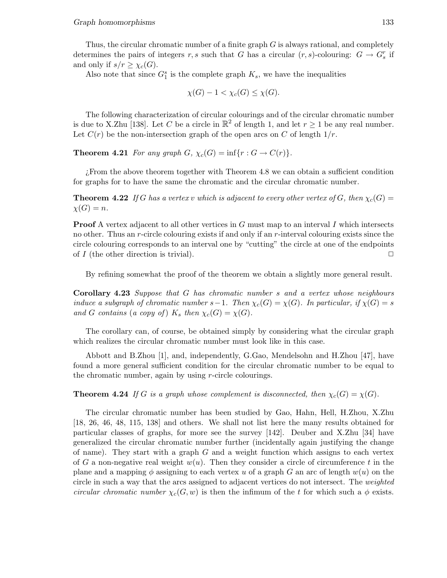Thus, the circular chromatic number of a finite graph G is always rational, and completely determines the pairs of integers r, s such that G has a circular  $(r, s)$ -colouring:  $G \to G_s^r$  if and only if  $s/r \geq \chi_c(G)$ .

Also note that since  $G_1^s$  is the complete graph  $K_s$ , we have the inequalities

$$
\chi(G) - 1 < \chi_c(G) \leq \chi(G).
$$

The following characterization of circular colourings and of the circular chromatic number is due to X.Zhu [138]. Let C be a circle in  $\mathbb{R}^2$  of length 1, and let  $r \geq 1$  be any real number. Let  $C(r)$  be the non-intersection graph of the open arcs on C of length  $1/r$ .

**Theorem 4.21** For any graph  $G$ ,  $\chi_c(G) = \inf\{r : G \to C(r)\}.$ 

¿From the above theorem together with Theorem 4.8 we can obtain a sufficient condition for graphs for to have the same the chromatic and the circular chromatic number.

**Theorem 4.22** If G has a vertex v which is adjacent to every other vertex of G, then  $\chi_c(G)$  =  $\chi(G) = n$ .

**Proof** A vertex adjacent to all other vertices in  $G$  must map to an interval I which intersects no other. Thus an r-circle colouring exists if and only if an r-interval colouring exists since the circle colouring corresponds to an interval one by "cutting" the circle at one of the endpoints of I (the other direction is trivial).  $\Box$ 

By refining somewhat the proof of the theorem we obtain a slightly more general result.

Corollary 4.23 Suppose that G has chromatic number s and a vertex whose neighbours induce a subgraph of chromatic number  $s-1$ . Then  $\chi_c(G) = \chi(G)$ . In particular, if  $\chi(G) = s$ and G contains (a copy of)  $K_s$  then  $\chi_c(G) = \chi(G)$ .

The corollary can, of course, be obtained simply by considering what the circular graph which realizes the circular chromatic number must look like in this case.

Abbott and B.Zhou [1], and, independently, G.Gao, Mendelsohn and H.Zhou [47], have found a more general sufficient condition for the circular chromatic number to be equal to the chromatic number, again by using r-circle colourings.

**Theorem 4.24** If G is a graph whose complement is disconnected, then  $\chi_c(G) = \chi(G)$ .

The circular chromatic number has been studied by Gao, Hahn, Hell, H.Zhou, X.Zhu [18, 26, 46, 48, 115, 138] and others. We shall not list here the many results obtained for particular classes of graphs, for more see the survey [142]. Deuber and X.Zhu [34] have generalized the circular chromatic number further (incidentally again justifying the change of name). They start with a graph  $G$  and a weight function which assigns to each vertex of G a non-negative real weight  $w(u)$ . Then they consider a circle of circumference t in the plane and a mapping  $\phi$  assigning to each vertex u of a graph G an arc of length  $w(u)$  on the circle in such a way that the arcs assigned to adjacent vertices do not intersect. The weighted circular chromatic number  $\chi_c(G, w)$  is then the infimum of the t for which such a  $\phi$  exists.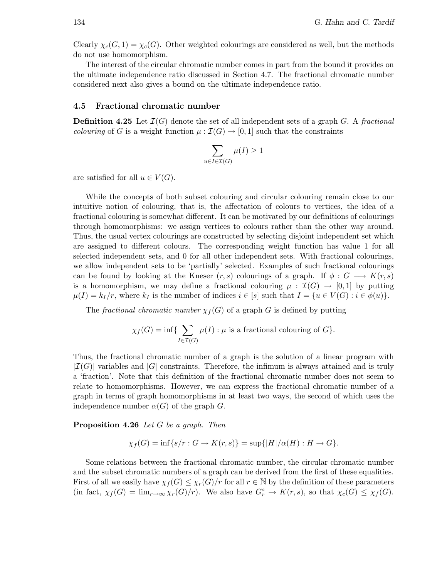Clearly  $\chi_c(G, 1) = \chi_c(G)$ . Other weighted colourings are considered as well, but the methods do not use homomorphism.

The interest of the circular chromatic number comes in part from the bound it provides on the ultimate independence ratio discussed in Section 4.7. The fractional chromatic number considered next also gives a bound on the ultimate independence ratio.

### 4.5 Fractional chromatic number

**Definition 4.25** Let  $\mathcal{I}(G)$  denote the set of all independent sets of a graph G. A fractional *colouring* of G is a weight function  $\mu : \mathcal{I}(G) \to [0,1]$  such that the constraints

$$
\sum_{u \in I \in \mathcal{I}(G)} \mu(I) \ge 1
$$

are satisfied for all  $u \in V(G)$ .

While the concepts of both subset colouring and circular colouring remain close to our intuitive notion of colouring, that is, the affectation of colours to vertices, the idea of a fractional colouring is somewhat different. It can be motivated by our definitions of colourings through homomorphisms: we assign vertices to colours rather than the other way around. Thus, the usual vertex colourings are constructed by selecting disjoint independent set which are assigned to different colours. The corresponding weight function has value 1 for all selected independent sets, and 0 for all other independent sets. With fractional colourings, we allow independent sets to be 'partially' selected. Examples of such fractional colourings can be found by looking at the Kneser  $(r, s)$  colourings of a graph. If  $\phi : G \longrightarrow K(r, s)$ is a homomorphism, we may define a fractional colouring  $\mu : \mathcal{I}(G) \to [0,1]$  by putting  $\mu(I) = k_I/r$ , where  $k_I$  is the number of indices  $i \in [s]$  such that  $I = \{u \in V(G) : i \in \phi(u)\}.$ 

The fractional chromatic number  $\chi_f(G)$  of a graph G is defined by putting

$$
\chi_f(G) = \inf \{ \sum_{I \in \mathcal{I}(G)} \mu(I) : \mu \text{ is a fractional colouring of } G \}.
$$

Thus, the fractional chromatic number of a graph is the solution of a linear program with  $|\mathcal{I}(G)|$  variables and  $|G|$  constraints. Therefore, the infimum is always attained and is truly a 'fraction'. Note that this definition of the fractional chromatic number does not seem to relate to homomorphisms. However, we can express the fractional chromatic number of a graph in terms of graph homomorphisms in at least two ways, the second of which uses the independence number  $\alpha(G)$  of the graph G.

Proposition 4.26 Let G be a graph. Then

$$
\chi_f(G) = \inf\{s/r : G \to K(r, s)\} = \sup\{|H|/\alpha(H) : H \to G\}.
$$

Some relations between the fractional chromatic number, the circular chromatic number and the subset chromatic numbers of a graph can be derived from the first of these equalities. First of all we easily have  $\chi_f(G) \leq \chi_r(G)/r$  for all  $r \in \mathbb{N}$  by the definition of these parameters (in fact,  $\chi_f(G) = \lim_{r \to \infty} \chi_r(G)/r$ ). We also have  $G_r^s \to K(r, s)$ , so that  $\chi_c(G) \leq \chi_f(G)$ .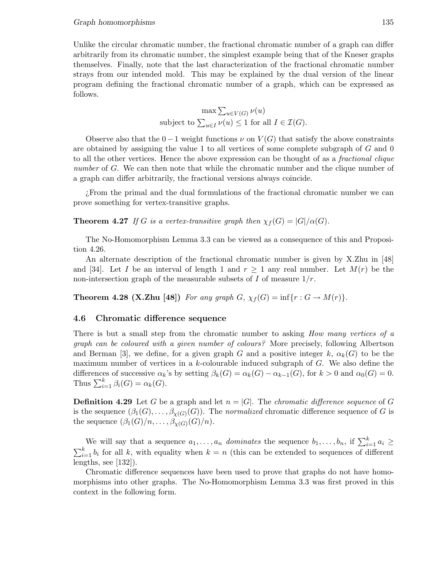Unlike the circular chromatic number, the fractional chromatic number of a graph can differ arbitrarily from its chromatic number, the simplest example being that of the Kneser graphs themselves. Finally, note that the last characterization of the fractional chromatic number strays from our intended mold. This may be explained by the dual version of the linear program defining the fractional chromatic number of a graph, which can be expressed as follows.

> $\max \sum_{u\in V(G)} \nu(u)$ subject to  $\sum_{u \in I} \nu(u) \leq 1$  for all  $I \in \mathcal{I}(G)$ .

Observe also that the  $0-1$  weight functions  $\nu$  on  $V(G)$  that satisfy the above constraints are obtained by assigning the value 1 to all vertices of some complete subgraph of G and 0 to all the other vertices. Hence the above expression can be thought of as a fractional clique number of G. We can then note that while the chromatic number and the clique number of a graph can differ arbitrarily, the fractional versions always coincide.

¿From the primal and the dual formulations of the fractional chromatic number we can prove something for vertex-transitive graphs.

**Theorem 4.27** If G is a vertex-transitive graph then  $\chi_f(G) = |G|/\alpha(G)$ .

The No-Homomorphism Lemma 3.3 can be viewed as a consequence of this and Proposition 4.26.

An alternate description of the fractional chromatic number is given by X.Zhu in [48] and [34]. Let I be an interval of length 1 and  $r \ge 1$  any real number. Let  $M(r)$  be the non-intersection graph of the measurable subsets of  $I$  of measure  $1/r$ .

**Theorem 4.28 (X.Zhu [48])** For any graph  $G$ ,  $\chi_f(G) = \inf\{r : G \to M(r)\}.$ 

### 4.6 Chromatic difference sequence

There is but a small step from the chromatic number to asking *How many vertices of a* graph can be coloured with a given number of colours? More precisely, following Albertson and Berman [3], we define, for a given graph G and a positive integer k,  $\alpha_k(G)$  to be the maximum number of vertices in a k-colourable induced subgraph of G. We also define the differences of successive  $\alpha_k$ 's by setting  $\beta_k(G) = \alpha_k(G) - \alpha_{k-1}(G)$ , for  $k > 0$  and  $\alpha_0(G) = 0$ . Thus  $\sum_{i=1}^{k} \beta_i(G) = \alpha_k(G)$ .

**Definition 4.29** Let G be a graph and let  $n = |G|$ . The *chromatic difference sequence* of G is the sequence  $(\beta_1(G), \ldots, \beta_{\chi(G)}(G))$ . The normalized chromatic difference sequence of G is the sequence  $(\beta_1(G)/n, \ldots, \beta_{\chi(G)}(G)/n)$ .

We will say that a sequence  $a_1, \ldots, a_n$  dominates the sequence  $b_1, \ldots, b_n$ , if  $\sum_{i=1}^k a_i \geq$  $\sum_{i=1}^{k} b_i$  for all k, with equality when  $k = n$  (this can be extended to sequences of different lengths, see [132]).

Chromatic difference sequences have been used to prove that graphs do not have homomorphisms into other graphs. The No-Homomorphism Lemma 3.3 was first proved in this context in the following form.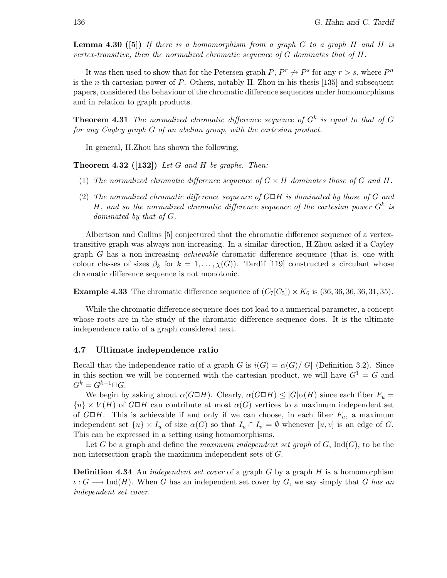**Lemma 4.30 ([5])** If there is a homomorphism from a graph  $G$  to a graph  $H$  and  $H$  is vertex-transitive, then the normalized chromatic sequence of  $G$  dominates that of  $H$ .

It was then used to show that for the Petersen graph  $P, P^r \nrightarrow P^s$  for any  $r > s$ , where  $P^n$ is the *n*-th cartesian power of  $P$ . Others, notably H. Zhou in his thesis [135] and subsequent papers, considered the behaviour of the chromatic difference sequences under homomorphisms and in relation to graph products.

**Theorem 4.31** The normalized chromatic difference sequence of  $G<sup>k</sup>$  is equal to that of G for any Cayley graph G of an abelian group, with the cartesian product.

In general, H.Zhou has shown the following.

**Theorem 4.32** ([132]) Let G and H be graphs. Then:

- (1) The normalized chromatic difference sequence of  $G \times H$  dominates those of G and H.
- (2) The normalized chromatic difference sequence of  $G \Box H$  is dominated by those of G and H, and so the normalized chromatic difference sequence of the cartesian power  $G^k$  is dominated by that of G.

Albertson and Collins [5] conjectured that the chromatic difference sequence of a vertextransitive graph was always non-increasing. In a similar direction, H.Zhou asked if a Cayley graph G has a non-increasing achievable chromatic difference sequence (that is, one with colour classes of sizes  $\beta_k$  for  $k = 1, \ldots, \chi(G)$ ). Tardif [119] constructed a circulant whose chromatic difference sequence is not monotonic.

**Example 4.33** The chromatic difference sequence of  $(C_7[C_5]) \times K_6$  is  $(36, 36, 36, 36, 31, 35)$ .

While the chromatic difference sequence does not lead to a numerical parameter, a concept whose roots are in the study of the chromatic difference sequence does. It is the ultimate independence ratio of a graph considered next.

#### 4.7 Ultimate independence ratio

Recall that the independence ratio of a graph G is  $i(G) = \alpha(G)/|G|$  (Definition 3.2). Since in this section we will be concerned with the cartesian product, we will have  $G^1 = G$  and  $G^k = G^{k-1} \square G$ .

We begin by asking about  $\alpha(G \Box H)$ . Clearly,  $\alpha(G \Box H) \leq |G| \alpha(H)$  since each fiber  $F_u =$  ${u} \times V(H)$  of  $G \square H$  can contribute at most  $\alpha(G)$  vertices to a maximum independent set of  $G\Box H$ . This is achievable if and only if we can choose, in each fiber  $F_u$ , a maximum independent set  $\{u\} \times I_u$  of size  $\alpha(G)$  so that  $I_u \cap I_v = \emptyset$  whenever  $[u, v]$  is an edge of G. This can be expressed in a setting using homomorphisms.

Let G be a graph and define the maximum independent set graph of  $G$ ,  $\text{Ind}(G)$ , to be the non-intersection graph the maximum independent sets of G.

**Definition 4.34** An *independent set cover* of a graph  $G$  by a graph  $H$  is a homomorphism  $\iota : G \longrightarrow Ind(H)$ . When G has an independent set cover by G, we say simply that G has an independent set cover.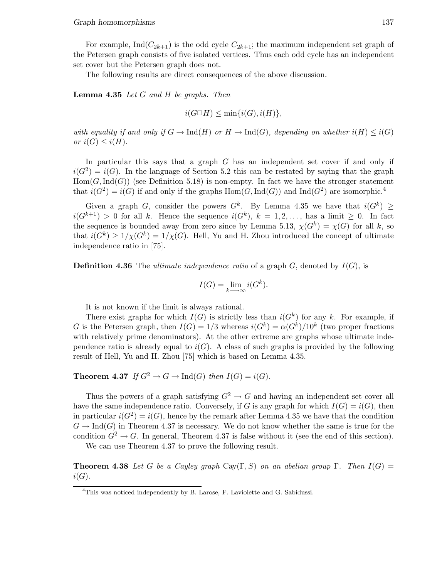For example, Ind $(C_{2k+1})$  is the odd cycle  $C_{2k+1}$ ; the maximum independent set graph of the Petersen graph consists of five isolated vertices. Thus each odd cycle has an independent set cover but the Petersen graph does not.

The following results are direct consequences of the above discussion.

**Lemma 4.35** Let G and H be graphs. Then

$$
i(G \Box H) \le \min\{i(G), i(H)\},\
$$

with equality if and only if  $G \to \text{Ind}(H)$  or  $H \to \text{Ind}(G)$ , depending on whether  $i(H) \leq i(G)$ or  $i(G) \leq i(H)$ .

In particular this says that a graph G has an independent set cover if and only if  $i(G^2) = i(G)$ . In the language of Section 5.2 this can be restated by saying that the graph  $Hom(G, Ind(G))$  (see Definition 5.18) is non-empty. In fact we have the stronger statement that  $i(G^2) = i(G)$  if and only if the graphs  $Hom(G, Ind(G))$  and  $Ind(G^2)$  are isomorphic.<sup>4</sup>

Given a graph G, consider the powers  $G^k$ . By Lemma 4.35 we have that  $i(G^k) \geq$  $i(G^{k+1}) > 0$  for all k. Hence the sequence  $i(G^k)$ ,  $k = 1, 2, ...,$  has a limit  $\geq 0$ . In fact the sequence is bounded away from zero since by Lemma 5.13,  $\chi(G^k) = \chi(G)$  for all k, so that  $i(G^k) \geq 1/\chi(G^k) = 1/\chi(G)$ . Hell, Yu and H. Zhou introduced the concept of ultimate independence ratio in [75].

**Definition 4.36** The *ultimate independence ratio* of a graph  $G$ , denoted by  $I(G)$ , is

$$
I(G) = \lim_{k \to \infty} i(G^k).
$$

It is not known if the limit is always rational.

There exist graphs for which  $I(G)$  is strictly less than  $i(G<sup>k</sup>)$  for any k. For example, if G is the Petersen graph, then  $I(G) = 1/3$  whereas  $i(G<sup>k</sup>) = \alpha(G<sup>k</sup>)/10<sup>k</sup>$  (two proper fractions with relatively prime denominators). At the other extreme are graphs whose ultimate independence ratio is already equal to  $i(G)$ . A class of such graphs is provided by the following result of Hell, Yu and H. Zhou [75] which is based on Lemma 4.35.

**Theorem 4.37** If  $G^2 \to G \to \text{Ind}(G)$  then  $I(G) = i(G)$ .

Thus the powers of a graph satisfying  $G^2 \to G$  and having an independent set cover all have the same independence ratio. Conversely, if G is any graph for which  $I(G) = i(G)$ , then in particular  $i(G^2) = i(G)$ , hence by the remark after Lemma 4.35 we have that the condition  $G \to \text{Ind}(G)$  in Theorem 4.37 is necessary. We do not know whether the same is true for the condition  $G^2 \to G$ . In general, Theorem 4.37 is false without it (see the end of this section).

We can use Theorem 4.37 to prove the following result.

**Theorem 4.38** Let G be a Cayley graph Cay(Γ, S) on an abelian group Γ. Then  $I(G)$  =  $i(G)$ .

<sup>&</sup>lt;sup>4</sup>This was noticed independently by B. Larose, F. Laviolette and G. Sabidussi.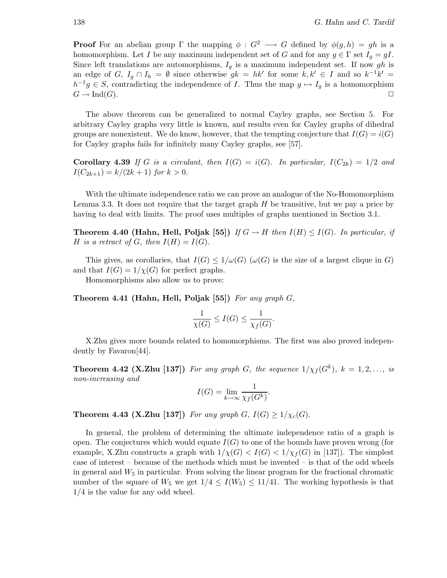**Proof** For an abelian group Γ the mapping  $\phi: G^2 \longrightarrow G$  defined by  $\phi(g, h) = gh$  is a homomorphism. Let I be any maximum independent set of G and for any  $g \in \Gamma$  set  $I_g = gI$ . Since left translations are automorphisms,  $I_q$  is a maximum independent set. If now gh is an edge of G,  $I_g \cap I_h = \emptyset$  since otherwise  $gk = hk'$  for some  $k, k' \in I$  and so  $k^{-1}k' = I$  $h^{-1}g \in S$ , contradicting the independence of I. Thus the map  $g \mapsto I_g$  is a homomorphism  $G \to \text{Ind}(G)$ .

The above theorem can be generalized to normal Cayley graphs, see Section 5. For arbitrary Cayley graphs very little is known, and results even for Cayley graphs of dihedral groups are nonexistent. We do know, however, that the tempting conjecture that  $I(G) = i(G)$ for Cayley graphs fails for infinitely many Cayley graphs, see [57].

**Corollary 4.39** If G is a circulant, then  $I(G) = i(G)$ . In particular,  $I(C_{2k}) = 1/2$  and  $I(C_{2k+1}) = k/(2k+1)$  for  $k > 0$ .

With the ultimate independence ratio we can prove an analogue of the No-Homomorphism Lemma 3.3. It does not require that the target graph  $H$  be transitive, but we pay a price by having to deal with limits. The proof uses multiples of graphs mentioned in Section 3.1.

**Theorem 4.40 (Hahn, Hell, Poljak [55])** If  $G \to H$  then  $I(H) \leq I(G)$ . In particular, if H is a retract of G, then  $I(H) = I(G)$ .

This gives, as corollaries, that  $I(G) \leq 1/\omega(G)$  ( $\omega(G)$ ) is the size of a largest clique in G) and that  $I(G) = 1/\chi(G)$  for perfect graphs.

Homomorphisms also allow us to prove:

Theorem 4.41 (Hahn, Hell, Poljak [55]) For any graph  $G$ ,

$$
\frac{1}{\chi(G)} \le I(G) \le \frac{1}{\chi_f(G)}.
$$

X.Zhu gives more bounds related to homomorphisms. The first was also proved independently by Favaron[44].

**Theorem 4.42 (X.Zhu [137])** For any graph G, the sequence  $1/\chi_f(G^k)$ ,  $k = 1, 2, ...,$  is non-increasing and

$$
I(G) = \lim_{k \to \infty} \frac{1}{\chi_f(G^k)}.
$$

**Theorem 4.43 (X.Zhu [137])** For any graph  $G$ ,  $I(G) \geq 1/\chi_c(G)$ .

In general, the problem of determining the ultimate independence ratio of a graph is open. The conjectures which would equate  $I(G)$  to one of the bounds have proven wrong (for example, X.Zhu constructs a graph with  $1/\chi(G) < I(G) < 1/\chi_f(G)$  in [137]). The simplest case of interest – because of the methods which must be invented – is that of the odd wheels in general and  $W_5$  in particular. From solving the linear program for the fractional chromatic number of the square of  $W_5$  we get  $1/4 \leq I(W_5) \leq 11/41$ . The working hypothesis is that 1/4 is the value for any odd wheel.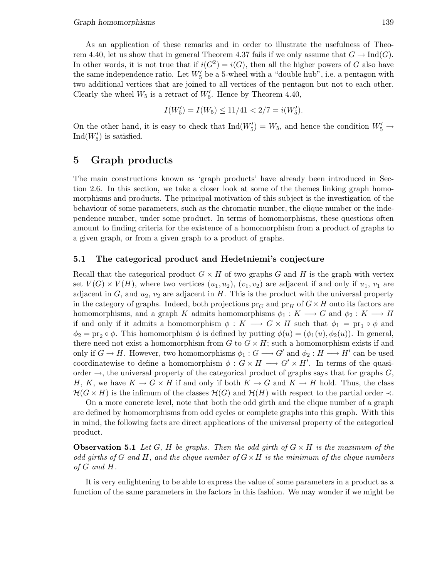As an application of these remarks and in order to illustrate the usefulness of Theorem 4.40, let us show that in general Theorem 4.37 fails if we only assume that  $G \to \text{Ind}(G)$ . In other words, it is not true that if  $i(G^2) = i(G)$ , then all the higher powers of G also have the same independence ratio. Let  $W'_{5}$  be a 5-wheel with a "double hub", i.e. a pentagon with two additional vertices that are joined to all vertices of the pentagon but not to each other. Clearly the wheel  $W_5$  is a retract of  $W'_5$ . Hence by Theorem 4.40,

$$
I(W_5') = I(W_5) \le 11/41 < 2/7 = i(W_5').
$$

On the other hand, it is easy to check that  $\text{Ind}(W'_5) = W_5$ , and hence the condition  $W'_5 \to$  $\mathrm{Ind}(W_5')$  is satisfied.

# 5 Graph products

The main constructions known as 'graph products' have already been introduced in Section 2.6. In this section, we take a closer look at some of the themes linking graph homomorphisms and products. The principal motivation of this subject is the investigation of the behaviour of some parameters, such as the chromatic number, the clique number or the independence number, under some product. In terms of homomorphisms, these questions often amount to finding criteria for the existence of a homomorphism from a product of graphs to a given graph, or from a given graph to a product of graphs.

### 5.1 The categorical product and Hedetniemi's conjecture

Recall that the categorical product  $G \times H$  of two graphs G and H is the graph with vertex set  $V(G) \times V(H)$ , where two vertices  $(u_1, u_2), (v_1, v_2)$  are adjacent if and only if  $u_1, v_1$  are adjacent in G, and  $u_2, v_2$  are adjacent in H. This is the product with the universal property in the category of graphs. Indeed, both projections  $pr_G$  and  $pr_H$  of  $G \times H$  onto its factors are homomorphisms, and a graph K admits homomorphisms  $\phi_1 : K \longrightarrow G$  and  $\phi_2 : K \longrightarrow H$ if and only if it admits a homomorphism  $\phi: K \longrightarrow G \times H$  such that  $\phi_1 = \text{pr}_1 \circ \phi$  and  $\phi_2 = \text{pr}_2 \circ \phi$ . This homomorphism  $\phi$  is defined by putting  $\phi(u) = (\phi_1(u), \phi_2(u))$ . In general, there need not exist a homomorphism from  $G$  to  $G \times H$ ; such a homomorphism exists if and only if  $G \to H$ . However, two homomorphisms  $\phi_1: G \longrightarrow G'$  and  $\phi_2: H \longrightarrow H'$  can be used coordinatewise to define a homomorphism  $\phi: G \times H \longrightarrow G' \times H'$ . In terms of the quasiorder  $\rightarrow$ , the universal property of the categorical product of graphs says that for graphs  $G$ , H, K, we have  $K \to G \times H$  if and only if both  $K \to G$  and  $K \to H$  hold. Thus, the class  $\mathcal{H}(G \times H)$  is the infimum of the classes  $\mathcal{H}(G)$  and  $\mathcal{H}(H)$  with respect to the partial order  $\prec$ .

On a more concrete level, note that both the odd girth and the clique number of a graph are defined by homomorphisms from odd cycles or complete graphs into this graph. With this in mind, the following facts are direct applications of the universal property of the categorical product.

**Observation 5.1** Let G, H be graphs. Then the odd girth of  $G \times H$  is the maximum of the odd girths of G and H, and the clique number of  $G \times H$  is the minimum of the clique numbers of G and H.

It is very enlightening to be able to express the value of some parameters in a product as a function of the same parameters in the factors in this fashion. We may wonder if we might be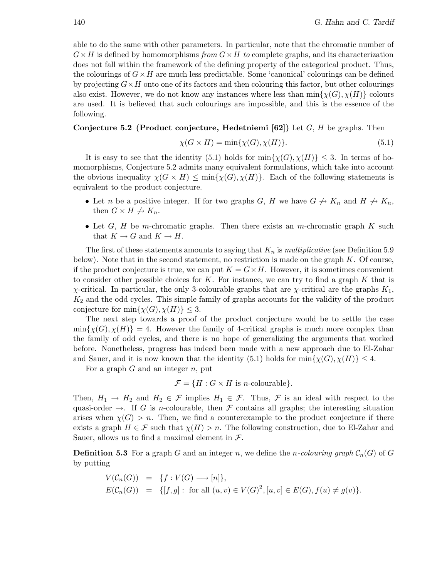able to do the same with other parameters. In particular, note that the chromatic number of  $G \times H$  is defined by homomorphisms from  $G \times H$  to complete graphs, and its characterization does not fall within the framework of the defining property of the categorical product. Thus, the colourings of  $G \times H$  are much less predictable. Some 'canonical' colourings can be defined by projecting  $G \times H$  onto one of its factors and then colouring this factor, but other colourings also exist. However, we do not know any instances where less than  $\min\{\chi(G),\chi(H)\}\)$  colours are used. It is believed that such colourings are impossible, and this is the essence of the following.

### Conjecture 5.2 (Product conjecture, Hedetniemi [62]) Let  $G$ ,  $H$  be graphs. Then

$$
\chi(G \times H) = \min\{\chi(G), \chi(H)\}.
$$
\n(5.1)

It is easy to see that the identity (5.1) holds for  $\min{\{\chi(G),\chi(H)\}} \leq 3$ . In terms of homomorphisms, Conjecture 5.2 admits many equivalent formulations, which take into account the obvious inequality  $\chi(G \times H) \le \min{\{\chi(G), \chi(H)\}}$ . Each of the following statements is equivalent to the product conjecture.

- Let n be a positive integer. If for two graphs G, H we have  $G \nrightarrow K_n$  and  $H \nrightarrow K_n$ , then  $G \times H \nightharpoonup K_n$ .
- Let  $G, H$  be m-chromatic graphs. Then there exists an m-chromatic graph  $K$  such that  $K \to G$  and  $K \to H$ .

The first of these statements amounts to saying that  $K_n$  is *multiplicative* (see Definition 5.9) below). Note that in the second statement, no restriction is made on the graph  $K$ . Of course, if the product conjecture is true, we can put  $K = G \times H$ . However, it is sometimes convenient to consider other possible choices for  $K$ . For instance, we can try to find a graph  $K$  that is χ-critical. In particular, the only 3-colourable graphs that are χ-critical are the graphs  $K_1$ ,  $K_2$  and the odd cycles. This simple family of graphs accounts for the validity of the product conjecture for  $\min{\chi(G), \chi(H)} \leq 3$ .

The next step towards a proof of the product conjecture would be to settle the case  $\min\{\chi(G),\chi(H)\} = 4$ . However the family of 4-critical graphs is much more complex than the family of odd cycles, and there is no hope of generalizing the arguments that worked before. Nonetheless, progress has indeed been made with a new approach due to El-Zahar and Sauer, and it is now known that the identity (5.1) holds for  $\min\{\chi(G),\chi(H)\}\leq 4$ .

For a graph  $G$  and an integer  $n$ , put

$$
\mathcal{F} = \{H : G \times H \text{ is } n\text{-colourable}\}.
$$

Then,  $H_1 \to H_2$  and  $H_2 \in \mathcal{F}$  implies  $H_1 \in \mathcal{F}$ . Thus,  $\mathcal{F}$  is an ideal with respect to the quasi-order  $\rightarrow$ . If G is n-colourable, then F contains all graphs; the interesting situation arises when  $\chi(G) > n$ . Then, we find a counterexample to the product conjecture if there exists a graph  $H \in \mathcal{F}$  such that  $\chi(H) > n$ . The following construction, due to El-Zahar and Sauer, allows us to find a maximal element in  $\mathcal{F}$ .

**Definition 5.3** For a graph G and an integer n, we define the n-colouring graph  $\mathcal{C}_n(G)$  of G by putting

$$
V(C_n(G)) = \{f : V(G) \longrightarrow [n]\},
$$
  
 
$$
E(C_n(G)) = \{[f, g] : \text{ for all } (u, v) \in V(G)^2, [u, v] \in E(G), f(u) \neq g(v)\}.
$$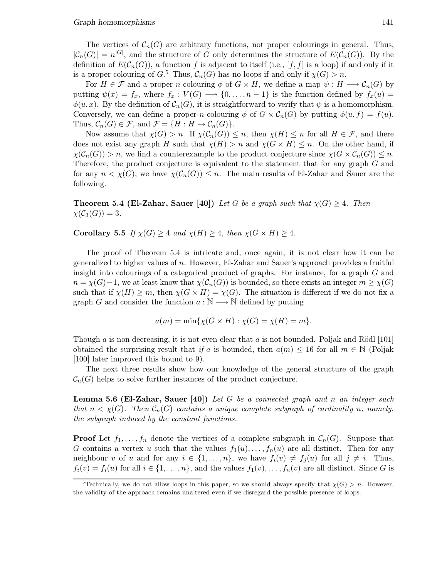The vertices of  $C_n(G)$  are arbitrary functions, not proper colourings in general. Thus,  $|\mathcal{C}_n(G)| = n^{|G|}$ , and the structure of G only determines the structure of  $E(\mathcal{C}_n(G))$ . By the definition of  $E(\mathcal{C}_n(G))$ , a function f is adjacent to itself (i.e., [f, f] is a loop) if and only if it is a proper colouring of  $G$ <sup>5</sup>. Thus,  $\mathcal{C}_n(G)$  has no loops if and only if  $\chi(G) > n$ .

For  $H \in \mathcal{F}$  and a proper *n*-colouring  $\phi$  of  $G \times H$ , we define a map  $\psi : H \longrightarrow \mathcal{C}_n(G)$  by putting  $\psi(x) = f_x$ , where  $f_x : V(G) \longrightarrow \{0, \ldots, n-1\}$  is the function defined by  $f_x(u) =$  $\phi(u,x)$ . By the definition of  $\mathcal{C}_n(G)$ , it is straightforward to verify that  $\psi$  is a homomorphism. Conversely, we can define a proper *n*-colouring  $\phi$  of  $G \times C_n(G)$  by putting  $\phi(u, f) = f(u)$ . Thus,  $C_n(G) \in \mathcal{F}$ , and  $\mathcal{F} = \{H : H \to C_n(G)\}.$ 

Now assume that  $\chi(G) > n$ . If  $\chi(C_n(G)) \leq n$ , then  $\chi(H) \leq n$  for all  $H \in \mathcal{F}$ , and there does not exist any graph H such that  $\chi(H) > n$  and  $\chi(G \times H) \leq n$ . On the other hand, if  $\chi(\mathcal{C}_n(G)) > n$ , we find a counterexample to the product conjecture since  $\chi(G \times \mathcal{C}_n(G)) \leq n$ . Therefore, the product conjecture is equivalent to the statement that for any graph G and for any  $n < \chi(G)$ , we have  $\chi(\mathcal{C}_n(G)) \leq n$ . The main results of El-Zahar and Sauer are the following.

**Theorem 5.4 (El-Zahar, Sauer [40])** Let G be a graph such that  $\chi(G) \geq 4$ . Then  $\chi(\mathcal{C}_3(G))=3.$ 

Corollary 5.5 If  $\chi(G) \geq 4$  and  $\chi(H) \geq 4$ , then  $\chi(G \times H) \geq 4$ .

The proof of Theorem 5.4 is intricate and, once again, it is not clear how it can be generalized to higher values of  $n$ . However, El-Zahar and Sauer's approach provides a fruitful insight into colourings of a categorical product of graphs. For instance, for a graph G and  $n = \chi(G)-1$ , we at least know that  $\chi(\mathcal{C}_n(G))$  is bounded, so there exists an integer  $m \geq \chi(G)$ such that if  $\chi(H) \geq m$ , then  $\chi(G \times H) = \chi(G)$ . The situation is different if we do not fix a graph G and consider the function  $a : \mathbb{N} \longrightarrow \mathbb{N}$  defined by putting

$$
a(m) = \min\{\chi(G \times H) : \chi(G) = \chi(H) = m\}.
$$

Though a is non decreasing, it is not even clear that a is not bounded. Poljak and Rödl  $[101]$ obtained the surprising result that if a is bounded, then  $a(m) \leq 16$  for all  $m \in \mathbb{N}$  (Poljak [100] later improved this bound to 9).

The next three results show how our knowledge of the general structure of the graph  $\mathcal{C}_n(G)$  helps to solve further instances of the product conjecture.

**Lemma 5.6 (El-Zahar, Sauer [40])** Let G be a connected graph and n an integer such that  $n < \chi(G)$ . Then  $C_n(G)$  contains a unique complete subgraph of cardinality n, namely, the subgraph induced by the constant functions.

**Proof** Let  $f_1, \ldots, f_n$  denote the vertices of a complete subgraph in  $C_n(G)$ . Suppose that G contains a vertex u such that the values  $f_1(u),..., f_n(u)$  are all distinct. Then for any neighbour v of u and for any  $i \in \{1,\ldots,n\}$ , we have  $f_i(v) \neq f_j(u)$  for all  $j \neq i$ . Thus,  $f_i(v) = f_i(u)$  for all  $i \in \{1, \ldots, n\}$ , and the values  $f_1(v), \ldots, f_n(v)$  are all distinct. Since G is

<sup>&</sup>lt;sup>5</sup>Technically, we do not allow loops in this paper, so we should always specify that  $\chi(G) > n$ . However, the validity of the approach remains unaltered even if we disregard the possible presence of loops.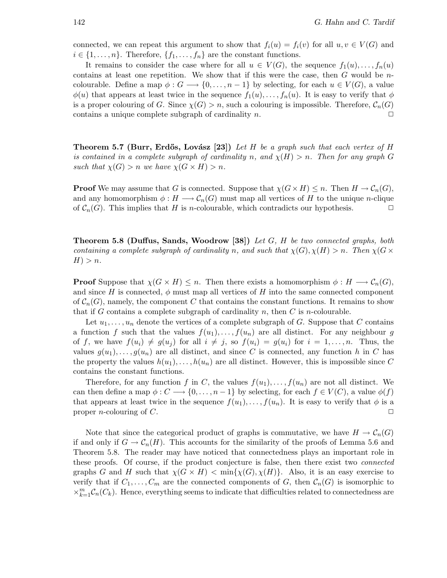connected, we can repeat this argument to show that  $f_i(u) = f_i(v)$  for all  $u, v \in V(G)$  and  $i \in \{1, \ldots, n\}$ . Therefore,  $\{f_1, \ldots, f_n\}$  are the constant functions.

It remains to consider the case where for all  $u \in V(G)$ , the sequence  $f_1(u), \ldots, f_n(u)$ contains at least one repetition. We show that if this were the case, then  $G$  would be  $n$ colourable. Define a map  $\phi: G \longrightarrow \{0,\ldots,n-1\}$  by selecting, for each  $u \in V(G)$ , a value  $\phi(u)$  that appears at least twice in the sequence  $f_1(u),..., f_n(u)$ . It is easy to verify that  $\phi$ is a proper colouring of G. Since  $\chi(G) > n$ , such a colouring is impossible. Therefore,  $\mathcal{C}_n(G)$ contains a unique complete subgraph of cardinality  $n$ .  $\Box$ 

Theorem 5.7 (Burr, Erdős, Lovász [23]) Let H be a graph such that each vertex of H is contained in a complete subgraph of cardinality n, and  $\chi(H) > n$ . Then for any graph G such that  $\chi(G) > n$  we have  $\chi(G \times H) > n$ .

**Proof** We may assume that G is connected. Suppose that  $\chi(G \times H) \leq n$ . Then  $H \to \mathcal{C}_n(G)$ , and any homomorphism  $\phi: H \longrightarrow \mathcal{C}_n(G)$  must map all vertices of H to the unique n-clique of  $C_n(G)$ . This implies that H is n-colourable, which contradicts our hypothesis.

**Theorem 5.8 (Duffus, Sands, Woodrow [38])** Let  $G$ ,  $H$  be two connected graphs, both containing a complete subgraph of cardinality n, and such that  $\chi(G), \chi(H) > n$ . Then  $\chi(G \times$  $H$ ) > n.

**Proof** Suppose that  $\chi(G \times H) \leq n$ . Then there exists a homomorphism  $\phi : H \longrightarrow \mathcal{C}_n(G)$ , and since H is connected,  $\phi$  must map all vertices of H into the same connected component of  $\mathcal{C}_n(G)$ , namely, the component C that contains the constant functions. It remains to show that if G contains a complete subgraph of cardinality  $n$ , then  $C$  is  $n$ -colourable.

Let  $u_1, \ldots, u_n$  denote the vertices of a complete subgraph of G. Suppose that C contains a function f such that the values  $f(u_1),..., f(u_n)$  are all distinct. For any neighbour g of f, we have  $f(u_i) \neq g(u_j)$  for all  $i \neq j$ , so  $f(u_i) = g(u_i)$  for  $i = 1, \ldots, n$ . Thus, the values  $g(u_1),\ldots,g(u_n)$  are all distinct, and since C is connected, any function h in C has the property the values  $h(u_1),\ldots,h(u_n)$  are all distinct. However, this is impossible since C contains the constant functions.

Therefore, for any function f in C, the values  $f(u_1),\ldots,f(u_n)$  are not all distinct. We can then define a map  $\phi: C \longrightarrow \{0, \ldots, n-1\}$  by selecting, for each  $f \in V(C)$ , a value  $\phi(f)$ that appears at least twice in the sequence  $f(u_1),\ldots,f(u_n)$ . It is easy to verify that  $\phi$  is a proper *n*-colouring of C.

Note that since the categorical product of graphs is commutative, we have  $H \to C_n(G)$ if and only if  $G \to \mathcal{C}_n(H)$ . This accounts for the similarity of the proofs of Lemma 5.6 and Theorem 5.8. The reader may have noticed that connectedness plays an important role in these proofs. Of course, if the product conjecture is false, then there exist two connected graphs G and H such that  $\chi(G \times H) < \min{\chi(G), \chi(H)}$ . Also, it is an easy exercise to verify that if  $C_1,\ldots,C_m$  are the connected components of G, then  $\mathcal{C}_n(G)$  is isomorphic to  $\times_{k=1}^{m} \mathcal{C}_n(C_k)$ . Hence, everything seems to indicate that difficulties related to connectedness are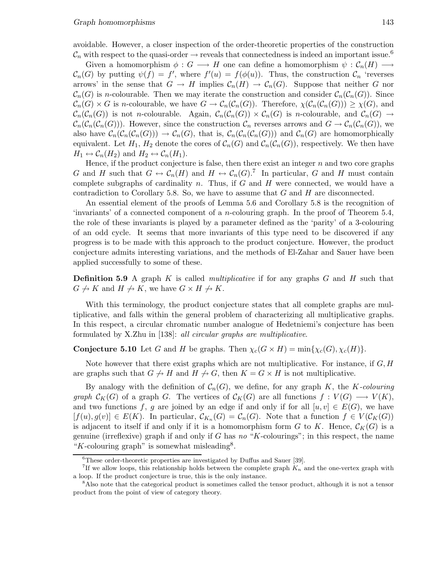avoidable. However, a closer inspection of the order-theoretic properties of the construction  $\mathcal{C}_n$  with respect to the quasi-order  $\rightarrow$  reveals that connectedness is indeed an important issue.<sup>6</sup>

Given a homomorphism  $\phi: G \longrightarrow H$  one can define a homomorphism  $\psi: \mathcal{C}_n(H) \longrightarrow$  $\mathcal{C}_n(G)$  by putting  $\psi(f) = f'$ , where  $f'(u) = f(\phi(u))$ . Thus, the construction  $\mathcal{C}_n$  'reverses arrows' in the sense that  $G \to H$  implies  $\mathcal{C}_n(H) \to \mathcal{C}_n(G)$ . Suppose that neither G nor  $\mathcal{C}_n(G)$  is n-colourable. Then we may iterate the construction and consider  $\mathcal{C}_n(\mathcal{C}_n(G))$ . Since  $\mathcal{C}_n(G) \times G$  is *n*-colourable, we have  $G \to \mathcal{C}_n(\mathcal{C}_n(G))$ . Therefore,  $\chi(\mathcal{C}_n(\mathcal{C}_n(G))) \geq \chi(G)$ , and  $\mathcal{C}_n(\mathcal{C}_n(G))$  is not *n*-colourable. Again,  $\mathcal{C}_n(\mathcal{C}_n(G)) \times \mathcal{C}_n(G)$  is *n*-colourable, and  $\mathcal{C}_n(G) \to$  $\mathcal{C}_n(\mathcal{C}_n(\mathcal{C}_n(G)))$ . However, since the construction  $\mathcal{C}_n$  reverses arrows and  $G \to \mathcal{C}_n(\mathcal{C}_n(G))$ , we also have  $\mathcal{C}_n(\mathcal{C}_n(\mathcal{C}_n(G))) \to \mathcal{C}_n(G)$ , that is,  $\mathcal{C}_n(\mathcal{C}_n(\mathcal{C}_n(G)))$  and  $\mathcal{C}_n(G)$  are homomorphically equivalent. Let  $H_1$ ,  $H_2$  denote the cores of  $C_n(G)$  and  $C_n(\mathcal{C}_n(G))$ , respectively. We then have  $H_1 \leftrightarrow C_n(H_2)$  and  $H_2 \leftrightarrow C_n(H_1)$ .

Hence, if the product conjecture is false, then there exist an integer  $n$  and two core graphs G and H such that  $G \leftrightarrow C_n(H)$  and  $H \leftrightarrow C_n(G)$ .<sup>7</sup> In particular, G and H must contain complete subgraphs of cardinality n. Thus, if  $G$  and  $H$  were connected, we would have a contradiction to Corollary 5.8. So, we have to assume that  $G$  and  $H$  are disconnected.

An essential element of the proofs of Lemma 5.6 and Corollary 5.8 is the recognition of 'invariants' of a connected component of a n-colouring graph. In the proof of Theorem 5.4, the role of these invariants is played by a parameter defined as the 'parity' of a 3-colouring of an odd cycle. It seems that more invariants of this type need to be discovered if any progress is to be made with this approach to the product conjecture. However, the product conjecture admits interesting variations, and the methods of El-Zahar and Sauer have been applied successfully to some of these.

**Definition 5.9** A graph K is called *multiplicative* if for any graphs  $G$  and  $H$  such that  $G \nightharpoonup K$  and  $H \nightharpoonup K$ , we have  $G \times H \nightharpoonup K$ .

With this terminology, the product conjecture states that all complete graphs are multiplicative, and falls within the general problem of characterizing all multiplicative graphs. In this respect, a circular chromatic number analogue of Hedetniemi's conjecture has been formulated by X.Zhu in [138]: all circular graphs are multiplicative.

# **Conjecture 5.10** Let G and H be graphs. Then  $\chi_c(G \times H) = \min{\chi_c(G), \chi_c(H)}$ .

Note however that there exist graphs which are not multiplicative. For instance, if  $G, H$ are graphs such that  $G \nightharpoonup H$  and  $H \nightharpoonup G$ , then  $K = G \times H$  is not multiplicative.

By analogy with the definition of  $\mathcal{C}_n(G)$ , we define, for any graph K, the K-colouring graph  $\mathcal{C}_K(G)$  of a graph G. The vertices of  $\mathcal{C}_K(G)$  are all functions  $f: V(G) \longrightarrow V(K)$ , and two functions f, g are joined by an edge if and only if for all  $[u,v] \in E(G)$ , we have  $[f(u),g(v)] \in E(K)$ . In particular,  $\mathcal{C}_{K_n}(G) = \mathcal{C}_n(G)$ . Note that a function  $f \in V(\mathcal{C}_K(G))$ is adjacent to itself if and only if it is a homomorphism form G to K. Hence,  $\mathcal{C}_K(G)$  is a genuine (irreflexive) graph if and only if G has no "K-colourings"; in this respect, the name "K-colouring graph" is somewhat misleading<sup>8</sup>.

<sup>&</sup>lt;sup>6</sup>These order-theoretic properties are investigated by Duffus and Sauer [39].

<sup>&</sup>lt;sup>7</sup>If we allow loops, this relationship holds between the complete graph  $K_n$  and the one-vertex graph with a loop. If the product conjecture is true, this is the only instance.

<sup>8</sup>Also note that the categorical product is sometimes called the tensor product, although it is not a tensor product from the point of view of category theory.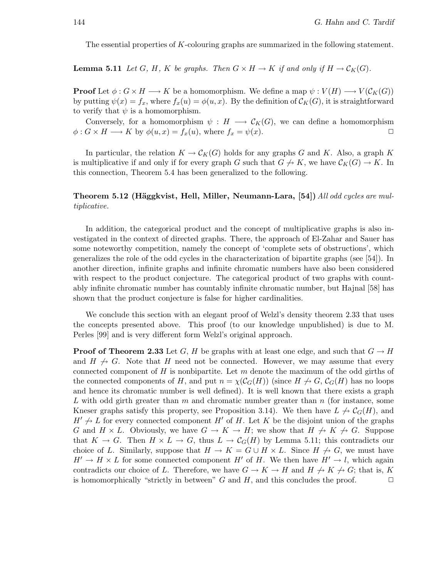The essential properties of K-colouring graphs are summarized in the following statement.

**Lemma 5.11** Let G, H, K be graphs. Then  $G \times H \to K$  if and only if  $H \to C_K(G)$ .

**Proof** Let  $\phi: G \times H \longrightarrow K$  be a homomorphism. We define a map  $\psi: V(H) \longrightarrow V(\mathcal{C}_K(G))$ by putting  $\psi(x) = f_x$ , where  $f_x(u) = \phi(u, x)$ . By the definition of  $\mathcal{C}_K(G)$ , it is straightforward to verify that  $\psi$  is a homomorphism.

Conversely, for a homomorphism  $\psi : H \longrightarrow \mathcal{C}_K(G)$ , we can define a homomorphism  $\phi: G \times H \longrightarrow K$  by  $\phi(u, x) = f_x(u)$ , where  $f_x = \psi(x)$ .

In particular, the relation  $K \to C_K(G)$  holds for any graphs G and K. Also, a graph K is multiplicative if and only if for every graph G such that  $G \nightharpoonup K$ , we have  $\mathcal{C}_K(G) \to K$ . In this connection, Theorem 5.4 has been generalized to the following.

### Theorem 5.12 (Häggkvist, Hell, Miller, Neumann-Lara, [54]) All odd cycles are multiplicative.

In addition, the categorical product and the concept of multiplicative graphs is also investigated in the context of directed graphs. There, the approach of El-Zahar and Sauer has some noteworthy competition, namely the concept of 'complete sets of obstructions', which generalizes the role of the odd cycles in the characterization of bipartite graphs (see [54]). In another direction, infinite graphs and infinite chromatic numbers have also been considered with respect to the product conjecture. The categorical product of two graphs with countably infinite chromatic number has countably infinite chromatic number, but Hajnal [58] has shown that the product conjecture is false for higher cardinalities.

We conclude this section with an elegant proof of Welzl's density theorem 2.33 that uses the concepts presented above. This proof (to our knowledge unpublished) is due to M. Perles [99] and is very different form Welzl's original approach.

**Proof of Theorem 2.33** Let G, H be graphs with at least one edge, and such that  $G \rightarrow H$ and  $H \nrightarrow G$ . Note that H need not be connected. However, we may assume that every connected component of H is nonbipartite. Let  $m$  denote the maximum of the odd girths of the connected components of H, and put  $n = \chi(\mathcal{C}_G(H))$  (since  $H \nrightarrow G$ ,  $\mathcal{C}_G(H)$  has no loops and hence its chromatic number is well defined). It is well known that there exists a graph L with odd girth greater than  $m$  and chromatic number greater than  $n$  (for instance, some Kneser graphs satisfy this property, see Proposition 3.14). We then have  $L \nrightarrow C_G(H)$ , and  $H' \nrightarrow L$  for every connected component H' of H. Let K be the disjoint union of the graphs G and  $H \times L$ . Obviously, we have  $G \to K \to H$ ; we show that  $H \not\to K \not\to G$ . Suppose that  $K \to G$ . Then  $H \times L \to G$ , thus  $L \to C_G(H)$  by Lemma 5.11; this contradicts our choice of L. Similarly, suppose that  $H \to K = G \cup H \times L$ . Since  $H \nrightarrow G$ , we must have  $H' \to H \times L$  for some connected component H' of H. We then have  $H' \to l$ , which again contradicts our choice of L. Therefore, we have  $G \to K \to H$  and  $H \to K \to G$ ; that is, K is homomorphically "strictly in between" G and H, and this concludes the proof.  $\Box$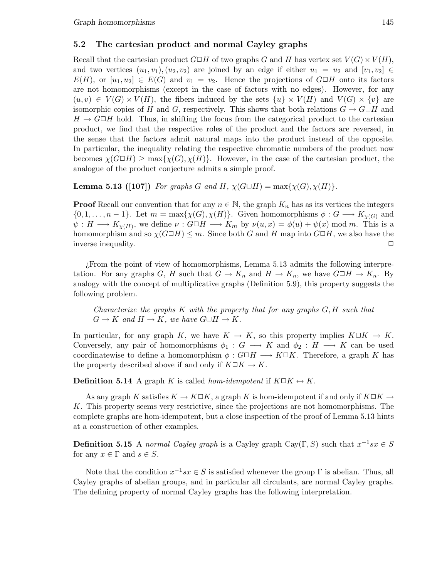### 5.2 The cartesian product and normal Cayley graphs

Recall that the cartesian product  $G \square H$  of two graphs G and H has vertex set  $V(G) \times V(H)$ , and two vertices  $(u_1,v_1), (u_2,v_2)$  are joined by an edge if either  $u_1 = u_2$  and  $[v_1,v_2] \in$  $E(H)$ , or  $[u_1, u_2] \in E(G)$  and  $v_1 = v_2$ . Hence the projections of  $G \square H$  onto its factors are not homomorphisms (except in the case of factors with no edges). However, for any  $(u,v) \in V(G) \times V(H)$ , the fibers induced by the sets  $\{u\} \times V(H)$  and  $V(G) \times \{v\}$  are isomorphic copies of H and G, respectively. This shows that both relations  $G \to G \square H$  and  $H \to G \Box H$  hold. Thus, in shifting the focus from the categorical product to the cartesian product, we find that the respective roles of the product and the factors are reversed, in the sense that the factors admit natural maps into the product instead of the opposite. In particular, the inequality relating the respective chromatic numbers of the product now becomes  $\chi(G \Box H) \ge \max{\{\chi(G),\chi(H)\}}$ . However, in the case of the cartesian product, the analogue of the product conjecture admits a simple proof.

**Lemma 5.13 ([107])** For graphs G and H,  $\chi(G \Box H) = \max{\chi(G), \chi(H)}$ .

**Proof** Recall our convention that for any  $n \in \mathbb{N}$ , the graph  $K_n$  has as its vertices the integers  $\{0, 1, \ldots, n-1\}$ . Let  $m = \max{\chi(G), \chi(H)}$ . Given homomorphisms  $\phi : G \longrightarrow K_{\chi(G)}$  and  $\psi: H \longrightarrow K_{\chi(H)}$ , we define  $\nu: G \square H \longrightarrow K_m$  by  $\nu(u,x) = \phi(u) + \psi(x) \mod m$ . This is a homomorphism and so  $\chi(G \Box H) \leq m$ . Since both G and H map into  $G \Box H$ , we also have the inverse inequality.

¿From the point of view of homomorphisms, Lemma 5.13 admits the following interpretation. For any graphs G, H such that  $G \to K_n$  and  $H \to K_n$ , we have  $G \Box H \to K_n$ . By analogy with the concept of multiplicative graphs (Definition 5.9), this property suggests the following problem.

Characterize the graphs  $K$  with the property that for any graphs  $G, H$  such that  $G \to K$  and  $H \to K$ , we have  $G \Box H \to K$ .

In particular, for any graph K, we have  $K \to K$ , so this property implies  $K \square K \to K$ . Conversely, any pair of homomorphisms  $\phi_1 : G \longrightarrow K$  and  $\phi_2 : H \longrightarrow K$  can be used coordinatewise to define a homomorphism  $\phi : G \square H \longrightarrow K \square K$ . Therefore, a graph K has the property described above if and only if  $K\Box K \rightarrow K$ .

**Definition 5.14** A graph K is called *hom-idempotent* if  $K \square K \leftrightarrow K$ .

As any graph K satisfies  $K \to K \square K$ , a graph K is hom-idempotent if and only if  $K \square K \to$ K. This property seems very restrictive, since the projections are not homomorphisms. The complete graphs are hom-idempotent, but a close inspection of the proof of Lemma 5.13 hints at a construction of other examples.

**Definition 5.15** A normal Cayley graph is a Cayley graph Cay(Γ, S) such that  $x^{-1}sx \in S$ for any  $x \in \Gamma$  and  $s \in S$ .

Note that the condition  $x^{-1}sx \in S$  is satisfied whenever the group  $\Gamma$  is abelian. Thus, all Cayley graphs of abelian groups, and in particular all circulants, are normal Cayley graphs. The defining property of normal Cayley graphs has the following interpretation.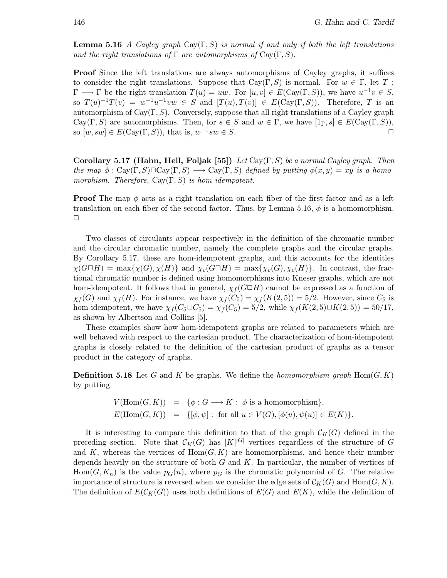**Lemma 5.16** A Cayley graph Cay( $\Gamma$ , S) is normal if and only if both the left translations and the right translations of  $\Gamma$  are automorphisms of  $Cay(\Gamma, S)$ .

Proof Since the left translations are always automorphisms of Cayley graphs, it suffices to consider the right translations. Suppose that  $Cay(\Gamma, S)$  is normal. For  $w \in \Gamma$ , let T:  $\Gamma \longrightarrow \Gamma$  be the right translation  $T(u) = uw$ . For  $[u, v] \in E(\text{Cay}(\Gamma, S))$ , we have  $u^{-1}v \in S$ , so  $T(u)^{-1}T(v) = w^{-1}u^{-1}vw \in S$  and  $[T(u),T(v)] \in E(\text{Cay}(\Gamma, S))$ . Therefore, T is an automorphism of  $Cay(\Gamma, S)$ . Conversely, suppose that all right translations of a Cayley graph Cay(Γ, S) are automorphisms. Then, for  $s \in S$  and  $w \in \Gamma$ , we have  $[1_\Gamma, s] \in E(\text{Cay}(\Gamma, S)),$ so  $[w, sw] \in E(\text{Cay}(\Gamma, S))$ , that is,  $w^{-1}sw \in S$ .

Corollary 5.17 (Hahn, Hell, Poljak [55]) Let  $Cay(\Gamma, S)$  be a normal Cayley graph. Then the map  $\phi : \text{Cay}(\Gamma, S) \square \text{Cay}(\Gamma, S) \longrightarrow \text{Cay}(\Gamma, S)$  defined by putting  $\phi(x, y) = xy$  is a homomorphism. Therefore,  $Cay(\Gamma, S)$  is hom-idempotent.

**Proof** The map  $\phi$  acts as a right translation on each fiber of the first factor and as a left translation on each fiber of the second factor. Thus, by Lemma 5.16,  $\phi$  is a homomorphism.  $\Box$ 

Two classes of circulants appear respectively in the definition of the chromatic number and the circular chromatic number, namely the complete graphs and the circular graphs. By Corollary 5.17, these are hom-idempotent graphs, and this accounts for the identities  $\chi(G \Box H) = \max{\chi(G), \chi(H)}$  and  $\chi_c(G \Box H) = \max{\chi_c(G), \chi_c(H)}$ . In contrast, the fractional chromatic number is defined using homomorphisms into Kneser graphs, which are not hom-idempotent. It follows that in general,  $\chi_f(G \Box H)$  cannot be expressed as a function of  $\chi_f(G)$  and  $\chi_f(H)$ . For instance, we have  $\chi_f(C_5) = \chi_f(K(2, 5)) = 5/2$ . However, since  $C_5$  is hom-idempotent, we have  $\chi_f(C_5 \Box C_5) = \chi_f(C_5) = 5/2$ , while  $\chi_f(K(2, 5) \Box K(2, 5)) = 50/17$ , as shown by Albertson and Collins [5].

These examples show how hom-idempotent graphs are related to parameters which are well behaved with respect to the cartesian product. The characterization of hom-idempotent graphs is closely related to the definition of the cartesian product of graphs as a tensor product in the category of graphs.

**Definition 5.18** Let G and K be graphs. We define the homomorphism graph  $Hom(G, K)$ by putting

$$
V(\text{Hom}(G, K)) = \{ \phi : G \longrightarrow K : \phi \text{ is a homomorphism} \},
$$
  

$$
E(\text{Hom}(G, K)) = \{ [\phi, \psi] : \text{ for all } u \in V(G), [\phi(u), \psi(u)] \in E(K) \}.
$$

It is interesting to compare this definition to that of the graph  $\mathcal{C}_K(G)$  defined in the preceding section. Note that  $\mathcal{C}_K(G)$  has  $|K|^{|G|}$  vertices regardless of the structure of G and K, whereas the vertices of  $Hom(G, K)$  are homomorphisms, and hence their number depends heavily on the structure of both  $G$  and  $K$ . In particular, the number of vertices of  $Hom(G, K_n)$  is the value  $p_G(n)$ , where  $p_G$  is the chromatic polynomial of G. The relative importance of structure is reversed when we consider the edge sets of  $\mathcal{C}_K(G)$  and  $\text{Hom}(G,K)$ . The definition of  $E(C_K(G))$  uses both definitions of  $E(G)$  and  $E(K)$ , while the definition of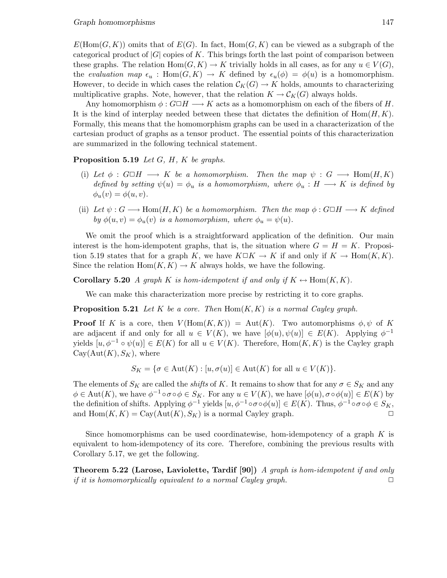$E(\text{Hom}(G,K))$  omits that of  $E(G)$ . In fact,  $\text{Hom}(G,K)$  can be viewed as a subgraph of the categorical product of  $|G|$  copies of K. This brings forth the last point of comparison between these graphs. The relation  $\text{Hom}(G, K) \to K$  trivially holds in all cases, as for any  $u \in V(G)$ , the evaluation map  $\epsilon_u$ : Hom $(G, K) \to K$  defined by  $\epsilon_u(\phi) = \phi(u)$  is a homomorphism. However, to decide in which cases the relation  $\mathcal{C}_K(G) \to K$  holds, amounts to characterizing multiplicative graphs. Note, however, that the relation  $K \to \mathcal{C}_K(G)$  always holds.

Any homomorphism  $\phi : G \square H \longrightarrow K$  acts as a homomorphism on each of the fibers of H. It is the kind of interplay needed between these that dictates the definition of  $\text{Hom}(H, K)$ . Formally, this means that the homomorphism graphs can be used in a characterization of the cartesian product of graphs as a tensor product. The essential points of this characterization are summarized in the following technical statement.

**Proposition 5.19** Let  $G$ ,  $H$ ,  $K$  be graphs.

- (i) Let  $\phi : G \square H \longrightarrow K$  be a homomorphism. Then the map  $\psi : G \longrightarrow \text{Hom}(H,K)$ defined by setting  $\psi(u) = \phi_u$  is a homomorphism, where  $\phi_u : H \longrightarrow K$  is defined by  $\phi_u(v) = \phi(u,v).$
- (ii) Let  $\psi: G \longrightarrow \text{Hom}(H, K)$  be a homomorphism. Then the map  $\phi: G \square H \longrightarrow K$  defined by  $\phi(u,v) = \phi_u(v)$  is a homomorphism, where  $\phi_u = \psi(u)$ .

We omit the proof which is a straightforward application of the definition. Our main interest is the hom-idempotent graphs, that is, the situation where  $G = H = K$ . Proposition 5.19 states that for a graph K, we have  $K\Box K \to K$  if and only if  $K \to \text{Hom}(K,K)$ . Since the relation  $Hom(K, K) \to K$  always holds, we have the following.

**Corollary 5.20** A graph K is hom-idempotent if and only if  $K \leftrightarrow \text{Hom}(K, K)$ .

We can make this characterization more precise by restricting it to core graphs.

**Proposition 5.21** Let K be a core. Then  $Hom(K, K)$  is a normal Cayley graph.

**Proof** If K is a core, then  $V(\text{Hom}(K,K)) = \text{Aut}(K)$ . Two automorphisms  $\phi, \psi$  of K are adjacent if and only for all  $u \in V(K)$ , we have  $[\phi(u), \psi(u)] \in E(K)$ . Applying  $\phi^{-1}$ yields  $[u, \phi^{-1} \circ \psi(u)] \in E(K)$  for all  $u \in V(K)$ . Therefore, Hom $(K, K)$  is the Cayley graph  $Cay(Aut(K), S<sub>K</sub>)$ , where

$$
S_K = \{ \sigma \in \text{Aut}(K) : [u, \sigma(u)] \in \text{Aut}(K) \text{ for all } u \in V(K) \}.
$$

The elements of  $S_K$  are called the *shifts* of K. It remains to show that for any  $\sigma \in S_K$  and any  $\phi \in \text{Aut}(K)$ , we have  $\phi^{-1} \circ \sigma \circ \phi \in S_K$ . For any  $u \in V(K)$ , we have  $[\phi(u), \sigma \circ \phi(u)] \in E(K)$  by the definition of shifts. Applying  $\phi^{-1}$  yields  $[u, \phi^{-1} \circ \sigma \circ \phi(u)] \in E(K)$ . Thus,  $\phi^{-1} \circ \sigma \circ \phi \in S_K$ , and  $\text{Hom}(K,K) = \text{Cay}(\text{Aut}(K), S_K)$  is a normal Cayley graph.

Since homomorphisms can be used coordinatewise, hom-idempotency of a graph  $K$  is equivalent to hom-idempotency of its core. Therefore, combining the previous results with Corollary 5.17, we get the following.

Theorem 5.22 (Larose, Laviolette, Tardif [90]) A graph is hom-idempotent if and only if it is homomorphically equivalent to a normal Cayley graph.  $\Box$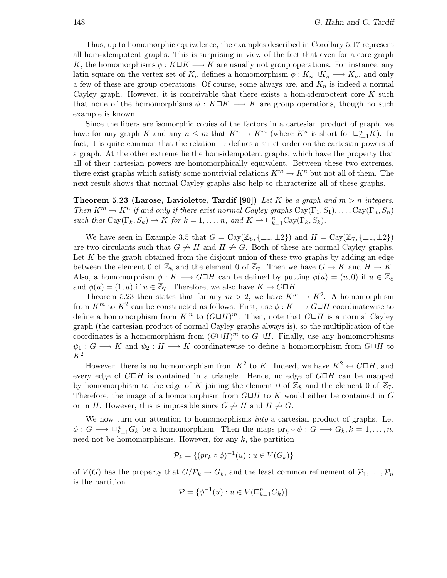Thus, up to homomorphic equivalence, the examples described in Corollary 5.17 represent all hom-idempotent graphs. This is surprising in view of the fact that even for a core graph K, the homomorphisms  $\phi: K\square K \longrightarrow K$  are usually not group operations. For instance, any latin square on the vertex set of  $K_n$  defines a homomorphism  $\phi: K_n \square K_n \longrightarrow K_n$ , and only a few of these are group operations. Of course, some always are, and  $K_n$  is indeed a normal Cayley graph. However, it is conceivable that there exists a hom-idempotent core  $K$  such that none of the homomorphisms  $\phi: K\Box K \longrightarrow K$  are group operations, though no such example is known.

Since the fibers are isomorphic copies of the factors in a cartesian product of graph, we have for any graph K and any  $n \leq m$  that  $K^n \to K^m$  (where  $K^n$  is short for  $\Box_{i=1}^n K$ ). In fact, it is quite common that the relation  $\rightarrow$  defines a strict order on the cartesian powers of a graph. At the other extreme lie the hom-idempotent graphs, which have the property that all of their cartesian powers are homomorphically equivalent. Between these two extremes, there exist graphs which satisfy some nontrivial relations  $K^m \to K^n$  but not all of them. The next result shows that normal Cayley graphs also help to characterize all of these graphs.

**Theorem 5.23 (Larose, Laviolette, Tardif [90])** Let K be a graph and  $m > n$  integers. Then  $K^m \to K^n$  if and only if there exist normal Cayley graphs  $Cay(\Gamma_1, S_1), \ldots, Cay(\Gamma_n, S_n)$ such that  $Cay(\Gamma_k, S_k) \to K$  for  $k = 1, ..., n$ , and  $K \to \Box_{k=1}^n Cay(\Gamma_k, S_k)$ .

We have seen in Example 3.5 that  $G = Cay(\mathbb{Z}_8, \{\pm 1, \pm 2\})$  and  $H = Cay(\mathbb{Z}_7, \{\pm 1, \pm 2\})$ are two circulants such that  $G \nrightarrow H$  and  $H \nrightarrow G$ . Both of these are normal Cayley graphs. Let  $K$  be the graph obtained from the disjoint union of these two graphs by adding an edge between the element 0 of  $\mathbb{Z}_8$  and the element 0 of  $\mathbb{Z}_7$ . Then we have  $G \to K$  and  $H \to K$ . Also, a homomorphism  $\phi: K \longrightarrow G \square H$  can be defined by putting  $\phi(u) = (u, 0)$  if  $u \in \mathbb{Z}_8$ and  $\phi(u) = (1, u)$  if  $u \in \mathbb{Z}_7$ . Therefore, we also have  $K \to G \square H$ .

Theorem 5.23 then states that for any  $m > 2$ , we have  $K^m \to K^2$ . A homomorphism from  $K^m$  to  $K^2$  can be constructed as follows. First, use  $\phi: K \longrightarrow G \square H$  coordinatewise to define a homomorphism from  $K^m$  to  $(G \Box H)^m$ . Then, note that  $G \Box H$  is a normal Cayley graph (the cartesian product of normal Cayley graphs always is), so the multiplication of the coordinates is a homomorphism from  $(G \Box H)^m$  to  $G \Box H$ . Finally, use any homomorphisms  $\psi_1: G \longrightarrow K$  and  $\psi_2: H \longrightarrow K$  coordinatewise to define a homomorphism from  $G \square H$  to  $K^2$ .

However, there is no homomorphism from  $K^2$  to K. Indeed, we have  $K^2 \leftrightarrow G \Box H$ , and every edge of  $G \Box H$  is contained in a triangle. Hence, no edge of  $G \Box H$  can be mapped by homomorphism to the edge of K joining the element 0 of  $\mathbb{Z}_8$  and the element 0 of  $\mathbb{Z}_7$ . Therefore, the image of a homomorphism from  $G \Box H$  to K would either be contained in G or in H. However, this is impossible since  $G \nrightarrow H$  and  $H \nrightarrow G$ .

We now turn our attention to homomorphisms *into* a cartesian product of graphs. Let  $\phi: G \longrightarrow \Box_{k=1}^n G_k$  be a homomorphism. Then the maps  $\text{pr}_k \circ \phi: G \longrightarrow G_k, k = 1, \ldots, n$ , need not be homomorphisms. However, for any  $k$ , the partition

$$
\mathcal{P}_k = \{ (pr_k \circ \phi)^{-1}(u) : u \in V(G_k) \}
$$

of  $V(G)$  has the property that  $G/\mathcal{P}_k \to G_k$ , and the least common refinement of  $\mathcal{P}_1,\ldots,\mathcal{P}_n$ is the partition

$$
\mathcal{P} = \{ \phi^{-1}(u) : u \in V(\Box_{k=1}^n G_k) \}
$$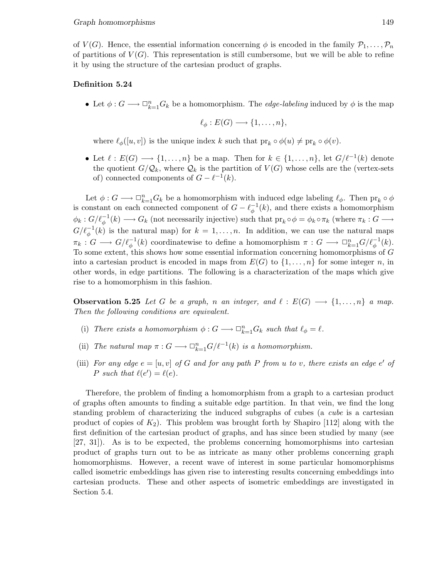of  $V(G)$ . Hence, the essential information concerning  $\phi$  is encoded in the family  $\mathcal{P}_1,\ldots,\mathcal{P}_n$ of partitions of  $V(G)$ . This representation is still cumbersome, but we will be able to refine it by using the structure of the cartesian product of graphs.

### Definition 5.24

• Let  $\phi: G \longrightarrow \Box_{k=1}^n G_k$  be a homomorphism. The *edge-labeling* induced by  $\phi$  is the map

$$
\ell_{\phi}: E(G) \longrightarrow \{1, \ldots, n\},\
$$

where  $\ell_{\phi}([u,v])$  is the unique index k such that  $\text{pr}_k \circ \phi(u) \neq \text{pr}_k \circ \phi(v)$ .

• Let  $\ell : E(G) \longrightarrow \{1, \ldots, n\}$  be a map. Then for  $k \in \{1, \ldots, n\}$ , let  $G/\ell^{-1}(k)$  denote the quotient  $G/\mathcal{Q}_k$ , where  $\mathcal{Q}_k$  is the partition of  $V(G)$  whose cells are the (vertex-sets of) connected components of  $G - \ell^{-1}(k)$ .

Let  $\phi: G \longrightarrow \Box_{k=1}^n G_k$  be a homomorphism with induced edge labeling  $\ell_{\phi}$ . Then  ${\rm pr}_k \circ \phi$ is constant on each connected component of  $G - \ell_{\phi}^{-1}(k)$ , and there exists a homomorphism  $\phi_k: G/\ell_{\phi}^{-1}(k) \longrightarrow G_k$  (not necessarily injective) such that  ${\rm pr}_k \circ \phi = \phi_k \circ \pi_k$  (where  $\pi_k: G \longrightarrow$  $G/\ell_{\phi}^{-1}(k)$  is the natural map) for  $k=1,\ldots,n$ . In addition, we can use the natural maps  $\pi_k: G \longrightarrow G/\ell_{\phi}^{-1}(k)$  coordinatewise to define a homomorphism  $\pi: G \longrightarrow \Box_{k=1}^n G/\ell_{\phi}^{-1}(k)$ . To some extent, this shows how some essential information concerning homomorphisms of G into a cartesian product is encoded in maps from  $E(G)$  to  $\{1,\ldots,n\}$  for some integer n, in other words, in edge partitions. The following is a characterization of the maps which give rise to a homomorphism in this fashion.

**Observation 5.25** Let G be a graph, n an integer, and  $\ell : E(G) \longrightarrow \{1, \ldots, n\}$  a map. Then the following conditions are equivalent.

- (i) There exists a homomorphism  $\phi: G \longrightarrow \Box_{k=1}^n G_k$  such that  $\ell_{\phi} = \ell$ .
- (ii) The natural map  $\pi: G \longrightarrow \Box_{k=1}^n G/\ell^{-1}(k)$  is a homomorphism.
- (iii) For any edge  $e = [u, v]$  of G and for any path P from u to v, there exists an edge e' of P such that  $\ell(e') = \ell(e)$ .

Therefore, the problem of finding a homomorphism from a graph to a cartesian product of graphs often amounts to finding a suitable edge partition. In that vein, we find the long standing problem of characterizing the induced subgraphs of cubes (a cube is a cartesian product of copies of  $K_2$ ). This problem was brought forth by Shapiro [112] along with the first definition of the cartesian product of graphs, and has since been studied by many (see [27, 31]). As is to be expected, the problems concerning homomorphisms into cartesian product of graphs turn out to be as intricate as many other problems concerning graph homomorphisms. However, a recent wave of interest in some particular homomorphisms called isometric embeddings has given rise to interesting results concerning embeddings into cartesian products. These and other aspects of isometric embeddings are investigated in Section 5.4.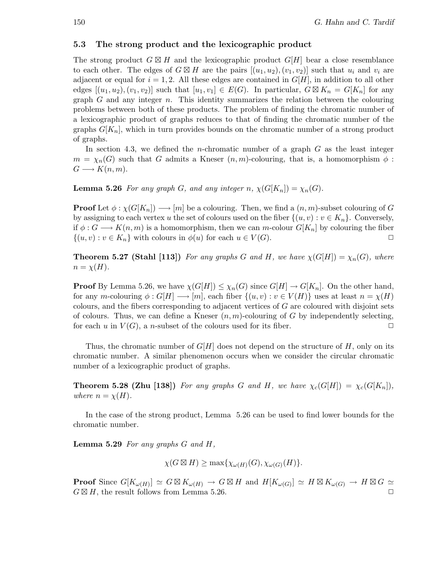### 5.3 The strong product and the lexicographic product

The strong product  $G \boxtimes H$  and the lexicographic product  $G[H]$  bear a close resemblance to each other. The edges of  $G \boxtimes H$  are the pairs  $[(u_1, u_2), (v_1, v_2)]$  such that  $u_i$  and  $v_i$  are adjacent or equal for  $i = 1, 2$ . All these edges are contained in  $G[H]$ , in addition to all other edges  $[(u_1,u_2),(v_1,v_2)]$  such that  $[u_1,v_1] \in E(G)$ . In particular,  $G \boxtimes K_n = G[K_n]$  for any graph  $G$  and any integer  $n$ . This identity summarizes the relation between the colouring problems between both of these products. The problem of finding the chromatic number of a lexicographic product of graphs reduces to that of finding the chromatic number of the graphs  $G[K_n]$ , which in turn provides bounds on the chromatic number of a strong product of graphs.

In section 4.3, we defined the *n*-chromatic number of a graph  $G$  as the least integer  $m = \chi_n(G)$  such that G admits a Kneser  $(n,m)$ -colouring, that is, a homomorphism  $\phi$ :  $G \longrightarrow K(n,m).$ 

**Lemma 5.26** For any graph G, and any integer n,  $\chi(G[K_n]) = \chi_n(G)$ .

**Proof** Let  $\phi : \chi(G[K_n]) \longrightarrow [m]$  be a colouring. Then, we find a  $(n,m)$ -subset colouring of G by assigning to each vertex u the set of colours used on the fiber  $\{(u, v) : v \in K_n\}$ . Conversely, if  $\phi: G \longrightarrow K(n,m)$  is a homomorphism, then we can m-colour  $G[K_n]$  by colouring the fiber  $\{(u,v): v \in K_n\}$  with colours in  $\phi(u)$  for each  $u \in V(G)$ .

**Theorem 5.27 (Stahl [113])** For any graphs G and H, we have  $\chi(G[H]) = \chi_n(G)$ , where  $n = \chi(H)$ .

**Proof** By Lemma 5.26, we have  $\chi(G[H]) \leq \chi_n(G)$  since  $G[H] \to G[K_n]$ . On the other hand, for any m-colouring  $\phi: G[H] \longrightarrow [m]$ , each fiber  $\{(u,v): v \in V(H)\}$  uses at least  $n = \chi(H)$ colours, and the fibers corresponding to adjacent vertices of G are coloured with disjoint sets of colours. Thus, we can define a Kneser  $(n, m)$ -colouring of G by independently selecting, for each u in  $V(G)$ , a n-subset of the colours used for its fiber.

Thus, the chromatic number of  $G[H]$  does not depend on the structure of H, only on its chromatic number. A similar phenomenon occurs when we consider the circular chromatic number of a lexicographic product of graphs.

**Theorem 5.28 (Zhu [138])** For any graphs G and H, we have  $\chi_c(G[H]) = \chi_c(G[K_n])$ , where  $n = \chi(H)$ .

In the case of the strong product, Lemma 5.26 can be used to find lower bounds for the chromatic number.

**Lemma 5.29** For any graphs  $G$  and  $H$ ,

$$
\chi(G \boxtimes H) \ge \max\{\chi_{\omega(H)}(G), \chi_{\omega(G)}(H)\}.
$$

**Proof** Since  $G[K_{\omega(H)}] \simeq G \boxtimes K_{\omega(H)} \to G \boxtimes H$  and  $H[K_{\omega(G)}] \simeq H \boxtimes K_{\omega(G)} \to H \boxtimes G \simeq$  $G \boxtimes H$ , the result follows from Lemma 5.26.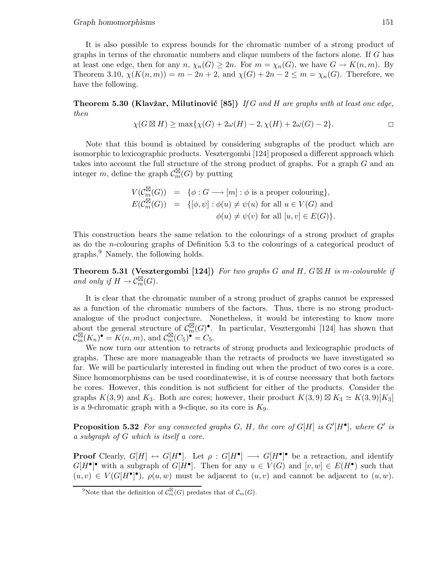It is also possible to express bounds for the chromatic number of a strong product of graphs in terms of the chromatic numbers and clique numbers of the factors alone. If G has at least one edge, then for any  $n, \chi_n(G) \geq 2n$ . For  $m = \chi_n(G)$ , we have  $G \to K(n,m)$ . By Theorem 3.10,  $\chi(K(n,m)) = m - 2n + 2$ , and  $\chi(G) + 2n - 2 \leq m = \chi_n(G)$ . Therefore, we have the following.

**Theorem 5.30 (Klavžar, Milutinović [85])** If G and H are graphs with at least one edge, then

$$
\chi(G \boxtimes H) \ge \max\{\chi(G) + 2\omega(H) - 2, \chi(H) + 2\omega(G) - 2\}.
$$

Note that this bound is obtained by considering subgraphs of the product which are isomorphic to lexicographic products. Vesztergombi [124] proposed a different approach which takes into account the full structure of the strong product of graphs. For a graph G and an integer m, define the graph  $\mathcal{C}_m^{\boxtimes}(G)$  by putting

$$
V(\mathcal{C}_m^{\boxtimes}(G)) = \{ \phi : G \longrightarrow [m] : \phi \text{ is a proper colouring} \},
$$
  

$$
E(\mathcal{C}_m^{\boxtimes}(G)) = \{ [\phi, \psi] : \phi(u) \neq \psi(u) \text{ for all } u \in V(G) \text{ and}
$$
  

$$
\phi(u) \neq \psi(v) \text{ for all } [u, v] \in E(G) \}.
$$

This construction bears the same relation to the colourings of a strong product of graphs as do the n-colouring graphs of Definition 5.3 to the colourings of a categorical product of graphs.<sup>9</sup> Namely, the following holds.

**Theorem 5.31 (Vesztergombi** [124]) For two graphs G and H,  $G \boxtimes H$  is m-colourable if and only if  $H \to \operatorname{C}_{m}^{\boxtimes}(G)$ .

It is clear that the chromatic number of a strong product of graphs cannot be expressed as a function of the chromatic numbers of the factors. Thus, there is no strong productanalogue of the product conjecture. Nonetheless, it would be interesting to know more about the general structure of  $\mathcal{C}_m^{\boxtimes}(G)^{\bullet}$ . In particular, Vesztergombi [124] has shown that  $\mathcal{C}_m^{\boxtimes}(K_n)$ <sup>•</sup> =  $K(n,m)$ , and  $\mathcal{C}_m^{\boxtimes}(C_5)$ <sup>•</sup> =  $C_5$ .

We now turn our attention to retracts of strong products and lexicographic products of graphs. These are more manageable than the retracts of products we have investigated so far. We will be particularly interested in finding out when the product of two cores is a core. Since homomorphisms can be used coordinatewise, it is of course necessary that both factors be cores. However, this condition is not sufficient for either of the products. Consider the graphs  $K(3,9)$  and  $K_3$ . Both are cores; however, their product  $K(3,9) \boxtimes K_3 \simeq K(3,9)[K_3]$ is a 9-chromatic graph with a 9-clique, so its core is  $K<sub>9</sub>$ .

**Proposition 5.32** For any connected graphs  $G$ ,  $H$ , the core of  $G[H]$  is  $G'[H^{\bullet}]$ , where  $G'$  is a subgraph of G which is itself a core.

**Proof** Clearly,  $G[H] \leftrightarrow G[H^{\bullet}]$ . Let  $\rho: G[H^{\bullet}] \longrightarrow G[H^{\bullet}]^{\bullet}$  be a retraction, and identify  $G[H^{\bullet}]^{\bullet}$  with a subgraph of  $G[H^{\bullet}]$ . Then for any  $u \in V(G)$  and  $[v, w] \in E(H^{\bullet})$  such that  $(u, v) \in V(G[H^{\bullet}]^{\bullet}), \rho(u, w)$  must be adjacent to  $(u, v)$  and cannot be adjacent to  $(u, w)$ .

<sup>&</sup>lt;sup>9</sup>Note that the definition of  $\mathcal{C}_m^{\boxtimes}(G)$  predates that of  $\mathcal{C}_m(G)$ .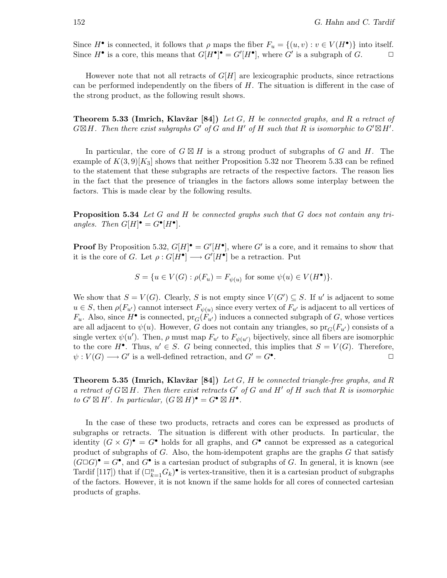Since  $H^{\bullet}$  is connected, it follows that  $\rho$  maps the fiber  $F_u = \{(u, v) : v \in V(H^{\bullet})\}$  into itself. Since  $H^{\bullet}$  is a core, this means that  $G[H^{\bullet}]^{\bullet} = G'[H^{\bullet}]$ , where  $G'$  is a subgraph of  $G$ .

However note that not all retracts of  $G[H]$  are lexicographic products, since retractions can be performed independently on the fibers of  $H$ . The situation is different in the case of the strong product, as the following result shows.

**Theorem 5.33 (Imrich, Klavžar [84])** Let G, H be connected graphs, and R a retract of  $G \boxtimes H$ . Then there exist subgraphs G' of G and H' of H such that R is isomorphic to  $G' \boxtimes H'$ .

In particular, the core of  $G \boxtimes H$  is a strong product of subgraphs of G and H. The example of  $K(3,9)[K_3]$  shows that neither Proposition 5.32 nor Theorem 5.33 can be refined to the statement that these subgraphs are retracts of the respective factors. The reason lies in the fact that the presence of triangles in the factors allows some interplay between the factors. This is made clear by the following results.

**Proposition 5.34** Let G and H be connected graphs such that G does not contain any triangles. Then  $G[H] \bullet = G^{\bullet}[H^{\bullet}].$ 

**Proof** By Proposition 5.32,  $G[H]$ <sup> $\bullet$ </sup> =  $G'[H^{\bullet}]$ , where  $G'$  is a core, and it remains to show that it is the core of G. Let  $\rho: G[H^{\bullet}] \longrightarrow G'[H^{\bullet}]$  be a retraction. Put

 $S = \{u \in V(G) : \rho(F_u) = F_{\psi(u)} \text{ for some } \psi(u) \in V(H^{\bullet})\}.$ 

We show that  $S = V(G)$ . Clearly, S is not empty since  $V(G') \subseteq S$ . If u' is adjacent to some  $u \in S$ , then  $\rho(F_{u'})$  cannot intersect  $F_{\psi(u)}$  since every vertex of  $F_{u'}$  is adjacent to all vertices of  $F_u$ . Also, since  $H^{\bullet}$  is connected,  $pr_G(F_{u'})$  induces a connected subgraph of G, whose vertices are all adjacent to  $\psi(u)$ . However, G does not contain any triangles, so  $pr_G(F_{u'})$  consists of a single vertex  $\psi(u')$ . Then,  $\rho$  must map  $F_{u'}$  to  $F_{\psi(u')}$  bijectively, since all fibers are isomorphic to the core  $H^{\bullet}$ . Thus,  $u' \in S$ . G being connected, this implies that  $S = V(G)$ . Therefore,  $\psi: V(G) \longrightarrow G'$  is a well-defined retraction, and  $G' = G^{\bullet}$ . The contract of  $\mathbb{Z}^n$  is the contract of  $\Box$ 

**Theorem 5.35 (Imrich, Klavžar [84])** Let G, H be connected triangle-free graphs, and R a retract of  $G \boxtimes H$ . Then there exist retracts  $G'$  of G and  $H'$  of H such that R is isomorphic to  $G' \boxtimes H'$ . In particular,  $(G \boxtimes H)^{\bullet} = G^{\bullet} \boxtimes H^{\bullet}$ .

In the case of these two products, retracts and cores can be expressed as products of subgraphs or retracts. The situation is different with other products. In particular, the identity  $(G \times G)^{\bullet} = G^{\bullet}$  holds for all graphs, and  $G^{\bullet}$  cannot be expressed as a categorical product of subgraphs of G. Also, the hom-idempotent graphs are the graphs  $G$  that satisfy  $(G \Box G)^{\bullet} = G^{\bullet}$ , and  $G^{\bullet}$  is a cartesian product of subgraphs of G. In general, it is known (see Tardif [117]) that if  $(\Box_{k=1}^n G_k)$  is vertex-transitive, then it is a cartesian product of subgraphs of the factors. However, it is not known if the same holds for all cores of connected cartesian products of graphs.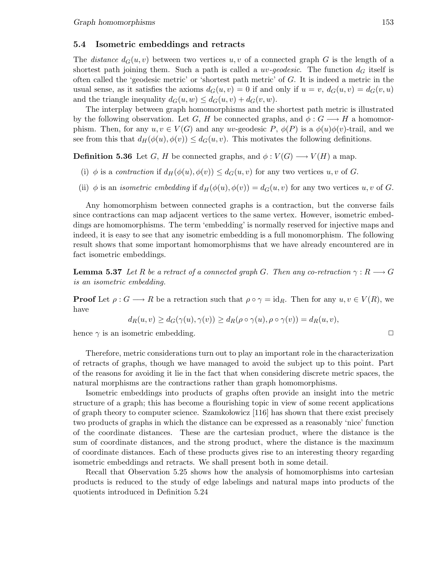### 5.4 Isometric embeddings and retracts

The *distance*  $d_G(u, v)$  between two vertices  $u, v$  of a connected graph G is the length of a shortest path joining them. Such a path is called a *uv-geodesic*. The function  $d_G$  itself is often called the 'geodesic metric' or 'shortest path metric' of G. It is indeed a metric in the usual sense, as it satisfies the axioms  $d_G(u,v) = 0$  if and only if  $u = v$ ,  $d_G(u,v) = d_G(v,u)$ and the triangle inequality  $d_G(u, w) \leq d_G(u, v) + d_G(v, w)$ .

The interplay between graph homomorphisms and the shortest path metric is illustrated by the following observation. Let G, H be connected graphs, and  $\phi: G \longrightarrow H$  a homomorphism. Then, for any  $u, v \in V(G)$  and any uv-geodesic P,  $\phi(P)$  is a  $\phi(u)\phi(v)$ -trail, and we see from this that  $d_H(\phi(u), \phi(v)) \leq d_G(u, v)$ . This motivates the following definitions.

**Definition 5.36** Let G, H be connected graphs, and  $\phi: V(G) \longrightarrow V(H)$  a map.

- (i)  $\phi$  is a contraction if  $d_H(\phi(u), \phi(v)) \leq d_G(u, v)$  for any two vertices  $u, v$  of G.
- (ii)  $\phi$  is an *isometric embedding* if  $d_H(\phi(u), \phi(v)) = d_G(u, v)$  for any two vertices u, v of G.

Any homomorphism between connected graphs is a contraction, but the converse fails since contractions can map adjacent vertices to the same vertex. However, isometric embeddings are homomorphisms. The term 'embedding' is normally reserved for injective maps and indeed, it is easy to see that any isometric embedding is a full monomorphism. The following result shows that some important homomorphisms that we have already encountered are in fact isometric embeddings.

**Lemma 5.37** Let R be a retract of a connected graph G. Then any co-retraction  $\gamma : R \longrightarrow G$ is an isometric embedding.

**Proof** Let  $\rho: G \longrightarrow R$  be a retraction such that  $\rho \circ \gamma = id_R$ . Then for any  $u, v \in V(R)$ , we have

$$
d_R(u, v) \ge d_G(\gamma(u), \gamma(v)) \ge d_R(\rho \circ \gamma(u), \rho \circ \gamma(v)) = d_R(u, v),
$$

hence  $\gamma$  is an isometric embedding.  $\Box$ 

Therefore, metric considerations turn out to play an important role in the characterization of retracts of graphs, though we have managed to avoid the subject up to this point. Part of the reasons for avoiding it lie in the fact that when considering discrete metric spaces, the natural morphisms are the contractions rather than graph homomorphisms.

Isometric embeddings into products of graphs often provide an insight into the metric structure of a graph; this has become a flourishing topic in view of some recent applications of graph theory to computer science. Szamkolowicz  $[116]$  has shown that there exist precisely two products of graphs in which the distance can be expressed as a reasonably 'nice' function of the coordinate distances. These are the cartesian product, where the distance is the sum of coordinate distances, and the strong product, where the distance is the maximum of coordinate distances. Each of these products gives rise to an interesting theory regarding isometric embeddings and retracts. We shall present both in some detail.

Recall that Observation 5.25 shows how the analysis of homomorphisms into cartesian products is reduced to the study of edge labelings and natural maps into products of the quotients introduced in Definition 5.24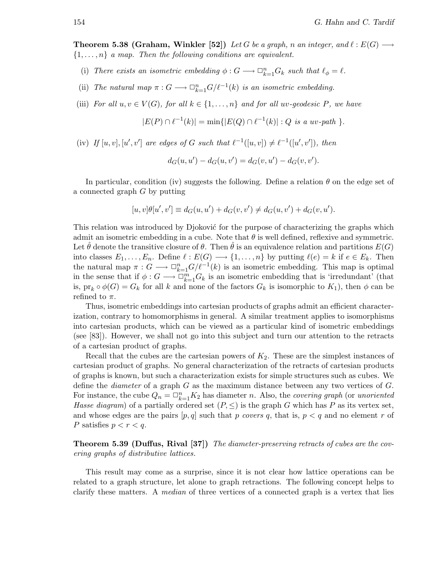**Theorem 5.38 (Graham, Winkler [52])** Let G be a graph, n an integer, and  $\ell : E(G) \longrightarrow$  $\{1,\ldots,n\}$  a map. Then the following conditions are equivalent.

- (i) There exists an isometric embedding  $\phi: G \longrightarrow \Box_{k=1}^n G_k$  such that  $\ell_{\phi} = \ell$ .
- (ii) The natural map  $\pi: G \longrightarrow \Box_{k=1}^n G/\ell^{-1}(k)$  is an isometric embedding.
- (iii) For all  $u, v \in V(G)$ , for all  $k \in \{1, ..., n\}$  and for all uv-geodesic P, we have

 $|E(P) \cap \ell^{-1}(k)| = \min\{|E(Q) \cap \ell^{-1}(k)| : Q \text{ is a uv-path }\}.$ 

(iv) If  $[u, v], [u', v']$  are edges of G such that  $\ell^{-1}([u, v]) \neq \ell^{-1}([u', v'])$ , then

$$
d_G(u, u') - d_G(u, v') = d_G(v, u') - d_G(v, v').
$$

In particular, condition (iv) suggests the following. Define a relation  $\theta$  on the edge set of a connected graph G by putting

$$
[u, v]\theta[u', v'] \equiv d_G(u, u') + d_G(v, v') \neq d_G(u, v') + d_G(v, u').
$$

This relation was introduced by Djoković for the purpose of characterizing the graphs which admit an isometric embedding in a cube. Note that  $\theta$  is well defined, reflexive and symmetric. Let  $\theta$  denote the transitive closure of  $\theta$ . Then  $\theta$  is an equivalence relation and partitions  $E(G)$ into classes  $E_1,\ldots,E_n$ . Define  $\ell: E(G) \longrightarrow \{1,\ldots,n\}$  by putting  $\ell(e) = k$  if  $e \in E_k$ . Then the natural map  $\pi: G \longrightarrow \Box_{k=1}^n G/\ell^{-1}(k)$  is an isometric embedding. This map is optimal in the sense that if  $\phi: G \longrightarrow \mathbb{D}_{k=1}^m G_k$  is an isometric embedding that is 'irredundant' (that is,  $pr_k \circ \phi(G) = G_k$  for all k and none of the factors  $G_k$  is isomorphic to  $K_1$ ), then  $\phi$  can be refined to  $\pi$ .

Thus, isometric embeddings into cartesian products of graphs admit an efficient characterization, contrary to homomorphisms in general. A similar treatment applies to isomorphisms into cartesian products, which can be viewed as a particular kind of isometric embeddings (see [83]). However, we shall not go into this subject and turn our attention to the retracts of a cartesian product of graphs.

Recall that the cubes are the cartesian powers of  $K_2$ . These are the simplest instances of cartesian product of graphs. No general characterization of the retracts of cartesian products of graphs is known, but such a characterization exists for simple structures such as cubes. We define the *diameter* of a graph  $G$  as the maximum distance between any two vertices of  $G$ . For instance, the cube  $Q_n = \Box_{k=1}^n K_2$  has diameter n. Also, the *covering graph* (or *unoriented* Hasse diagram) of a partially ordered set  $(P, \leq)$  is the graph G which has P as its vertex set, and whose edges are the pairs  $[p,q]$  such that p covers q, that is,  $p < q$  and no element r of P satisfies  $p < r < q$ .

Theorem 5.39 (Duffus, Rival [37]) The diameter-preserving retracts of cubes are the covering graphs of distributive lattices.

This result may come as a surprise, since it is not clear how lattice operations can be related to a graph structure, let alone to graph retractions. The following concept helps to clarify these matters. A median of three vertices of a connected graph is a vertex that lies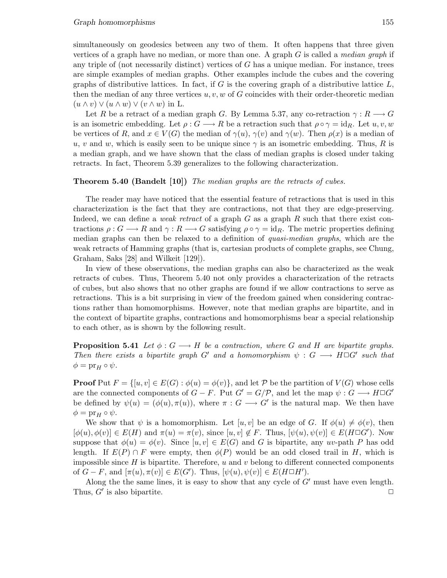simultaneously on geodesics between any two of them. It often happens that three given vertices of a graph have no median, or more than one. A graph  $G$  is called a *median graph* if any triple of (not necessarily distinct) vertices of  $G$  has a unique median. For instance, trees are simple examples of median graphs. Other examples include the cubes and the covering graphs of distributive lattices. In fact, if  $G$  is the covering graph of a distributive lattice  $L$ , then the median of any three vertices  $u, v, w$  of G coincides with their order-theoretic median  $(u \wedge v) \vee (u \wedge w) \vee (v \wedge w)$  in L.

Let R be a retract of a median graph G. By Lemma 5.37, any co-retraction  $\gamma: R \longrightarrow G$ is an isometric embedding. Let  $\rho: G \longrightarrow R$  be a retraction such that  $\rho \circ \gamma = id_R$ . Let  $u, v, w$ be vertices of R, and  $x \in V(G)$  the median of  $\gamma(u)$ ,  $\gamma(v)$  and  $\gamma(w)$ . Then  $\rho(x)$  is a median of u, v and w, which is easily seen to be unique since  $\gamma$  is an isometric embedding. Thus, R is a median graph, and we have shown that the class of median graphs is closed under taking retracts. In fact, Theorem 5.39 generalizes to the following characterization.

#### Theorem 5.40 (Bandelt [10]) The median graphs are the retracts of cubes.

The reader may have noticed that the essential feature of retractions that is used in this characterization is the fact that they are contractions, not that they are edge-preserving. Indeed, we can define a *weak retract* of a graph  $G$  as a graph  $R$  such that there exist contractions  $\rho: G \longrightarrow R$  and  $\gamma: R \longrightarrow G$  satisfying  $\rho \circ \gamma = id_R$ . The metric properties defining median graphs can then be relaxed to a definition of quasi-median graphs, which are the weak retracts of Hamming graphs (that is, cartesian products of complete graphs, see Chung, Graham, Saks [28] and Wilkeit [129]).

In view of these observations, the median graphs can also be characterized as the weak retracts of cubes. Thus, Theorem 5.40 not only provides a characterization of the retracts of cubes, but also shows that no other graphs are found if we allow contractions to serve as retractions. This is a bit surprising in view of the freedom gained when considering contractions rather than homomorphisms. However, note that median graphs are bipartite, and in the context of bipartite graphs, contractions and homomorphisms bear a special relationship to each other, as is shown by the following result.

**Proposition 5.41** Let  $\phi: G \longrightarrow H$  be a contraction, where G and H are bipartite graphs. Then there exists a bipartite graph G' and a homomorphism  $\psi : G \longrightarrow H \square G'$  such that  $\phi = \text{pr}_H \circ \psi.$ 

**Proof** Put  $F = \{[u, v] \in E(G) : \phi(u) = \phi(v)\}\)$ , and let P be the partition of  $V(G)$  whose cells are the connected components of  $G - F$ . Put  $G' = G/P$ , and let the map  $\psi : G \longrightarrow H \square G'$ be defined by  $\psi(u) = (\phi(u), \pi(u))$ , where  $\pi : G \longrightarrow G'$  is the natural map. We then have  $\phi = \text{pr}_{H} \circ \psi.$ 

We show that  $\psi$  is a homomorphism. Let  $[u, v]$  be an edge of G. If  $\phi(u) \neq \phi(v)$ , then  $[\phi(u), \phi(v)] \in E(H)$  and  $\pi(u) = \pi(v)$ , since  $[u, v] \notin F$ . Thus,  $[\psi(u), \psi(v)] \in E(H \square G')$ . Now suppose that  $\phi(u) = \phi(v)$ . Since  $[u, v] \in E(G)$  and G is bipartite, any uv-path P has odd length. If  $E(P) \cap F$  were empty, then  $\phi(P)$  would be an odd closed trail in H, which is impossible since  $H$  is bipartite. Therefore,  $u$  and  $v$  belong to different connected components of  $G - F$ , and  $[\pi(u), \pi(v)] \in E(G')$ . Thus,  $[\psi(u), \psi(v)] \in E(H \square H')$ .

Along the the same lines, it is easy to show that any cycle of  $G'$  must have even length. Thus,  $G'$  is also bipartite.  $\Box$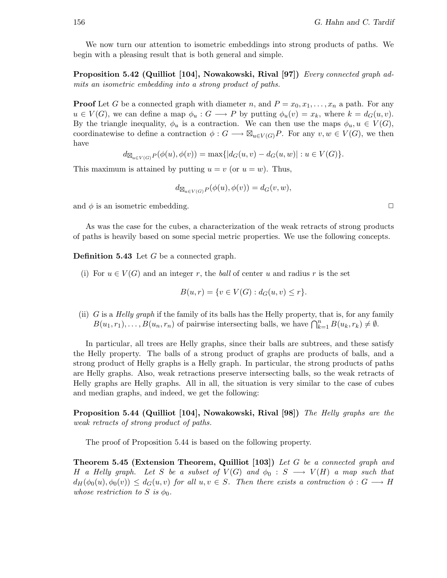We now turn our attention to isometric embeddings into strong products of paths. We begin with a pleasing result that is both general and simple.

Proposition 5.42 (Quilliot [104], Nowakowski, Rival [97]) Every connected graph admits an isometric embedding into a strong product of paths.

**Proof** Let G be a connected graph with diameter n, and  $P = x_0, x_1, \ldots, x_n$  a path. For any  $u \in V(G)$ , we can define a map  $\phi_u : G \longrightarrow P$  by putting  $\phi_u(v) = x_k$ , where  $k = d_G(u, v)$ . By the triangle inequality,  $\phi_u$  is a contraction. We can then use the maps  $\phi_u, u \in V(G)$ , coordinatewise to define a contraction  $\phi: G \longrightarrow \mathbb{Z}_{u \in V(G)}P$ . For any  $v, w \in V(G)$ , we then have

 $d_{\mathbb{Z}_{u\in V(G)}} P(\phi(u), \phi(v)) = \max\{|d_G(u,v) - d_G(u,w)| : u \in V(G)\}.$ 

This maximum is attained by putting  $u = v$  (or  $u = w$ ). Thus,

$$
d_{\boxtimes_{u\in V(G)}P}(\phi(u),\phi(v))=d_G(v,w),
$$

and  $\phi$  is an isometric embedding.  $\Box$ 

As was the case for the cubes, a characterization of the weak retracts of strong products of paths is heavily based on some special metric properties. We use the following concepts.

Definition 5.43 Let G be a connected graph.

(i) For  $u \in V(G)$  and an integer r, the ball of center u and radius r is the set

$$
B(u,r) = \{ v \in V(G) : d_G(u,v) \le r \}.
$$

(ii) G is a Helly graph if the family of its balls has the Helly property, that is, for any family  $B(u_1,r_1),\ldots,B(u_n,r_n)$  of pairwise intersecting balls, we have  $\bigcap_{k=1}^n B(u_k,r_k) \neq \emptyset$ .

In particular, all trees are Helly graphs, since their balls are subtrees, and these satisfy the Helly property. The balls of a strong product of graphs are products of balls, and a strong product of Helly graphs is a Helly graph. In particular, the strong products of paths are Helly graphs. Also, weak retractions preserve intersecting balls, so the weak retracts of Helly graphs are Helly graphs. All in all, the situation is very similar to the case of cubes and median graphs, and indeed, we get the following:

Proposition 5.44 (Quilliot [104], Nowakowski, Rival [98]) The Helly graphs are the weak retracts of strong product of paths.

The proof of Proposition 5.44 is based on the following property.

Theorem 5.45 (Extension Theorem, Quilliot [103]) Let G be a connected graph and H a Helly graph. Let S be a subset of  $V(G)$  and  $\phi_0 : S \longrightarrow V(H)$  a map such that  $d_H(\phi_0(u), \phi_0(v)) \leq d_G(u, v)$  for all  $u, v \in S$ . Then there exists a contraction  $\phi : G \longrightarrow H$ whose restriction to S is  $\phi_0$ .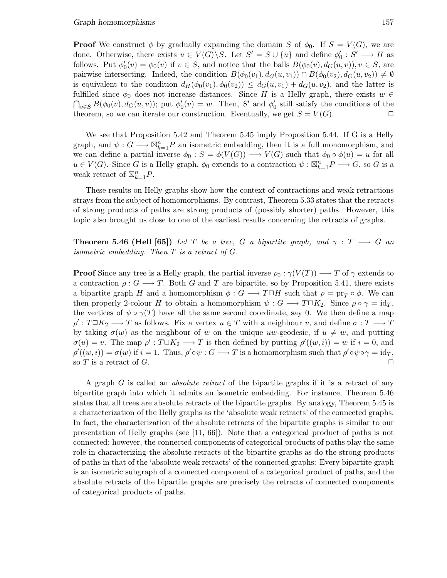**Proof** We construct  $\phi$  by gradually expanding the domain S of  $\phi_0$ . If  $S = V(G)$ , we are done. Otherwise, there exists  $u \in V(G) \backslash S$ . Let  $S' = S \cup \{u\}$  and define  $\phi_0' : S' \longrightarrow H$  as follows. Put  $\phi'_0(v) = \phi_0(v)$  if  $v \in S$ , and notice that the balls  $B(\phi_0(v), d_G(u, v)), v \in S$ , are pairwise intersecting. Indeed, the condition  $B(\phi_0(v_1), d_G(u,v_1)) \cap B(\phi_0(v_2), d_G(u,v_2)) \neq \emptyset$ is equivalent to the condition  $d_H(\phi_0(v_1), \phi_0(v_2)) \leq d_G(u, v_1) + d_G(u, v_2)$ , and the latter is fulfilled since  $\phi_0$  does not increase distances. Since H is a Helly graph, there exists  $w \in$  $\bigcap_{v\in S} B(\phi_0(v), d_G(u, v))$ ; put  $\phi'_0(v) = w$ . Then, S' and  $\phi'_0$  still satisfy the conditions of the theorem, so we can iterate our construction. Eventually, we get  $S = V(G)$ .

We see that Proposition 5.42 and Theorem 5.45 imply Proposition 5.44. If G is a Helly graph, and  $\psi: G \longrightarrow \boxtimes_{k=1}^n P$  an isometric embedding, then it is a full monomorphism, and we can define a partial inverse  $\phi_0 : S = \phi(V(G)) \longrightarrow V(G)$  such that  $\phi_0 \circ \phi(u) = u$  for all  $u \in V(G)$ . Since G is a Helly graph,  $\phi_0$  extends to a contraction  $\psi : \boxtimes_{k=1}^n P \longrightarrow G$ , so G is a weak retract of  $\mathbb{Z}_{k=1}^n P$ .

These results on Helly graphs show how the context of contractions and weak retractions strays from the subject of homomorphisms. By contrast, Theorem 5.33 states that the retracts of strong products of paths are strong products of (possibly shorter) paths. However, this topic also brought us close to one of the earliest results concerning the retracts of graphs.

**Theorem 5.46 (Hell [65])** Let T be a tree, G a bipartite graph, and  $\gamma : T \longrightarrow G$  and isometric embedding. Then  $T$  is a retract of  $G$ .

**Proof** Since any tree is a Helly graph, the partial inverse  $\rho_0 : \gamma(V(T)) \longrightarrow T$  of  $\gamma$  extends to a contraction  $\rho: G \longrightarrow T$ . Both G and T are bipartite, so by Proposition 5.41, there exists a bipartite graph H and a homomorphism  $\phi : G \longrightarrow T \square H$  such that  $\rho = \text{pr}_T \circ \phi$ . We can then properly 2-colour H to obtain a homomorphism  $\psi : G \longrightarrow T \square K_2$ . Since  $\rho \circ \gamma = id_T$ , the vertices of  $\psi \circ \gamma(T)$  have all the same second coordinate, say 0. We then define a map  $\rho': T \Box K_2 \longrightarrow T$  as follows. Fix a vertex  $u \in T$  with a neighbour v, and define  $\sigma: T \longrightarrow T$ by taking  $\sigma(w)$  as the neighbour of w on the unique uw-geodesic, if  $u \neq w$ , and putting  $\sigma(u) = v$ . The map  $\rho' : T \square K_2 \longrightarrow T$  is then defined by putting  $\rho'((w, i)) = w$  if  $i = 0$ , and  $\rho'((w,i)) = \sigma(w)$  if  $i = 1$ . Thus,  $\rho' \circ \psi : G \longrightarrow T$  is a homomorphism such that  $\rho' \circ \psi \circ \gamma = id_T$ , so T is a retract of G.  $\Box$ 

A graph G is called an absolute retract of the bipartite graphs if it is a retract of any bipartite graph into which it admits an isometric embedding. For instance, Theorem 5.46 states that all trees are absolute retracts of the bipartite graphs. By analogy, Theorem 5.45 is a characterization of the Helly graphs as the 'absolute weak retracts' of the connected graphs. In fact, the characterization of the absolute retracts of the bipartite graphs is similar to our presentation of Helly graphs (see [11, 66]). Note that a categorical product of paths is not connected; however, the connected components of categorical products of paths play the same role in characterizing the absolute retracts of the bipartite graphs as do the strong products of paths in that of the 'absolute weak retracts' of the connected graphs: Every bipartite graph is an isometric subgraph of a connected component of a categorical product of paths, and the absolute retracts of the bipartite graphs are precisely the retracts of connected components of categorical products of paths.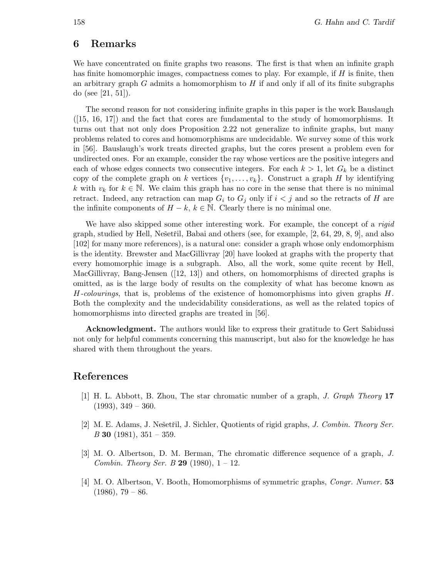# 6 Remarks

We have concentrated on finite graphs two reasons. The first is that when an infinite graph has finite homomorphic images, compactness comes to play. For example, if  $H$  is finite, then an arbitrary graph  $G$  admits a homomorphism to  $H$  if and only if all of its finite subgraphs do (see [21, 51]).

The second reason for not considering infinite graphs in this paper is the work Bauslaugh  $([15, 16, 17])$  and the fact that cores are fundamental to the study of homomorphisms. It turns out that not only does Proposition 2.22 not generalize to infinite graphs, but many problems related to cores and homomorphisms are undecidable. We survey some of this work in [56]. Bauslaugh's work treats directed graphs, but the cores present a problem even for undirected ones. For an example, consider the ray whose vertices are the positive integers and each of whose edges connects two consecutive integers. For each  $k > 1$ , let  $G_k$  be a distinct copy of the complete graph on k vertices  $\{v_1,\ldots,v_k\}$ . Construct a graph H by identifying k with  $v_k$  for  $k \in \mathbb{N}$ . We claim this graph has no core in the sense that there is no minimal retract. Indeed, any retraction can map  $G_i$  to  $G_j$  only if  $i < j$  and so the retracts of H are the infinite components of  $H - k$ ,  $k \in \mathbb{N}$ . Clearly there is no minimal one.

We have also skipped some other interesting work. For example, the concept of a *rigid* graph, studied by Hell, Nešetřil, Babai and others (see, for example,  $[2, 64, 29, 8, 9]$ , and also [102] for many more references), is a natural one: consider a graph whose only endomorphism is the identity. Brewster and MacGillivray [20] have looked at graphs with the property that every homomorphic image is a subgraph. Also, all the work, some quite recent by Hell, MacGillivray, Bang-Jensen ([12, 13]) and others, on homomorphisms of directed graphs is omitted, as is the large body of results on the complexity of what has become known as  $H$ -colourings, that is, problems of the existence of homomorphisms into given graphs  $H$ . Both the complexity and the undecidability considerations, as well as the related topics of homomorphisms into directed graphs are treated in [56].

Acknowledgment. The authors would like to express their gratitude to Gert Sabidussi not only for helpful comments concerning this manuscript, but also for the knowledge he has shared with them throughout the years.

# References

- [1] H. L. Abbott, B. Zhou, The star chromatic number of a graph, J. Graph Theory 17  $(1993), 349 - 360.$
- [2] M. E. Adams, J. Nešetřil, J. Sichler, Quotients of rigid graphs, *J. Combin. Theory Ser.*  $B$  30 (1981), 351 – 359.
- [3] M. O. Albertson, D. M. Berman, The chromatic difference sequence of a graph, J. *Combin. Theory Ser. B* 29 (1980),  $1 - 12$ .
- [4] M. O. Albertson, V. Booth, Homomorphisms of symmetric graphs, Congr. Numer. 53  $(1986), 79 - 86.$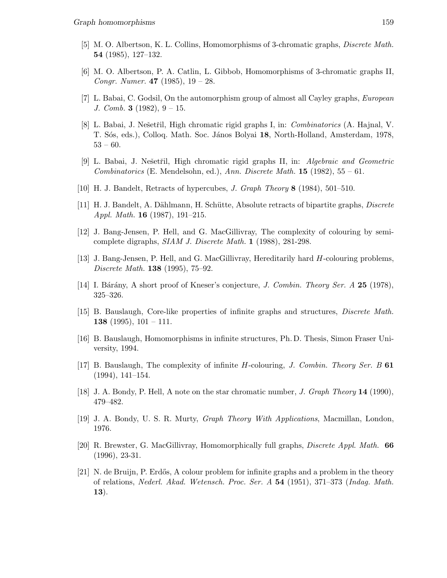- [5] M. O. Albertson, K. L. Collins, Homomorphisms of 3-chromatic graphs, Discrete Math. 54 (1985), 127–132.
- [6] M. O. Albertson, P. A. Catlin, L. Gibbob, Homomorphisms of 3-chromatic graphs II, Congr. Numer.  $47$  (1985),  $19 - 28$ .
- [7] L. Babai, C. Godsil, On the automorphism group of almost all Cayley graphs, European J. Comb. 3 (1982),  $9 - 15$ .
- [8] L. Babai, J. Nešetřil, High chromatic rigid graphs I, in: *Combinatorics* (A. Hajnal, V. T. Sós, eds.), Colloq. Math. Soc. János Bolyai 18, North-Holland, Amsterdam, 1978, 53 – 60.
- [9] L. Babai, J. Nešetřil, High chromatic rigid graphs II, in: Algebraic and Geometric Combinatorics (E. Mendelsohn, ed.), Ann. Discrete Math.  $15$  (1982),  $55 - 61$ .
- [10] H. J. Bandelt, Retracts of hypercubes, J. Graph Theory 8 (1984), 501–510.
- [11] H. J. Bandelt, A. Dählmann, H. Schütte, Absolute retracts of bipartite graphs, *Discrete* Appl. Math. 16 (1987), 191–215.
- [12] J. Bang-Jensen, P. Hell, and G. MacGillivray, The complexity of colouring by semicomplete digraphs, SIAM J. Discrete Math. 1 (1988), 281-298.
- [13] J. Bang-Jensen, P. Hell, and G. MacGillivray, Hereditarily hard H-colouring problems, Discrete Math. 138 (1995), 75–92.
- [14] I. Bárány, A short proof of Kneser's conjecture, J. Combin. Theory Ser. A 25 (1978), 325–326.
- [15] B. Bauslaugh, Core-like properties of infinite graphs and structures, Discrete Math. **138** (1995),  $101 - 111$ .
- [16] B. Bauslaugh, Homomorphisms in infinite structures, Ph.D. Thesis, Simon Fraser University, 1994.
- [17] B. Bauslaugh, The complexity of infinite  $H$ -colouring, J. Combin. Theory Ser. B 61 (1994), 141–154.
- [18] J. A. Bondy, P. Hell, A note on the star chromatic number, J. Graph Theory 14 (1990), 479–482.
- [19] J. A. Bondy, U. S. R. Murty, Graph Theory With Applications, Macmillan, London, 1976.
- [20] R. Brewster, G. MacGillivray, Homomorphically full graphs, Discrete Appl. Math. 66 (1996), 23-31.
- [21] N. de Bruijn, P. Erd˝os, A colour problem for infinite graphs and a problem in the theory of relations, Nederl. Akad. Wetensch. Proc. Ser. A 54 (1951), 371–373 (Indag. Math. 13).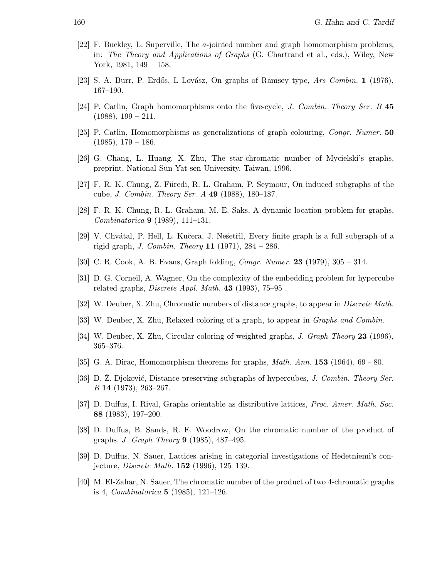- [22] F. Buckley, L. Superville, The a-jointed number and graph homomorphism problems, in: The Theory and Applications of Graphs (G. Chartrand et al., eds.), Wiley, New York, 1981, 149 – 158.
- [23] S. A. Burr, P. Erdős, L Lovász, On graphs of Ramsey type, Ars Combin. 1 (1976), 167–190.
- [24] P. Catlin, Graph homomorphisms onto the five-cycle, J. Combin. Theory Ser. B 45  $(1988), 199 - 211.$
- [25] P. Catlin, Homomorphisms as generalizations of graph colouring, Congr. Numer. 50  $(1985), 179 - 186.$
- [26] G. Chang, L. Huang, X. Zhu, The star-chromatic number of Mycielski's graphs, preprint, National Sun Yat-sen University, Taiwan, 1996.
- [27] F. R. K. Chung, Z. Füredi, R. L. Graham, P. Seymour, On induced subgraphs of the cube, J. Combin. Theory Ser. A 49 (1988), 180–187.
- [28] F. R. K. Chung, R. L. Graham, M. E. Saks, A dynamic location problem for graphs, Combinatorica 9 (1989), 111–131.
- [29] V. Chvátal, P. Hell, L. Kučera, J. Nešetřil, Every finite graph is a full subgraph of a rigid graph, *J. Combin. Theory* **11** (1971),  $284 - 286$ .
- [30] C. R. Cook, A. B. Evans, Graph folding, Congr. Numer. 23 (1979), 305 314.
- [31] D. G. Corneil, A. Wagner, On the complexity of the embedding problem for hypercube related graphs, *Discrete Appl. Math.*  $43$  (1993),  $75-95$ .
- [32] W. Deuber, X. Zhu, Chromatic numbers of distance graphs, to appear in Discrete Math.
- [33] W. Deuber, X. Zhu, Relaxed coloring of a graph, to appear in *Graphs and Combin.*
- [34] W. Deuber, X. Zhu, Circular coloring of weighted graphs, *J. Graph Theory* 23 (1996), 365–376.
- [35] G. A. Dirac, Homomorphism theorems for graphs, Math. Ann. 153 (1964), 69 80.
- [36] D. Z. Djoković, Distance-preserving subgraphs of hypercubes, J. Combin. Theory Ser. B 14 (1973), 263–267.
- [37] D. Duffus, I. Rival, Graphs orientable as distributive lattices, Proc. Amer. Math. Soc. 88 (1983), 197–200.
- [38] D. Duffus, B. Sands, R. E. Woodrow, On the chromatic number of the product of graphs, J. Graph Theory 9 (1985), 487–495.
- [39] D. Duffus, N. Sauer, Lattices arising in categorial investigations of Hedetniemi's conjecture, Discrete Math. 152 (1996), 125–139.
- [40] M. El-Zahar, N. Sauer, The chromatic number of the product of two 4-chromatic graphs is 4, *Combinatorica* **5** (1985), 121-126.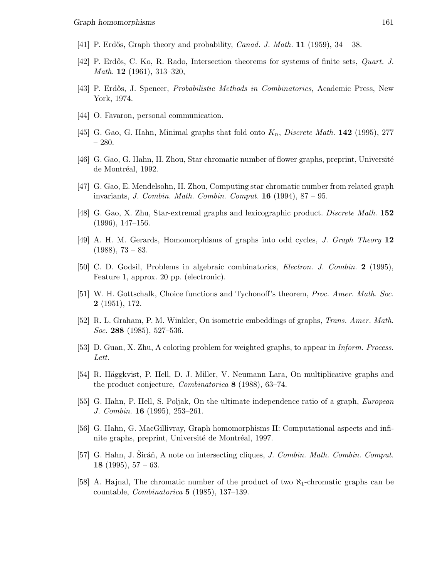- [41] P. Erdős, Graph theory and probability, *Canad. J. Math.* **11** (1959),  $34 38$ .
- [42] P. Erdős, C. Ko, R. Rado, Intersection theorems for systems of finite sets, *Quart. J.* Math. 12 (1961), 313–320,
- [43] P. Erdős, J. Spencer, *Probabilistic Methods in Combinatorics*, Academic Press, New York, 1974.
- [44] O. Favaron, personal communication.
- [45] G. Gao, G. Hahn, Minimal graphs that fold onto  $K_n$ , Discrete Math. 142 (1995), 277 – 280.
- [46] G. Gao, G. Hahn, H. Zhou, Star chromatic number of flower graphs, preprint, Université de Montréal, 1992.
- [47] G. Gao, E. Mendelsohn, H. Zhou, Computing star chromatic number from related graph invariants, *J. Combin. Math. Combin. Comput.* **16** (1994),  $87 - 95$ .
- [48] G. Gao, X. Zhu, Star-extremal graphs and lexicographic product. Discrete Math. 152 (1996), 147–156.
- [49] A. H. M. Gerards, Homomorphisms of graphs into odd cycles, J. Graph Theory 12  $(1988), 73 - 83.$
- [50] C. D. Godsil, Problems in algebraic combinatorics, Electron. J. Combin. 2 (1995), Feature 1, approx. 20 pp. (electronic).
- [51] W. H. Gottschalk, Choice functions and Tychonoff's theorem, Proc. Amer. Math. Soc. 2 (1951), 172.
- [52] R. L. Graham, P. M. Winkler, On isometric embeddings of graphs, Trans. Amer. Math. Soc. 288  $(1985)$ , 527–536.
- [53] D. Guan, X. Zhu, A coloring problem for weighted graphs, to appear in Inform. Process. Lett.
- [54] R. Häggkvist, P. Hell, D. J. Miller, V. Neumann Lara, On multiplicative graphs and the product conjecture, Combinatorica 8 (1988), 63–74.
- [55] G. Hahn, P. Hell, S. Poljak, On the ultimate independence ratio of a graph, European J. Combin. 16 (1995), 253–261.
- [56] G. Hahn, G. MacGillivray, Graph homomorphisms II: Computational aspects and infinite graphs, preprint, Université de Montréal, 1997.
- [57] G. Hahn, J. Siráň, A note on intersecting cliques, *J. Combin. Math. Combin. Comput.* 18 (1995),  $57 - 63$ .
- [58] A. Hajnal, The chromatic number of the product of two  $\aleph_1$ -chromatic graphs can be countable, *Combinatorica* **5** (1985), 137–139.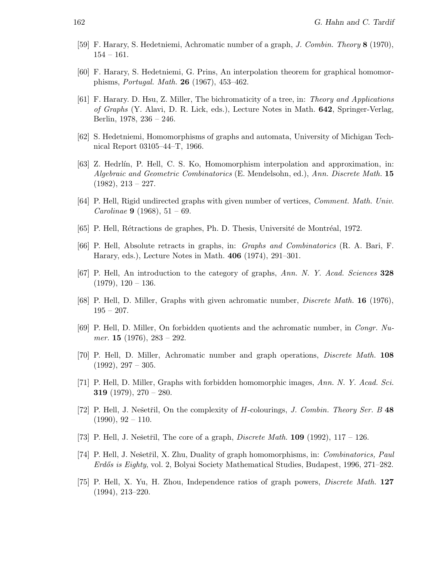- [59] F. Harary, S. Hedetniemi, Achromatic number of a graph, J. Combin. Theory 8 (1970), 154 – 161.
- [60] F. Harary, S. Hedetniemi, G. Prins, An interpolation theorem for graphical homomorphisms, Portugal. Math. 26 (1967), 453–462.
- [61] F. Harary. D. Hsu, Z. Miller, The bichromaticity of a tree, in: Theory and Applications of Graphs (Y. Alavi, D. R. Lick, eds.), Lecture Notes in Math. 642, Springer-Verlag, Berlin, 1978, 236 – 246.
- [62] S. Hedetniemi, Homomorphisms of graphs and automata, University of Michigan Technical Report 03105–44–T, 1966.
- [63] Z. Hedrlín, P. Hell, C. S. Ko, Homomorphism interpolation and approximation, in: Algebraic and Geometric Combinatorics (E. Mendelsohn, ed.), Ann. Discrete Math. 15  $(1982), 213 - 227.$
- [64] P. Hell, Rigid undirected graphs with given number of vertices, Comment. Math. Univ. *Carolinae* **9** (1968),  $51 - 69$ .
- [65] P. Hell, Rétractions de graphes, Ph. D. Thesis, Université de Montréal, 1972.
- [66] P. Hell, Absolute retracts in graphs, in: Graphs and Combinatorics (R. A. Bari, F. Harary, eds.), Lecture Notes in Math. 406 (1974), 291–301.
- [67] P. Hell, An introduction to the category of graphs, Ann. N. Y. Acad. Sciences 328  $(1979), 120 - 136.$
- [68] P. Hell, D. Miller, Graphs with given achromatic number, *Discrete Math.* **16** (1976),  $195 - 207.$
- [69] P. Hell, D. Miller, On forbidden quotients and the achromatic number, in Congr. Numer. 15 (1976),  $283 - 292$ .
- [70] P. Hell, D. Miller, Achromatic number and graph operations, Discrete Math. 108  $(1992), 297 - 305.$
- [71] P. Hell, D. Miller, Graphs with forbidden homomorphic images, Ann. N. Y. Acad. Sci. **319** (1979),  $270 - 280$ .
- [72] P. Hell, J. Nešetřil, On the complexity of H-colourings, J. Combin. Theory Ser. B 48  $(1990), 92 - 110.$
- [73] P. Hell, J. Nešetřil, The core of a graph, *Discrete Math.* **109** (1992),  $117 126$ .
- [74] P. Hell, J. Nešetřil, X. Zhu, Duality of graph homomorphisms, in: Combinatorics, Paul Erdős is Eighty, vol. 2, Bolyai Society Mathematical Studies, Budapest, 1996, 271–282.
- [75] P. Hell, X. Yu, H. Zhou, Independence ratios of graph powers, Discrete Math. 127 (1994), 213–220.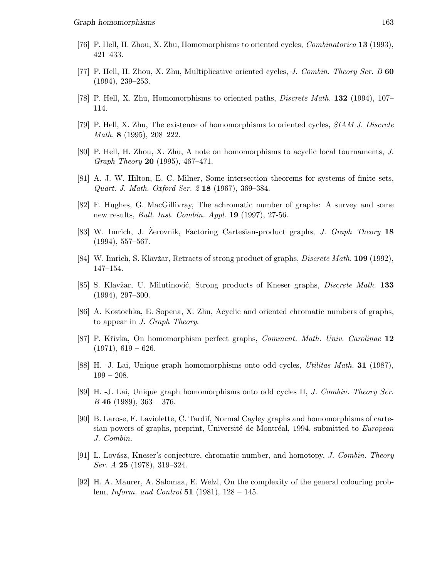- [76] P. Hell, H. Zhou, X. Zhu, Homomorphisms to oriented cycles, Combinatorica 13 (1993), 421–433.
- [77] P. Hell, H. Zhou, X. Zhu, Multiplicative oriented cycles, J. Combin. Theory Ser. B 60 (1994), 239–253.
- [78] P. Hell, X. Zhu, Homomorphisms to oriented paths, Discrete Math. 132 (1994), 107– 114.
- [79] P. Hell, X. Zhu, The existence of homomorphisms to oriented cycles, SIAM J. Discrete Math. 8 (1995), 208–222.
- [80] P. Hell, H. Zhou, X. Zhu, A note on homomorphisms to acyclic local tournaments, J. Graph Theory 20 (1995), 467–471.
- [81] A. J. W. Hilton, E. C. Milner, Some intersection theorems for systems of finite sets, Quart. J. Math. Oxford Ser. 2 18 (1967), 369–384.
- [82] F. Hughes, G. MacGillivray, The achromatic number of graphs: A survey and some new results, *Bull. Inst. Combin. Appl.* **19** (1997), 27-56.
- [83] W. Imrich, J. Zerovnik, Factoring Cartesian-product graphs, J. Graph Theory 18 (1994), 557–567.
- [84] W. Imrich, S. Klavžar, Retracts of strong product of graphs, *Discrete Math.* 109 (1992), 147–154.
- [85] S. Klavžar, U. Milutinović, Strong products of Kneser graphs, *Discrete Math.* 133 (1994), 297–300.
- [86] A. Kostochka, E. Sopena, X. Zhu, Acyclic and oriented chromatic numbers of graphs, to appear in J. Graph Theory.
- [87] P. Křivka, On homomorphism perfect graphs, Comment. Math. Univ. Carolinae 12  $(1971), 619 - 626.$
- [88] H. -J. Lai, Unique graph homomorphisms onto odd cycles, Utilitas Math. 31 (1987), 199 – 208.
- [89] H. -J. Lai, Unique graph homomorphisms onto odd cycles II, J. Combin. Theory Ser.  $B$  46 (1989), 363 – 376.
- [90] B. Larose, F. Laviolette, C. Tardif, Normal Cayley graphs and homomorphisms of cartesian powers of graphs, preprint, Université de Montréal, 1994, submitted to European J. Combin.
- [91] L. Lovász, Kneser's conjecture, chromatic number, and homotopy, J. Combin. Theory Ser. A 25 (1978), 319–324.
- [92] H. A. Maurer, A. Salomaa, E. Welzl, On the complexity of the general colouring problem, *Inform. and Control* 51 (1981),  $128 - 145$ .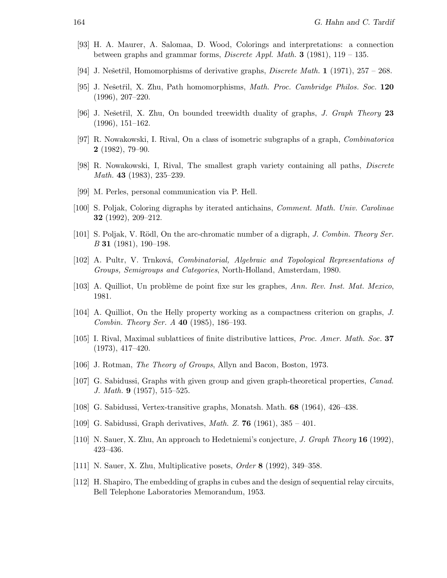- [93] H. A. Maurer, A. Salomaa, D. Wood, Colorings and interpretations: a connection between graphs and grammar forms, *Discrete Appl. Math.* **3** (1981), 119 – 135.
- [94] J. Nešetřil, Homomorphisms of derivative graphs, *Discrete Math.* 1 (1971), 257 268.
- [95] J. Nešetřil, X. Zhu, Path homomorphisms, *Math. Proc. Cambridge Philos. Soc.* 120 (1996), 207–220.
- [96] J. Nešetřil, X. Zhu, On bounded treewidth duality of graphs, *J. Graph Theory* 23 (1996), 151–162.
- [97] R. Nowakowski, I. Rival, On a class of isometric subgraphs of a graph, Combinatorica 2 (1982), 79–90.
- [98] R. Nowakowski, I, Rival, The smallest graph variety containing all paths, Discrete Math. **43** (1983), 235–239.
- [99] M. Perles, personal communication via P. Hell.
- [100] S. Poljak, Coloring digraphs by iterated antichains, Comment. Math. Univ. Carolinae 32 (1992), 209–212.
- [101] S. Poljak, V. Rödl, On the arc-chromatic number of a digraph, J. Combin. Theory Ser. B 31 (1981), 190–198.
- [102] A. Pultr, V. Trnková, Combinatorial, Algebraic and Topological Representations of Groups, Semigroups and Categories, North-Holland, Amsterdam, 1980.
- [103] A. Quilliot, Un problème de point fixe sur les graphes, Ann. Rev. Inst. Mat. Mexico, 1981.
- [104] A. Quilliot, On the Helly property working as a compactness criterion on graphs, J. Combin. Theory Ser. A 40 (1985), 186–193.
- [105] I. Rival, Maximal sublattices of finite distributive lattices, Proc. Amer. Math. Soc. 37 (1973), 417–420.
- [106] J. Rotman, The Theory of Groups, Allyn and Bacon, Boston, 1973.
- [107] G. Sabidussi, Graphs with given group and given graph-theoretical properties, Canad. J. Math. 9 (1957), 515–525.
- [108] G. Sabidussi, Vertex-transitive graphs, Monatsh. Math. 68 (1964), 426–438.
- [109] G. Sabidussi, Graph derivatives, Math. Z. 76 (1961), 385 401.
- [110] N. Sauer, X. Zhu, An approach to Hedetniemi's conjecture, J. Graph Theory 16 (1992), 423–436.
- [111] N. Sauer, X. Zhu, Multiplicative posets, Order 8 (1992), 349–358.
- [112] H. Shapiro, The embedding of graphs in cubes and the design of sequential relay circuits, Bell Telephone Laboratories Memorandum, 1953.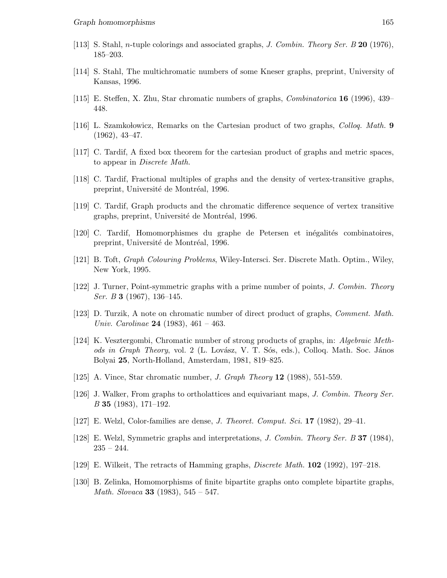- [113] S. Stahl, *n*-tuple colorings and associated graphs, *J. Combin. Theory Ser. B* 20 (1976), 185–203.
- [114] S. Stahl, The multichromatic numbers of some Kneser graphs, preprint, University of Kansas, 1996.
- [115] E. Steffen, X. Zhu, Star chromatic numbers of graphs, Combinatorica 16 (1996), 439– 448.
- [116] L. Szamkołowicz, Remarks on the Cartesian product of two graphs, *Colloq. Math.* 9 (1962), 43–47.
- [117] C. Tardif, A fixed box theorem for the cartesian product of graphs and metric spaces, to appear in Discrete Math.
- [118] C. Tardif, Fractional multiples of graphs and the density of vertex-transitive graphs, preprint, Université de Montréal, 1996.
- [119] C. Tardif, Graph products and the chromatic difference sequence of vertex transitive graphs, preprint, Université de Montréal, 1996.
- [120] C. Tardif, Homomorphismes du graphe de Petersen et inégalités combinatoires, preprint, Université de Montréal, 1996.
- [121] B. Toft, Graph Colouring Problems, Wiley-Intersci. Ser. Discrete Math. Optim., Wiley, New York, 1995.
- [122] J. Turner, Point-symmetric graphs with a prime number of points, J. Combin. Theory *Ser. B* **3** (1967), 136–145.
- [123] D. Turzik, A note on chromatic number of direct product of graphs, Comment. Math. Univ. Carolinae 24 (1983),  $461 - 463$ .
- [124] K. Vesztergombi, Chromatic number of strong products of graphs, in: Algebraic Methods in Graph Theory, vol. 2 (L. Lovász, V. T. Sós, eds.), Colloq. Math. Soc. János Bolyai 25, North-Holland, Amsterdam, 1981, 819–825.
- [125] A. Vince, Star chromatic number, J. Graph Theory 12 (1988), 551-559.
- [126] J. Walker, From graphs to ortholattices and equivariant maps, J. Combin. Theory Ser. B 35 (1983), 171–192.
- [127] E. Welzl, Color-families are dense, J. Theoret. Comput. Sci. 17 (1982), 29–41.
- [128] E. Welzl, Symmetric graphs and interpretations, J. Combin. Theory Ser. B 37 (1984),  $235 - 244.$
- [129] E. Wilkeit, The retracts of Hamming graphs, Discrete Math. 102 (1992), 197–218.
- [130] B. Zelinka, Homomorphisms of finite bipartite graphs onto complete bipartite graphs, *Math. Slovaca* **33** (1983),  $545 - 547$ .